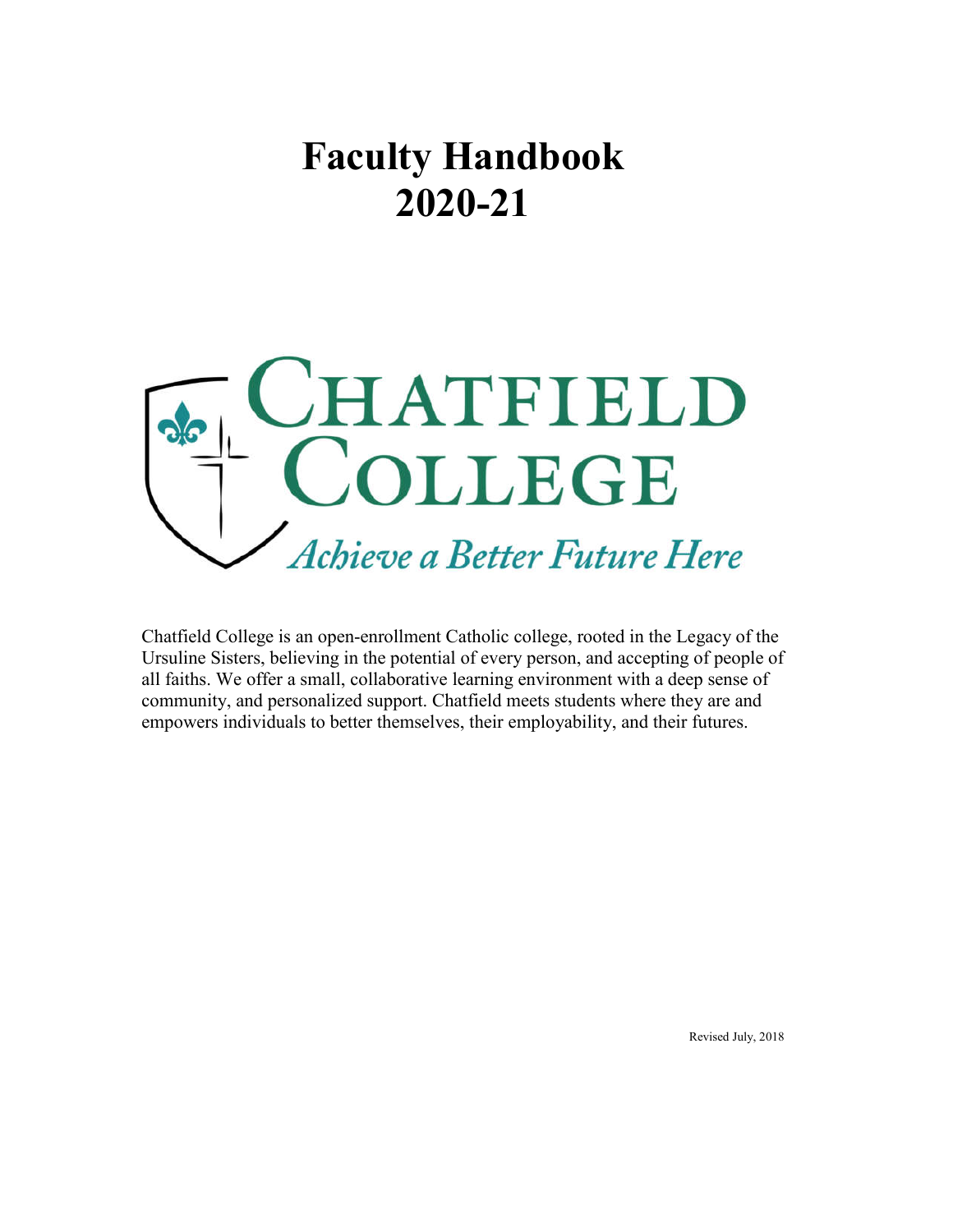# **Faculty Handbook 2020-21**



Chatfield College is an open-enrollment Catholic college, rooted in the Legacy of the Ursuline Sisters, believing in the potential of every person, and accepting of people of all faiths. We offer a small, collaborative learning environment with a deep sense of community, and personalized support. Chatfield meets students where they are and empowers individuals to better themselves, their employability, and their futures.

Revised July, 2018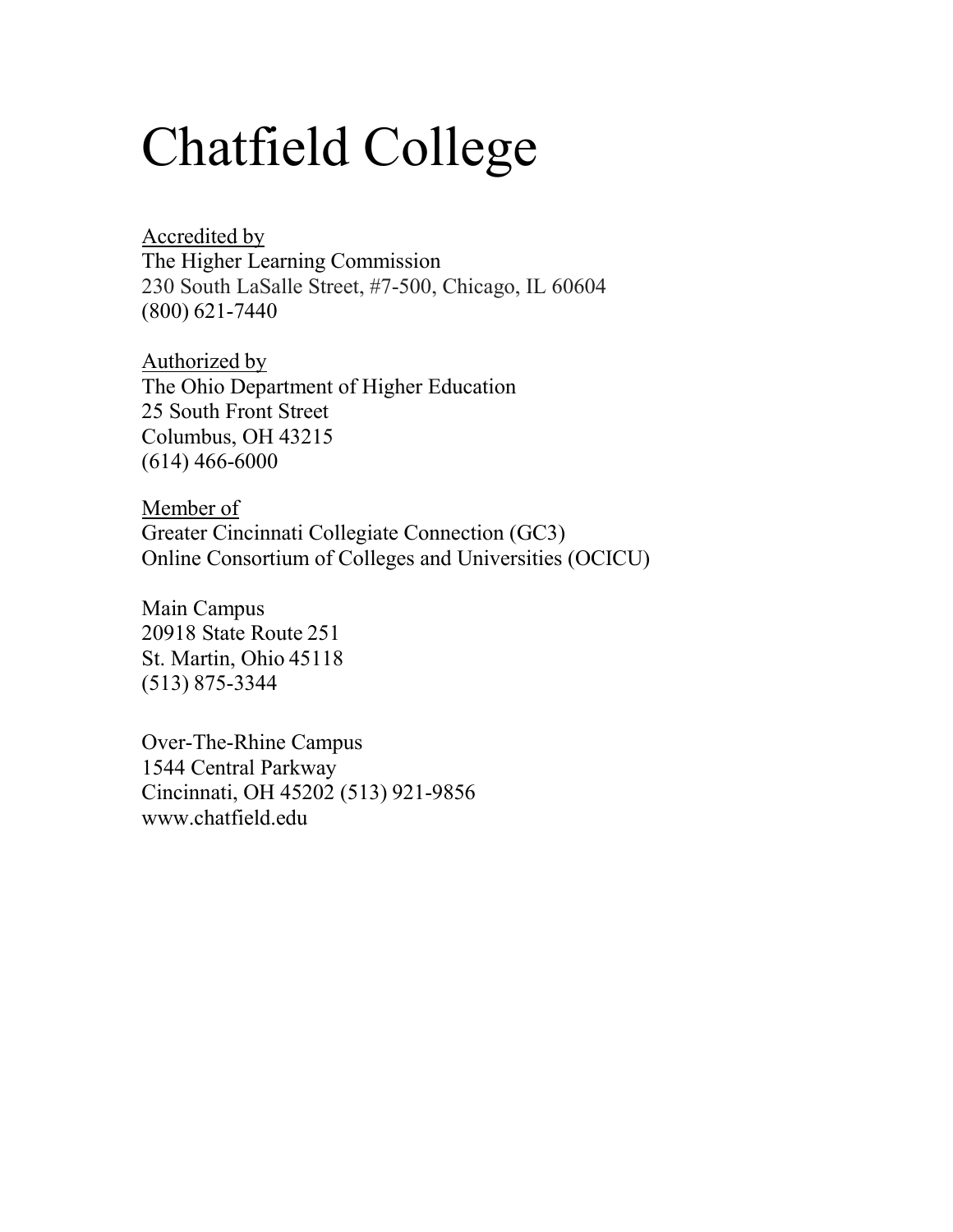# Chatfield College

Accredited by The Higher Learning Commission 230 South LaSalle Street, #7-500, Chicago, IL 60604 (800) 621-7440

Authorized by The Ohio Department of Higher Education 25 South Front Street Columbus, OH 43215 (614) 466-6000

Member of Greater Cincinnati Collegiate Connection (GC3) Online Consortium of Colleges and Universities (OCICU)

Main Campus 20918 State Route 251 St. Martin, Ohio 45118 (513) 875-3344

Over-The-Rhine Campus 1544 Central Parkway Cincinnati, OH 45202 (513) 921-9856 www.chatfield.edu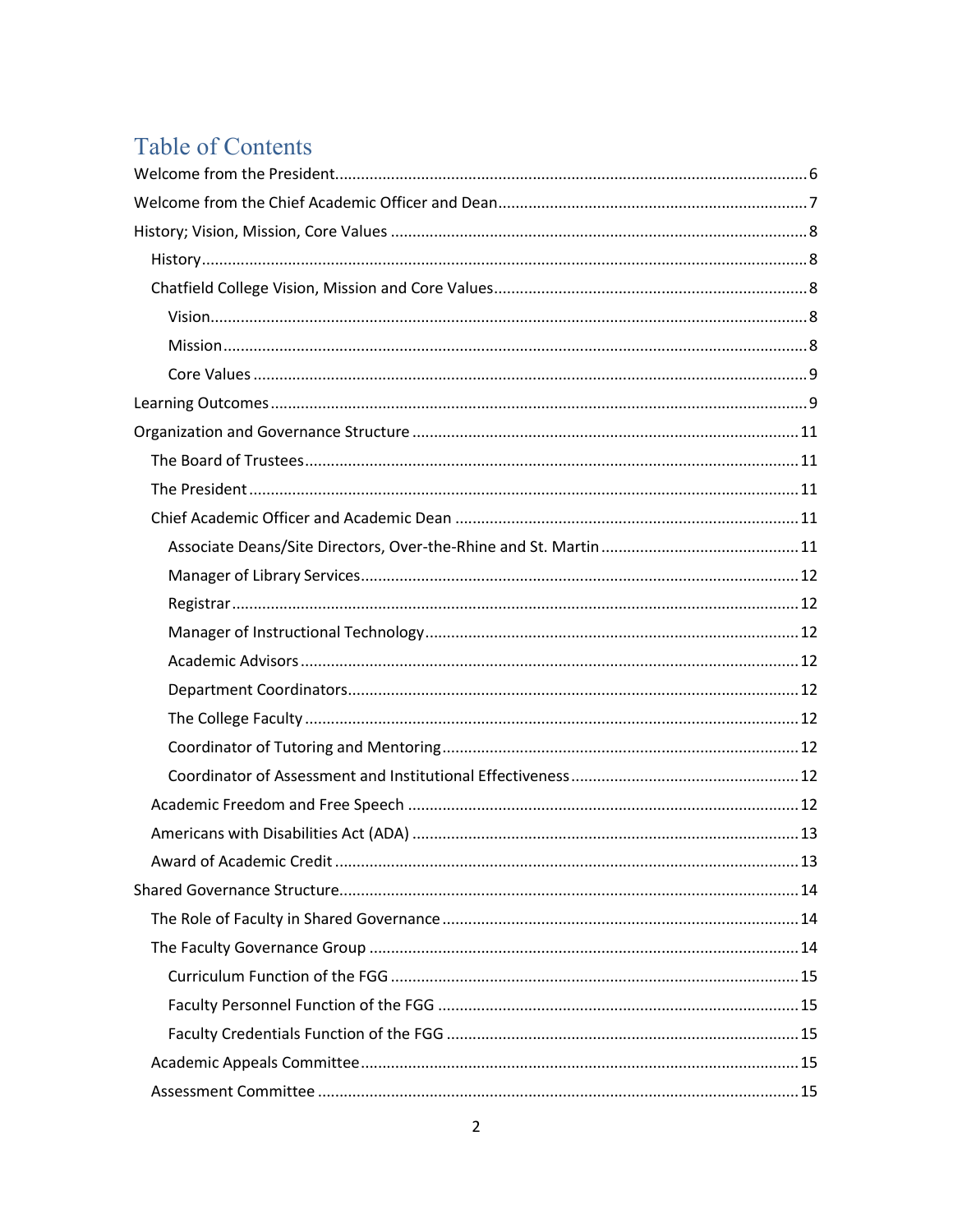# **Table of Contents**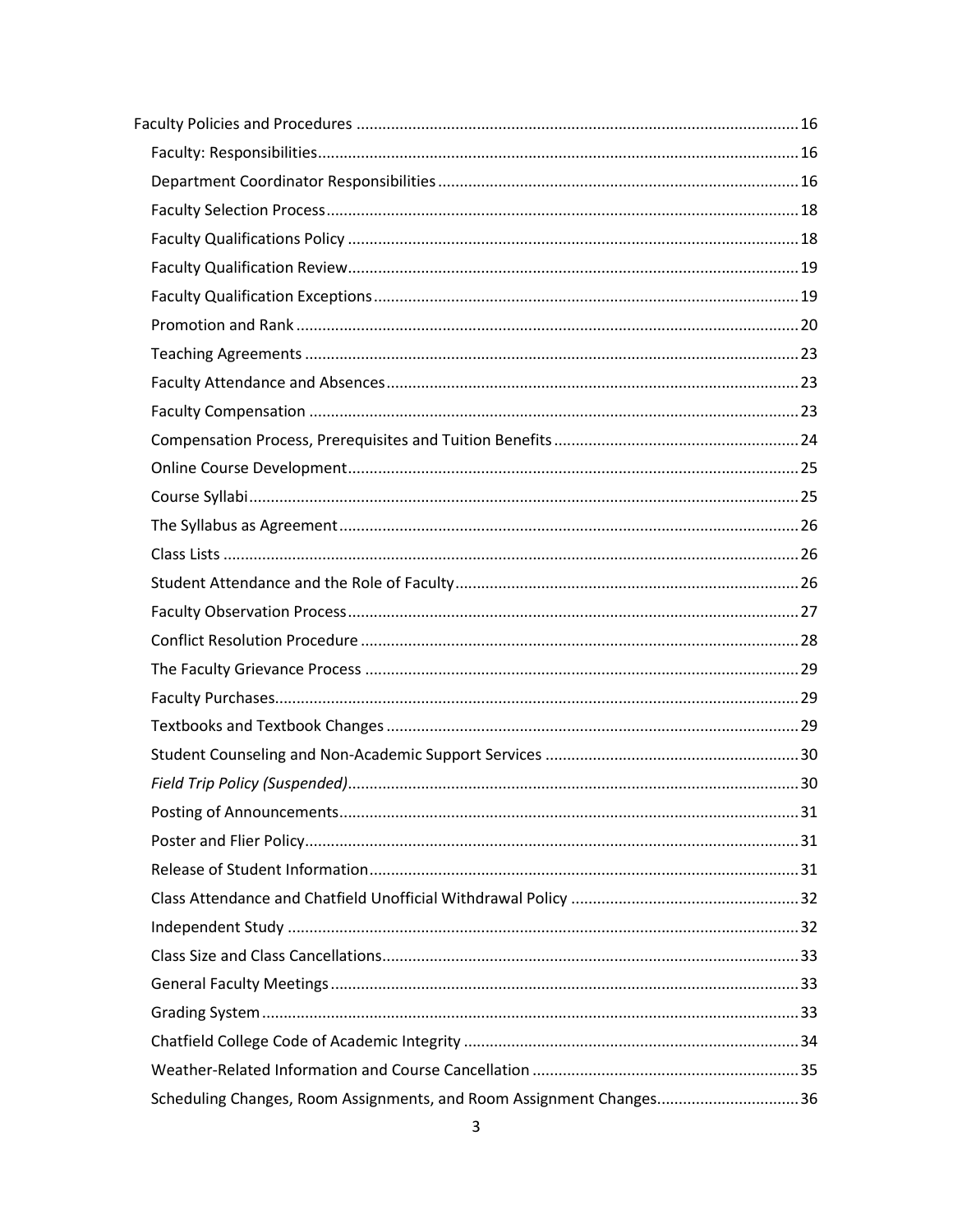| Scheduling Changes, Room Assignments, and Room Assignment Changes36 |  |
|---------------------------------------------------------------------|--|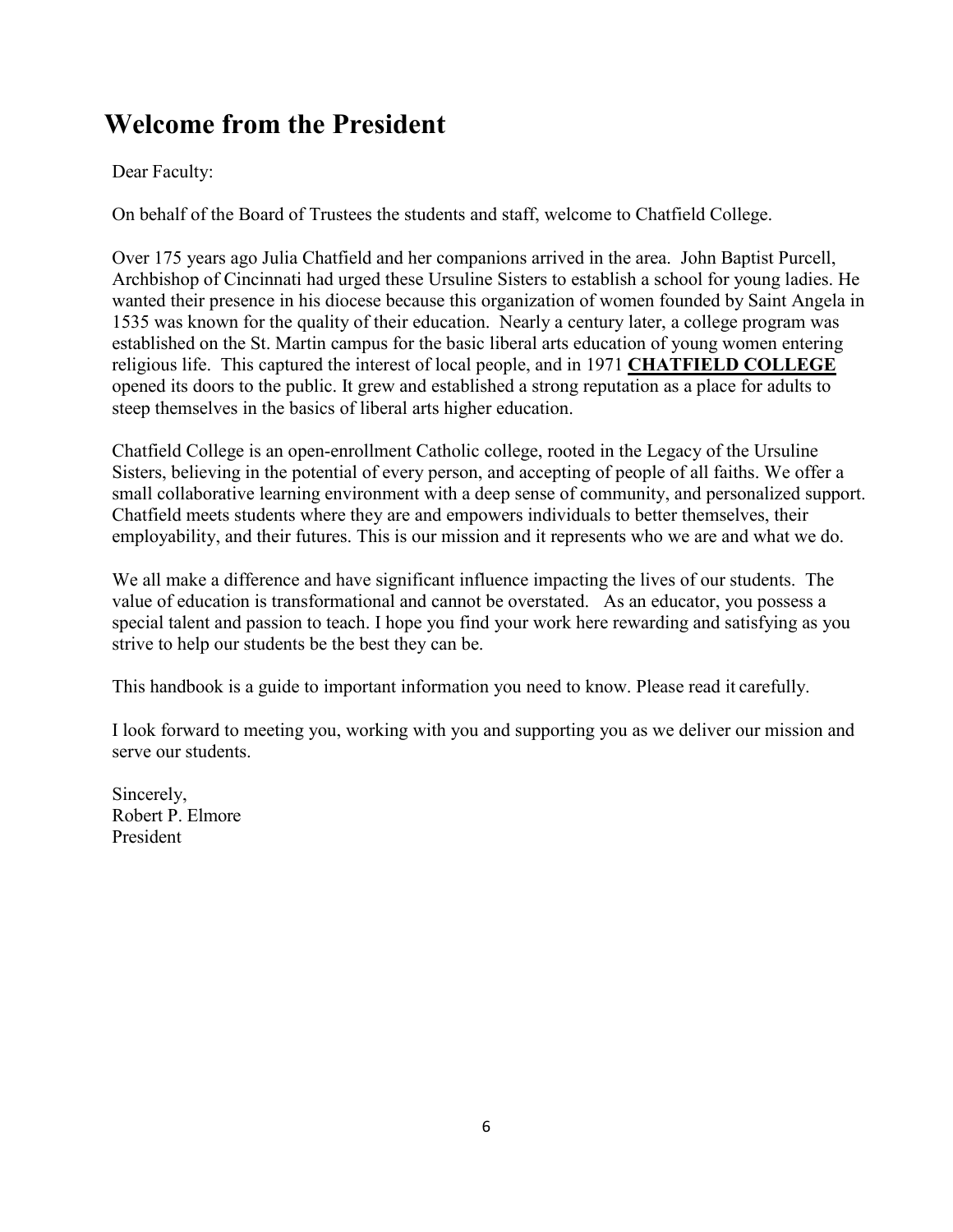# **Welcome from the President**

#### Dear Faculty:

On behalf of the Board of Trustees the students and staff, welcome to Chatfield College.

Over 175 years ago Julia Chatfield and her companions arrived in the area. John Baptist Purcell, Archbishop of Cincinnati had urged these Ursuline Sisters to establish a school for young ladies. He wanted their presence in his diocese because this organization of women founded by Saint Angela in 1535 was known for the quality of their education. Nearly a century later, a college program was established on the St. Martin campus for the basic liberal arts education of young women entering religious life. This captured the interest of local people, and in 1971 **CHATFIELD COLLEGE** opened its doors to the public. It grew and established a strong reputation as a place for adults to steep themselves in the basics of liberal arts higher education.

Chatfield College is an open-enrollment Catholic college, rooted in the Legacy of the Ursuline Sisters, believing in the potential of every person, and accepting of people of all faiths. We offer a small collaborative learning environment with a deep sense of community, and personalized support. Chatfield meets students where they are and empowers individuals to better themselves, their employability, and their futures. This is our mission and it represents who we are and what we do.

We all make a difference and have significant influence impacting the lives of our students. The value of education is transformational and cannot be overstated. As an educator, you possess a special talent and passion to teach. I hope you find your work here rewarding and satisfying as you strive to help our students be the best they can be.

This handbook is a guide to important information you need to know. Please read it carefully.

I look forward to meeting you, working with you and supporting you as we deliver our mission and serve our students.

Sincerely, Robert P. Elmore President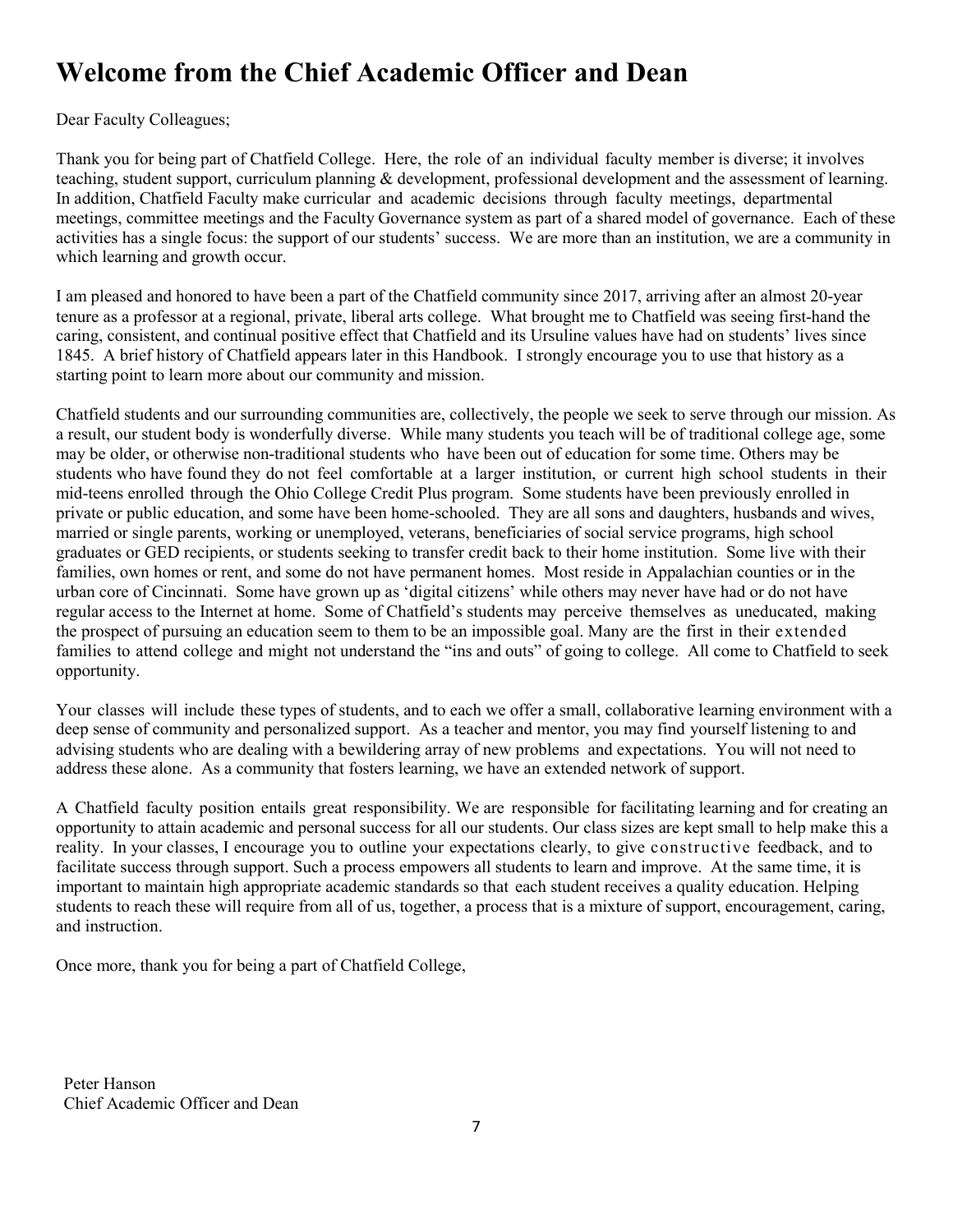# **Welcome from the Chief Academic Officer and Dean**

Dear Faculty Colleagues;

Thank you for being part of Chatfield College. Here, the role of an individual faculty member is diverse; it involves teaching, student support, curriculum planning & development, professional development and the assessment of learning. In addition, Chatfield Faculty make curricular and academic decisions through faculty meetings, departmental meetings, committee meetings and the Faculty Governance system as part of a shared model of governance. Each of these activities has a single focus: the support of our students' success. We are more than an institution, we are a community in which learning and growth occur.

I am pleased and honored to have been a part of the Chatfield community since 2017, arriving after an almost 20-year tenure as a professor at a regional, private, liberal arts college. What brought me to Chatfield was seeing first-hand the caring, consistent, and continual positive effect that Chatfield and its Ursuline values have had on students' lives since 1845. A brief history of Chatfield appears later in this Handbook. I strongly encourage you to use that history as a starting point to learn more about our community and mission.

Chatfield students and our surrounding communities are, collectively, the people we seek to serve through our mission. As a result, our student body is wonderfully diverse. While many students you teach will be of traditional college age, some may be older, or otherwise non-traditional students who have been out of education for some time. Others may be students who have found they do not feel comfortable at a larger institution, or current high school students in their mid-teens enrolled through the Ohio College Credit Plus program. Some students have been previously enrolled in private or public education, and some have been home-schooled. They are all sons and daughters, husbands and wives, married or single parents, working or unemployed, veterans, beneficiaries of social service programs, high school graduates or GED recipients, or students seeking to transfer credit back to their home institution. Some live with their families, own homes or rent, and some do not have permanent homes. Most reside in Appalachian counties or in the urban core of Cincinnati. Some have grown up as 'digital citizens' while others may never have had or do not have regular access to the Internet at home. Some of Chatfield's students may perceive themselves as uneducated, making the prospect of pursuing an education seem to them to be an impossible goal. Many are the first in their extended families to attend college and might not understand the "ins and outs" of going to college. All come to Chatfield to seek opportunity.

Your classes will include these types of students, and to each we offer a small, collaborative learning environment with a deep sense of community and personalized support. As a teacher and mentor, you may find yourself listening to and advising students who are dealing with a bewildering array of new problems and expectations. You will not need to address these alone. As a community that fosters learning, we have an extended network of support.

A Chatfield faculty position entails great responsibility. We are responsible for facilitating learning and for creating an opportunity to attain academic and personal success for all our students. Our class sizes are kept small to help make this a reality. In your classes, I encourage you to outline your expectations clearly, to give constructive feedback, and to facilitate success through support. Such a process empowers all students to learn and improve. At the same time, it is important to maintain high appropriate academic standards so that each student receives a quality education. Helping students to reach these will require from all of us, together, a process that is a mixture of support, encouragement, caring, and instruction.

Once more, thank you for being a part of Chatfield College,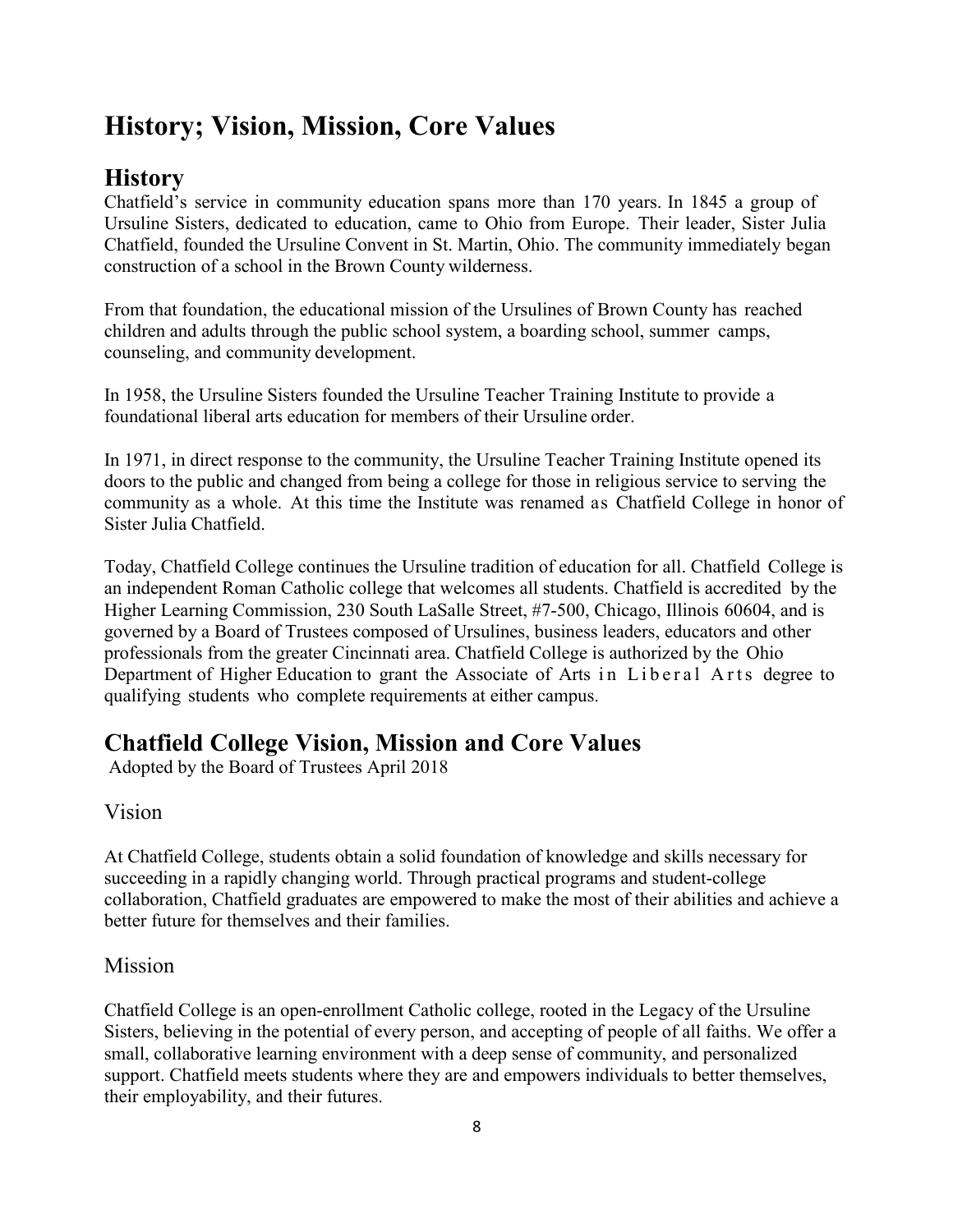# **History; Vision, Mission, Core Values**

### **History**

Chatfield's service in community education spans more than 170 years. In 1845 a group of Ursuline Sisters, dedicated to education, came to Ohio from Europe. Their leader, Sister Julia Chatfield, founded the Ursuline Convent in St. Martin, Ohio. The community immediately began construction of a school in the Brown County wilderness.

From that foundation, the educational mission of the Ursulines of Brown County has reached children and adults through the public school system, a boarding school, summer camps, counseling, and community development.

In 1958, the Ursuline Sisters founded the Ursuline Teacher Training Institute to provide a foundational liberal arts education for members of their Ursuline order.

In 1971, in direct response to the community, the Ursuline Teacher Training Institute opened its doors to the public and changed from being a college for those in religious service to serving the community as a whole. At this time the Institute was renamed as Chatfield College in honor of Sister Julia Chatfield.

Today, Chatfield College continues the Ursuline tradition of education for all. Chatfield College is an independent Roman Catholic college that welcomes all students. Chatfield is accredited by the Higher Learning Commission, 230 South LaSalle Street, #7-500, Chicago, Illinois 60604, and is governed by a Board of Trustees composed of Ursulines, business leaders, educators and other professionals from the greater Cincinnati area. Chatfield College is authorized by the Ohio Department of Higher Education to grant the Associate of Arts in Liberal Arts degree to qualifying students who complete requirements at either campus.

### **Chatfield College Vision, Mission and Core Values**

Adopted by the Board of Trustees April 2018

#### Vision

At Chatfield College, students obtain a solid foundation of knowledge and skills necessary for succeeding in a rapidly changing world. Through practical programs and student-college collaboration, Chatfield graduates are empowered to make the most of their abilities and achieve a better future for themselves and their families.

#### Mission

Chatfield College is an open-enrollment Catholic college, rooted in the Legacy of the Ursuline Sisters, believing in the potential of every person, and accepting of people of all faiths. We offer a small, collaborative learning environment with a deep sense of community, and personalized support. Chatfield meets students where they are and empowers individuals to better themselves, their employability, and their futures.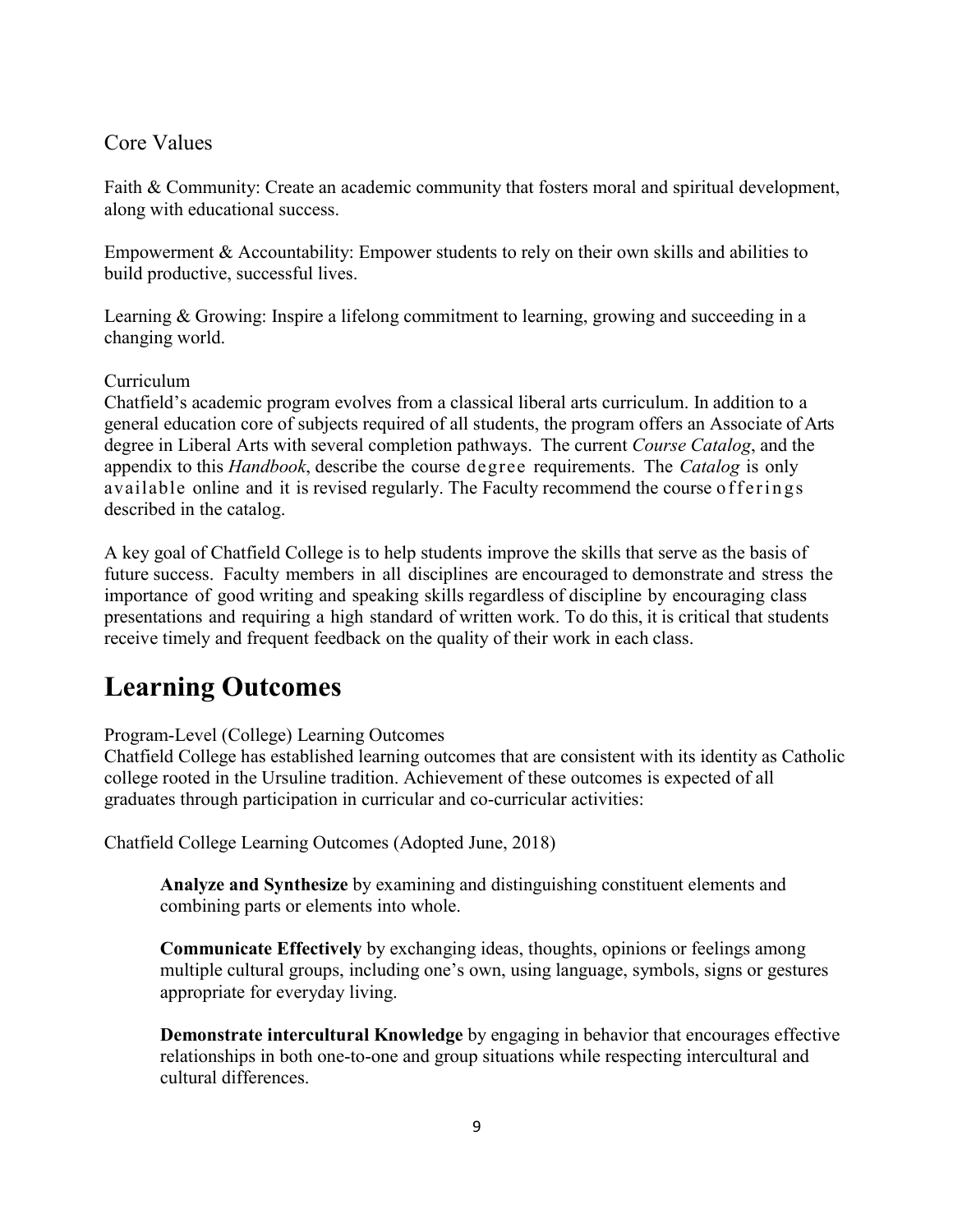#### Core Values

Faith & Community: Create an academic community that fosters moral and spiritual development, along with educational success.

Empowerment & Accountability: Empower students to rely on their own skills and abilities to build productive, successful lives.

Learning & Growing: Inspire a lifelong commitment to learning, growing and succeeding in a changing world.

#### Curriculum

Chatfield's academic program evolves from a classical liberal arts curriculum. In addition to a general education core of subjects required of all students, the program offers an Associate of Arts degree in Liberal Arts with several completion pathways. The current *Course Catalog*, and the appendix to this *Handbook*, describe the course degree requirements. The *Catalog* is only available online and it is revised regularly. The Faculty recommend the course offerings described in the catalog.

A key goal of Chatfield College is to help students improve the skills that serve as the basis of future success. Faculty members in all disciplines are encouraged to demonstrate and stress the importance of good writing and speaking skills regardless of discipline by encouraging class presentations and requiring a high standard of written work. To do this, it is critical that students receive timely and frequent feedback on the quality of their work in each class.

# **Learning Outcomes**

Program-Level (College) Learning Outcomes

Chatfield College has established learning outcomes that are consistent with its identity as Catholic college rooted in the Ursuline tradition. Achievement of these outcomes is expected of all graduates through participation in curricular and co-curricular activities:

Chatfield College Learning Outcomes (Adopted June, 2018)

**Analyze and Synthesize** by examining and distinguishing constituent elements and combining parts or elements into whole.

**Communicate Effectively** by exchanging ideas, thoughts, opinions or feelings among multiple cultural groups, including one's own, using language, symbols, signs or gestures appropriate for everyday living.

**Demonstrate intercultural Knowledge** by engaging in behavior that encourages effective relationships in both one-to-one and group situations while respecting intercultural and cultural differences.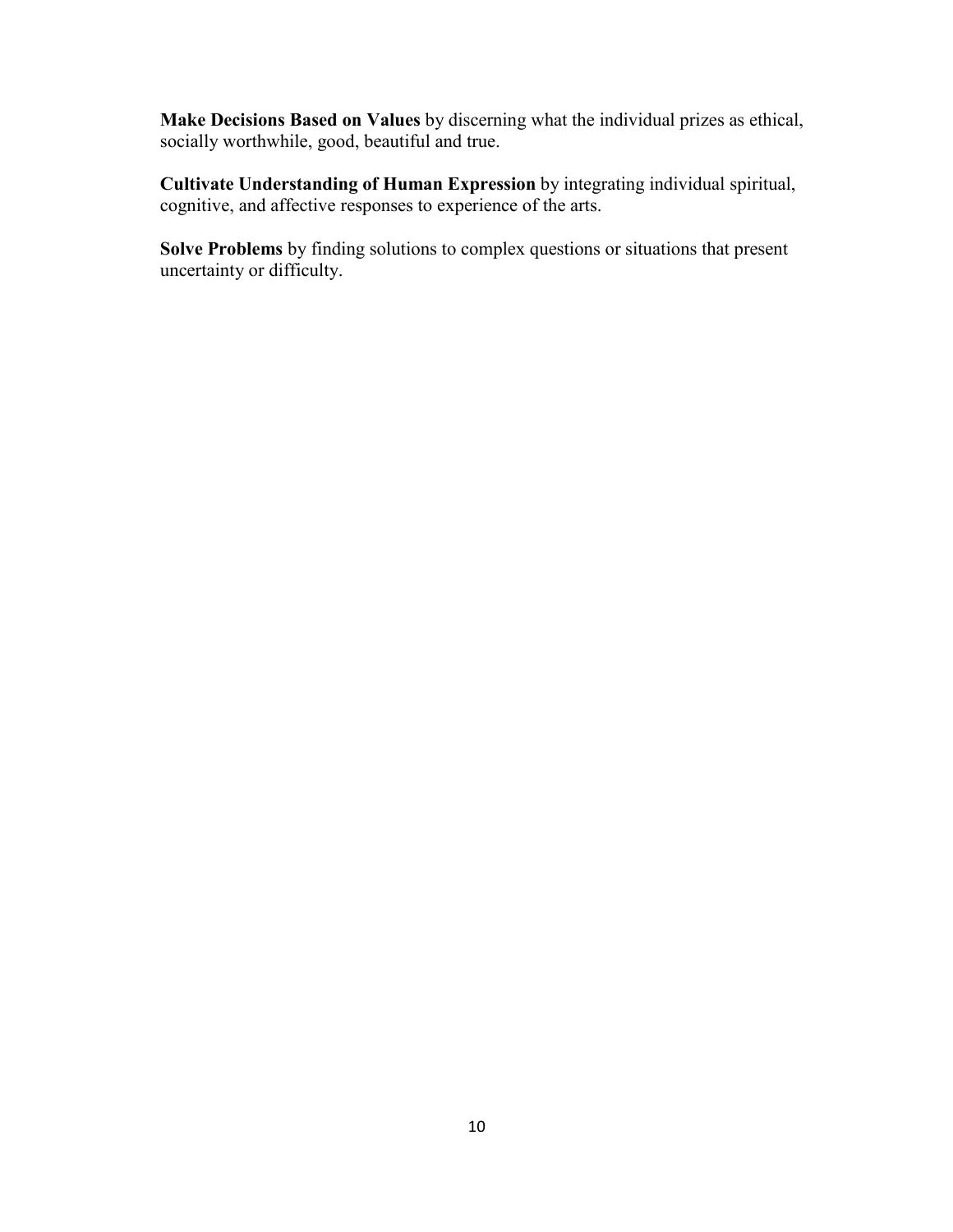**Make Decisions Based on Values** by discerning what the individual prizes as ethical, socially worthwhile, good, beautiful and true.

**Cultivate Understanding of Human Expression** by integrating individual spiritual, cognitive, and affective responses to experience of the arts.

**Solve Problems** by finding solutions to complex questions or situations that present uncertainty or difficulty.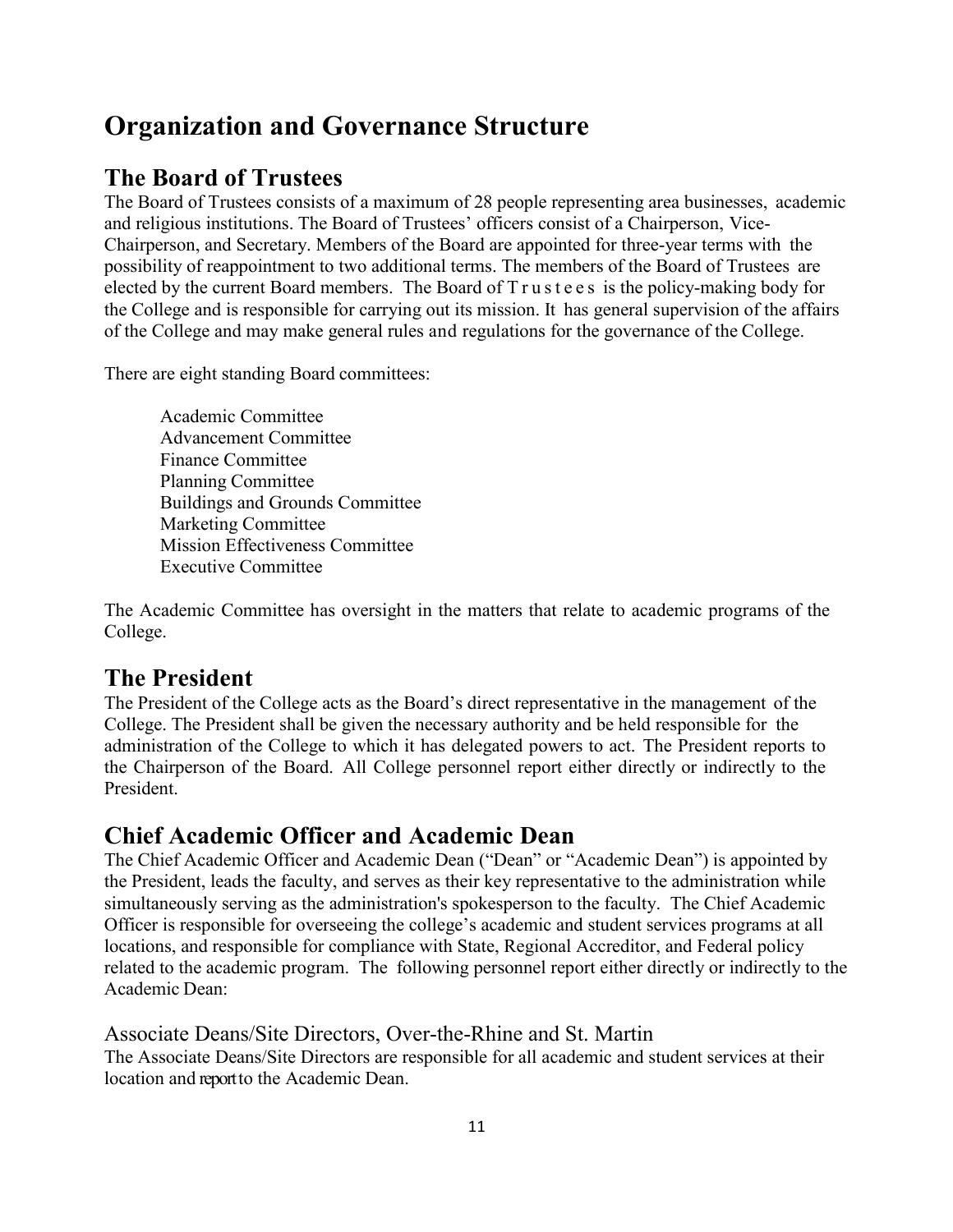# **Organization and Governance Structure**

### **The Board of Trustees**

The Board of Trustees consists of a maximum of 28 people representing area businesses, academic and religious institutions. The Board of Trustees' officers consist of a Chairperson, Vice-Chairperson, and Secretary. Members of the Board are appointed for three-year terms with the possibility of reappointment to two additional terms. The members of the Board of Trustees are elected by the current Board members. The Board of T r u s t e e s is the policy-making body for the College and is responsible for carrying out its mission. It has general supervision of the affairs of the College and may make general rules and regulations for the governance of the College.

There are eight standing Board committees:

Academic Committee Advancement Committee Finance Committee Planning Committee Buildings and Grounds Committee Marketing Committee Mission Effectiveness Committee Executive Committee

The Academic Committee has oversight in the matters that relate to academic programs of the College.

### **The President**

The President of the College acts as the Board's direct representative in the management of the College. The President shall be given the necessary authority and be held responsible for the administration of the College to which it has delegated powers to act. The President reports to the Chairperson of the Board. All College personnel report either directly or indirectly to the President.

### **Chief Academic Officer and Academic Dean**

The Chief Academic Officer and Academic Dean ("Dean" or "Academic Dean") is appointed by the President, leads the faculty, and serves as their key representative to the administration while simultaneously serving as the administration's spokesperson to the faculty. The Chief Academic Officer is responsible for overseeing the college's academic and student services programs at all locations, and responsible for compliance with State, Regional Accreditor, and Federal policy related to the academic program. The following personnel report either directly or indirectly to the Academic Dean:

Associate Deans/Site Directors, Over-the-Rhine and St. Martin

The Associate Deans/Site Directors are responsible for all academic and student services at their location and report to the Academic Dean.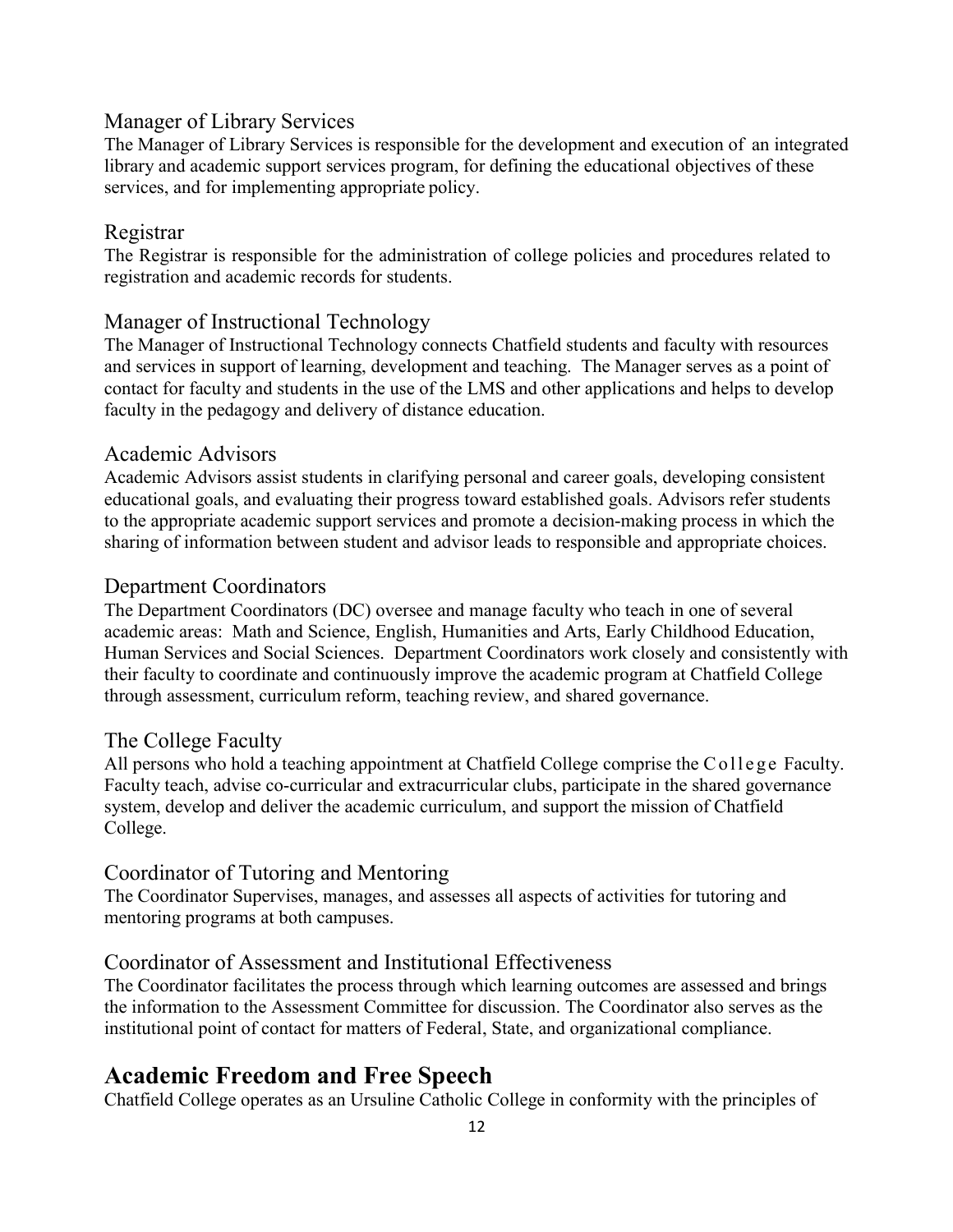#### Manager of Library Services

The Manager of Library Services is responsible for the development and execution of an integrated library and academic support services program, for defining the educational objectives of these services, and for implementing appropriate policy.

#### Registrar

The Registrar is responsible for the administration of college policies and procedures related to registration and academic records for students.

#### Manager of Instructional Technology

The Manager of Instructional Technology connects Chatfield students and faculty with resources and services in support of learning, development and teaching. The Manager serves as a point of contact for faculty and students in the use of the LMS and other applications and helps to develop faculty in the pedagogy and delivery of distance education.

#### Academic Advisors

Academic Advisors assist students in clarifying personal and career goals, developing consistent educational goals, and evaluating their progress toward established goals. Advisors refer students to the appropriate academic support services and promote a decision-making process in which the sharing of information between student and advisor leads to responsible and appropriate choices.

#### Department Coordinators

The Department Coordinators (DC) oversee and manage faculty who teach in one of several academic areas: Math and Science, English, Humanities and Arts, Early Childhood Education, Human Services and Social Sciences. Department Coordinators work closely and consistently with their faculty to coordinate and continuously improve the academic program at Chatfield College through assessment, curriculum reform, teaching review, and shared governance.

#### The College Faculty

All persons who hold a teaching appointment at Chatfield College comprise the College Faculty. Faculty teach, advise co-curricular and extracurricular clubs, participate in the shared governance system, develop and deliver the academic curriculum, and support the mission of Chatfield College.

#### Coordinator of Tutoring and Mentoring

The Coordinator Supervises, manages, and assesses all aspects of activities for tutoring and mentoring programs at both campuses.

#### Coordinator of Assessment and Institutional Effectiveness

The Coordinator facilitates the process through which learning outcomes are assessed and brings the information to the Assessment Committee for discussion. The Coordinator also serves as the institutional point of contact for matters of Federal, State, and organizational compliance.

#### **Academic Freedom and Free Speech**

Chatfield College operates as an Ursuline Catholic College in conformity with the principles of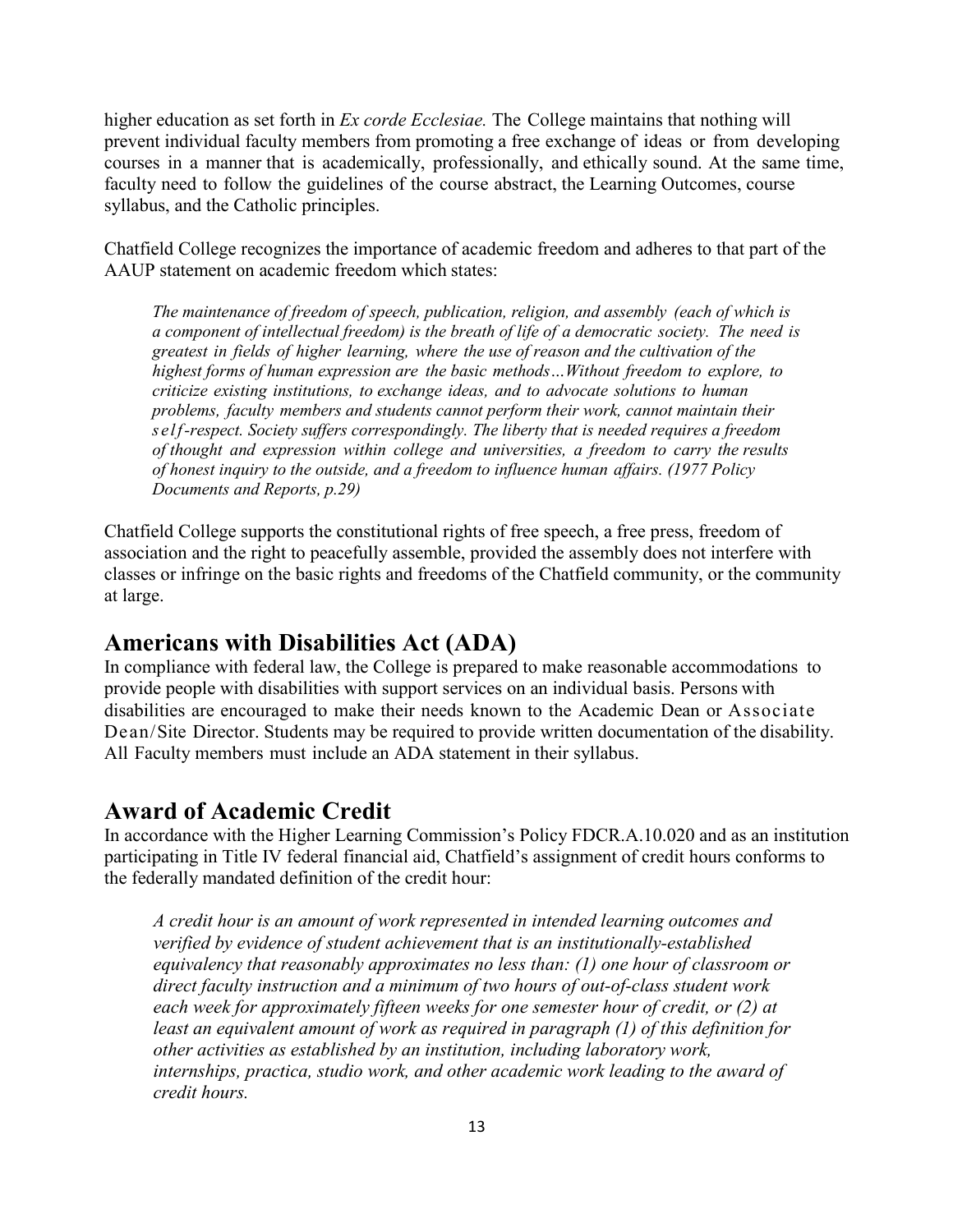higher education as set forth in *Ex corde Ecclesiae.* The College maintains that nothing will prevent individual faculty members from promoting a free exchange of ideas or from developing courses in a manner that is academically, professionally, and ethically sound. At the same time, faculty need to follow the guidelines of the course abstract, the Learning Outcomes, course syllabus, and the Catholic principles.

Chatfield College recognizes the importance of academic freedom and adheres to that part of the AAUP statement on academic freedom which states:

*The maintenance of freedom of speech, publication, religion, and assembly (each of which is a component of intellectual freedom) is the breath of life of a democratic society. The need is greatest in fields of higher learning, where the use of reason and the cultivation of the highest forms of human expression are the basic methods…Without freedom to explore, to criticize existing institutions, to exchange ideas, and to advocate solutions to human problems, faculty members and students cannot perform their work, cannot maintain their self-respect. Society suffers correspondingly. The liberty that is needed requires a freedom of thought and expression within college and universities, a freedom to carry the results of honest inquiry to the outside, and a freedom to influence human affairs. (1977 Policy Documents and Reports, p.29)*

Chatfield College supports the constitutional rights of free speech, a free press, freedom of association and the right to peacefully assemble, provided the assembly does not interfere with classes or infringe on the basic rights and freedoms of the Chatfield community, or the community at large.

#### **Americans with Disabilities Act (ADA)**

In compliance with federal law, the College is prepared to make reasonable accommodations to provide people with disabilities with support services on an individual basis. Persons with disabilities are encouraged to make their needs known to the Academic Dean or Associate Dean/Site Director. Students may be required to provide written documentation of the disability. All Faculty members must include an ADA statement in their syllabus.

#### **Award of Academic Credit**

In accordance with the Higher Learning Commission's Policy FDCR.A.10.020 and as an institution participating in Title IV federal financial aid, Chatfield's assignment of credit hours conforms to the federally mandated definition of the credit hour:

*A credit hour is an amount of work represented in intended learning outcomes and verified by evidence of student achievement that is an institutionally-established equivalency that reasonably approximates no less than: (1) one hour of classroom or direct faculty instruction and a minimum of two hours of out-of-class student work each week for approximately fifteen weeks for one semester hour of credit, or (2) at least an equivalent amount of work as required in paragraph (1) of this definition for other activities as established by an institution, including laboratory work, internships, practica, studio work, and other academic work leading to the award of credit hours.*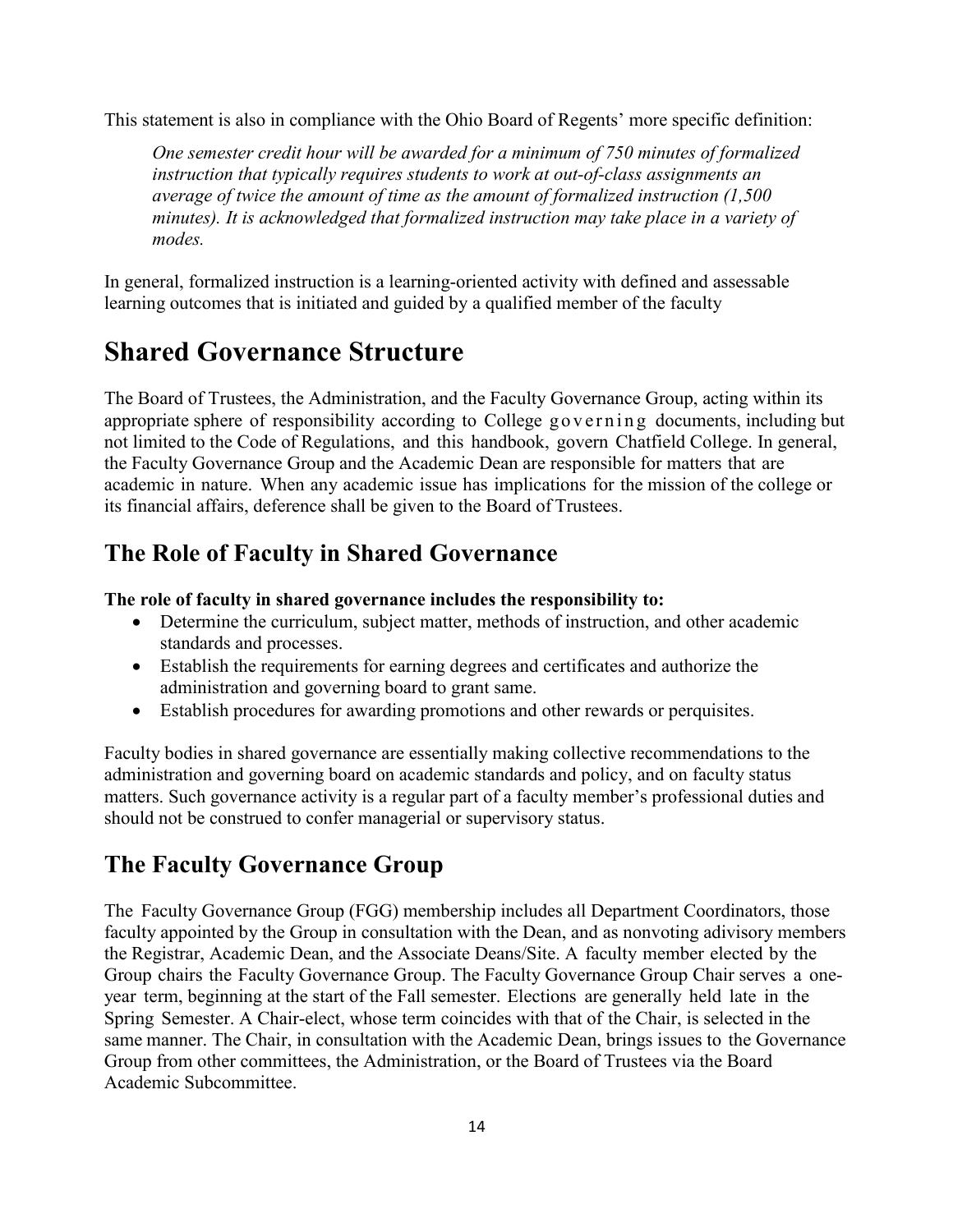This statement is also in compliance with the Ohio Board of Regents' more specific definition:

*One semester credit hour will be awarded for a minimum of 750 minutes of formalized instruction that typically requires students to work at out-of-class assignments an average of twice the amount of time as the amount of formalized instruction (1,500 minutes). It is acknowledged that formalized instruction may take place in a variety of modes.*

In general, formalized instruction is a learning-oriented activity with defined and assessable learning outcomes that is initiated and guided by a qualified member of the faculty

# **Shared Governance Structure**

The Board of Trustees, the Administration, and the Faculty Governance Group, acting within its appropriate sphere of responsibility according to College governing documents, including but not limited to the Code of Regulations, and this handbook, govern Chatfield College. In general, the Faculty Governance Group and the Academic Dean are responsible for matters that are academic in nature. When any academic issue has implications for the mission of the college or its financial affairs, deference shall be given to the Board of Trustees.

### **The Role of Faculty in Shared Governance**

#### **The role of faculty in shared governance includes the responsibility to:**

- Determine the curriculum, subject matter, methods of instruction, and other academic standards and processes.
- Establish the requirements for earning degrees and certificates and authorize the administration and governing board to grant same.
- Establish procedures for awarding promotions and other rewards or perquisites.

Faculty bodies in shared governance are essentially making collective recommendations to the administration and governing board on academic standards and policy, and on faculty status matters. Such governance activity is a regular part of a faculty member's professional duties and should not be construed to confer managerial or supervisory status.

### **The Faculty Governance Group**

The Faculty Governance Group (FGG) membership includes all Department Coordinators, those faculty appointed by the Group in consultation with the Dean, and as nonvoting adivisory members the Registrar, Academic Dean, and the Associate Deans/Site. A faculty member elected by the Group chairs the Faculty Governance Group. The Faculty Governance Group Chair serves a oneyear term, beginning at the start of the Fall semester. Elections are generally held late in the Spring Semester. A Chair-elect, whose term coincides with that of the Chair, is selected in the same manner. The Chair, in consultation with the Academic Dean, brings issues to the Governance Group from other committees, the Administration, or the Board of Trustees via the Board Academic Subcommittee.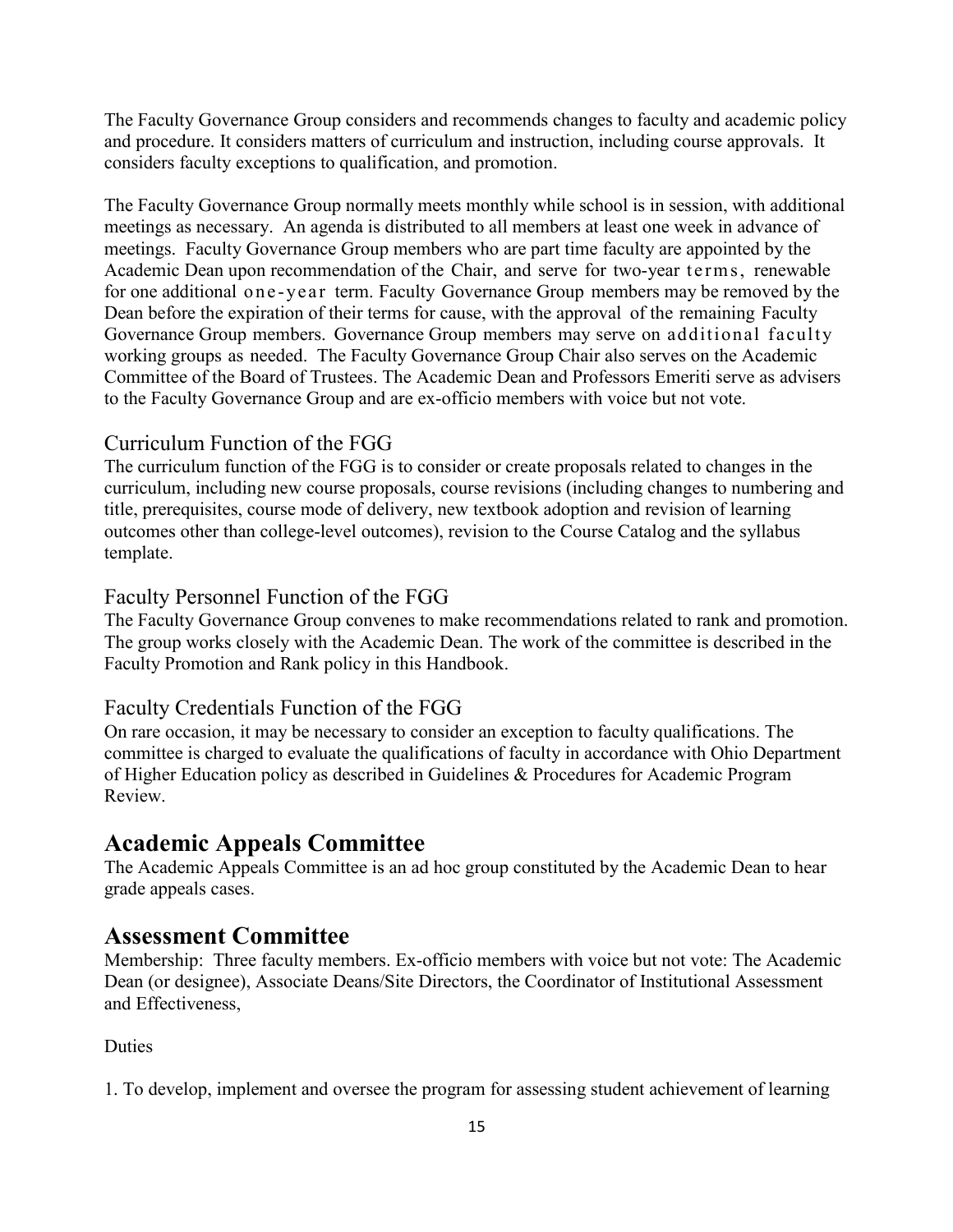The Faculty Governance Group considers and recommends changes to faculty and academic policy and procedure. It considers matters of curriculum and instruction, including course approvals. It considers faculty exceptions to qualification, and promotion.

The Faculty Governance Group normally meets monthly while school is in session, with additional meetings as necessary. An agenda is distributed to all members at least one week in advance of meetings. Faculty Governance Group members who are part time faculty are appointed by the Academic Dean upon recommendation of the Chair, and serve for two-year terms, renewable for one additional one-year term. Faculty Governance Group members may be removed by the Dean before the expiration of their terms for cause, with the approval of the remaining Faculty Governance Group members. Governance Group members may serve on additional faculty working groups as needed. The Faculty Governance Group Chair also serves on the Academic Committee of the Board of Trustees. The Academic Dean and Professors Emeriti serve as advisers to the Faculty Governance Group and are ex-officio members with voice but not vote.

#### Curriculum Function of the FGG

The curriculum function of the FGG is to consider or create proposals related to changes in the curriculum, including new course proposals, course revisions (including changes to numbering and title, prerequisites, course mode of delivery, new textbook adoption and revision of learning outcomes other than college-level outcomes), revision to the Course Catalog and the syllabus template.

#### Faculty Personnel Function of the FGG

The Faculty Governance Group convenes to make recommendations related to rank and promotion. The group works closely with the Academic Dean. The work of the committee is described in the Faculty Promotion and Rank policy in this Handbook.

#### Faculty Credentials Function of the FGG

On rare occasion, it may be necessary to consider an exception to faculty qualifications. The committee is charged to evaluate the qualifications of faculty in accordance with Ohio Department of Higher Education policy as described in Guidelines & Procedures for Academic Program Review.

#### **Academic Appeals Committee**

The Academic Appeals Committee is an ad hoc group constituted by the Academic Dean to hear grade appeals cases.

#### **Assessment Committee**

Membership: Three faculty members. Ex-officio members with voice but not vote: The Academic Dean (or designee), Associate Deans/Site Directors, the Coordinator of Institutional Assessment and Effectiveness,

#### Duties

1. To develop, implement and oversee the program for assessing student achievement of learning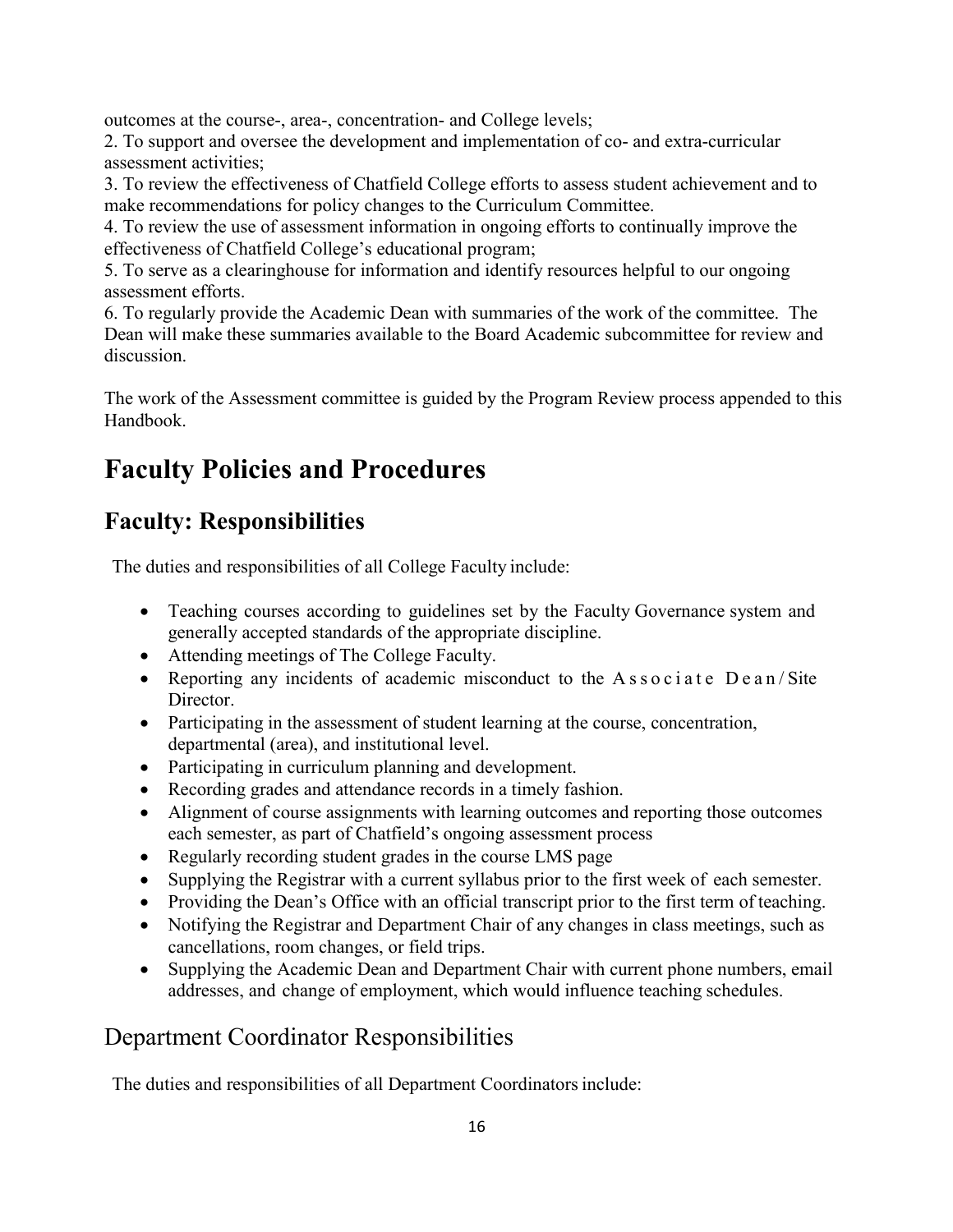outcomes at the course-, area-, concentration- and College levels;

2. To support and oversee the development and implementation of co- and extra-curricular assessment activities;

3. To review the effectiveness of Chatfield College efforts to assess student achievement and to make recommendations for policy changes to the Curriculum Committee.

4. To review the use of assessment information in ongoing efforts to continually improve the effectiveness of Chatfield College's educational program;

5. To serve as a clearinghouse for information and identify resources helpful to our ongoing assessment efforts.

6. To regularly provide the Academic Dean with summaries of the work of the committee. The Dean will make these summaries available to the Board Academic subcommittee for review and discussion.

The work of the Assessment committee is guided by the Program Review process appended to this Handbook.

# **Faculty Policies and Procedures**

# **Faculty: Responsibilities**

The duties and responsibilities of all College Faculty include:

- Teaching courses according to guidelines set by the Faculty Governance system and generally accepted standards of the appropriate discipline.
- Attending meetings of The College Faculty.
- Reporting any incidents of academic misconduct to the  $A$  s s o c i a t e  $D$  e a n / Site Director.
- Participating in the assessment of student learning at the course, concentration, departmental (area), and institutional level.
- Participating in curriculum planning and development.
- Recording grades and attendance records in a timely fashion.
- Alignment of course assignments with learning outcomes and reporting those outcomes each semester, as part of Chatfield's ongoing assessment process
- Regularly recording student grades in the course LMS page
- Supplying the Registrar with a current syllabus prior to the first week of each semester.
- Providing the Dean's Office with an official transcript prior to the first term of teaching.
- Notifying the Registrar and Department Chair of any changes in class meetings, such as cancellations, room changes, or field trips.
- Supplying the Academic Dean and Department Chair with current phone numbers, email addresses, and change of employment, which would influence teaching schedules.

### Department Coordinator Responsibilities

The duties and responsibilities of all Department Coordinators include: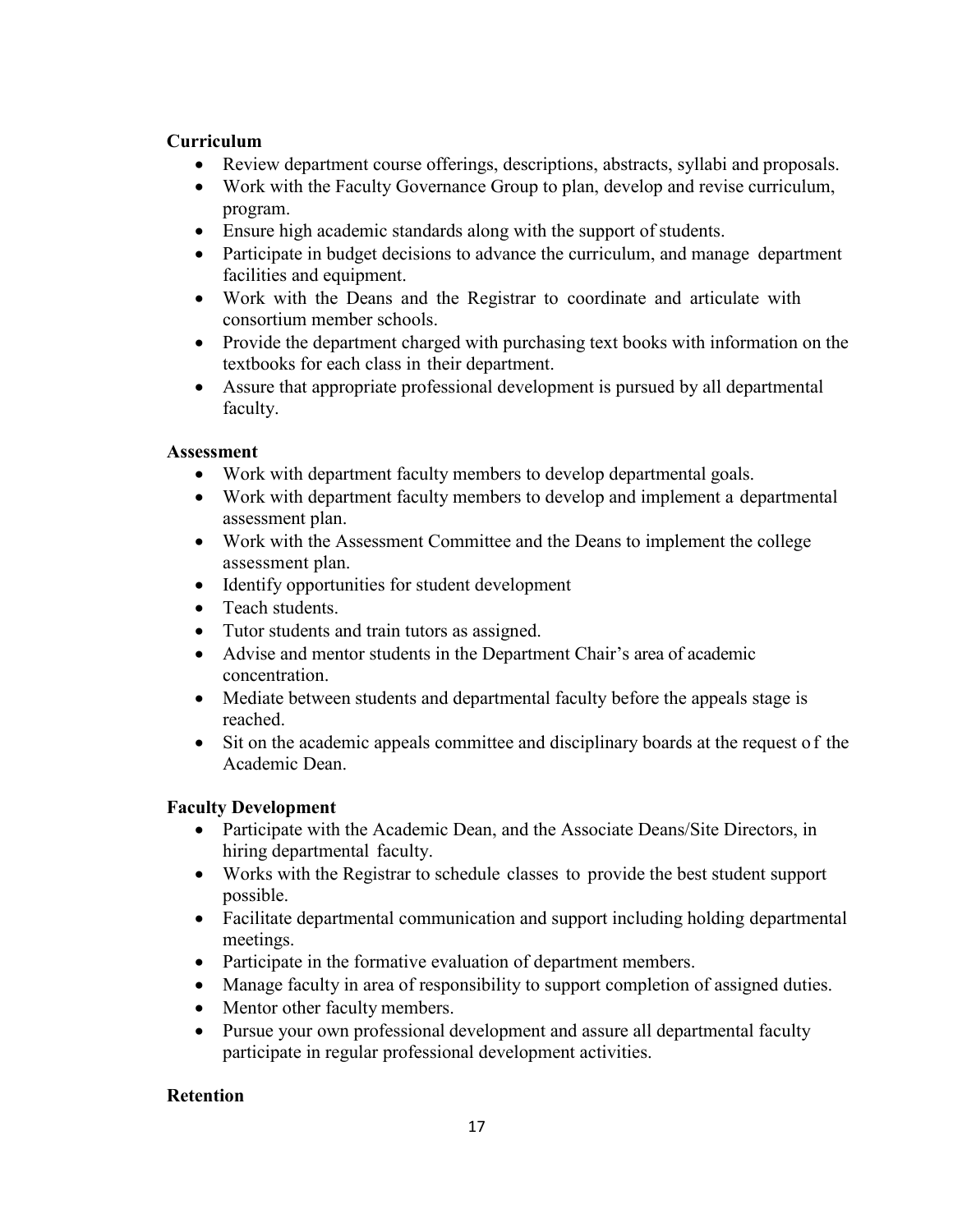#### **Curriculum**

- Review department course offerings, descriptions, abstracts, syllabi and proposals.
- Work with the Faculty Governance Group to plan, develop and revise curriculum, program.
- Ensure high academic standards along with the support of students.
- Participate in budget decisions to advance the curriculum, and manage department facilities and equipment.
- Work with the Deans and the Registrar to coordinate and articulate with consortium member schools.
- Provide the department charged with purchasing text books with information on the textbooks for each class in their department.
- Assure that appropriate professional development is pursued by all departmental faculty.

#### **Assessment**

- Work with department faculty members to develop departmental goals.
- Work with department faculty members to develop and implement a departmental assessment plan.
- Work with the Assessment Committee and the Deans to implement the college assessment plan.
- Identify opportunities for student development
- Teach students.
- Tutor students and train tutors as assigned.
- Advise and mentor students in the Department Chair's area of academic concentration.
- Mediate between students and departmental faculty before the appeals stage is reached.
- Sit on the academic appeals committee and disciplinary boards at the request of the Academic Dean.

#### **Faculty Development**

- Participate with the Academic Dean, and the Associate Deans/Site Directors, in hiring departmental faculty.
- Works with the Registrar to schedule classes to provide the best student support possible.
- Facilitate departmental communication and support including holding departmental meetings.
- Participate in the formative evaluation of department members.
- Manage faculty in area of responsibility to support completion of assigned duties.
- Mentor other faculty members.
- Pursue your own professional development and assure all departmental faculty participate in regular professional development activities.

#### **Retention**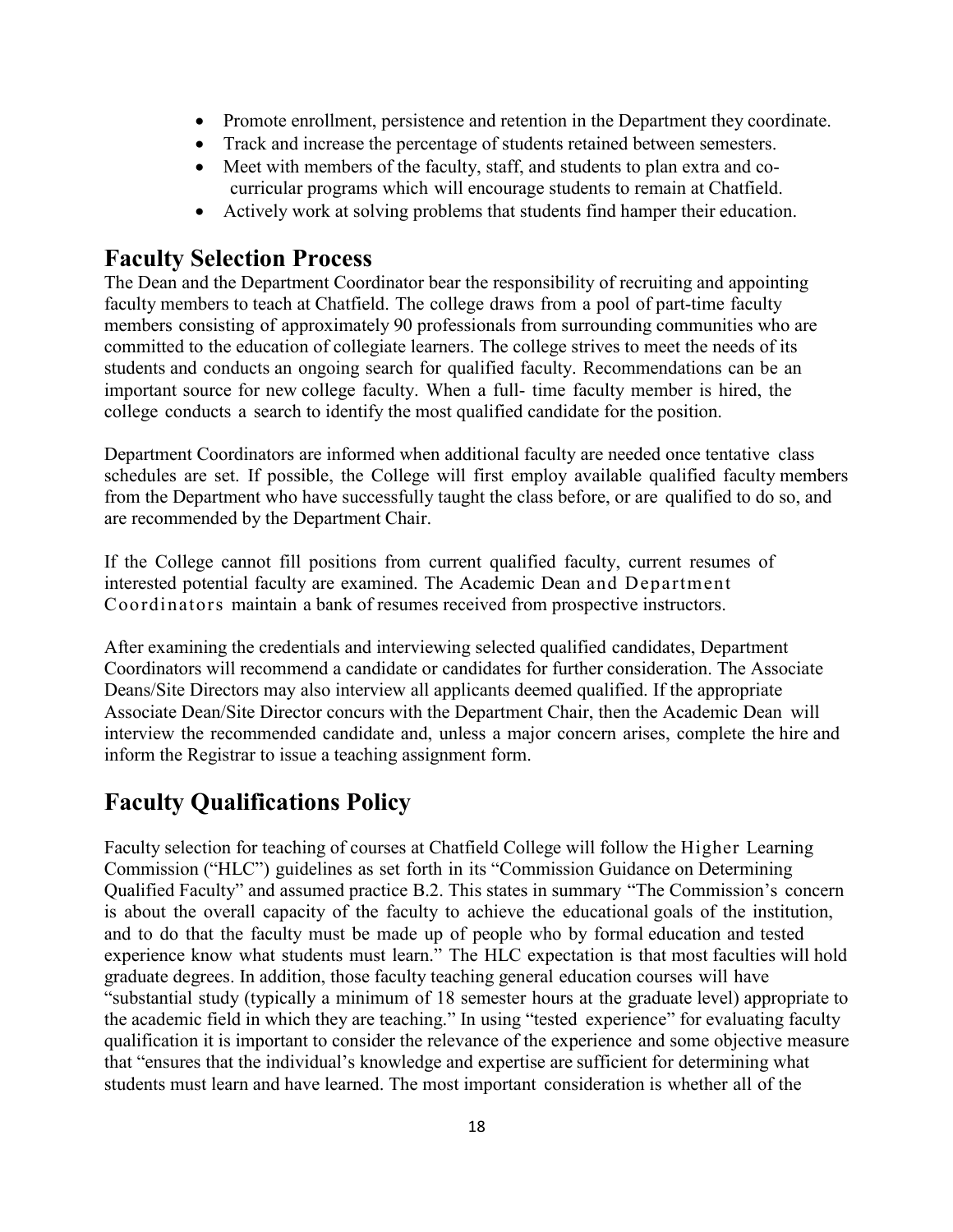- Promote enrollment, persistence and retention in the Department they coordinate.
- Track and increase the percentage of students retained between semesters.
- Meet with members of the faculty, staff, and students to plan extra and cocurricular programs which will encourage students to remain at Chatfield.
- Actively work at solving problems that students find hamper their education.

### **Faculty Selection Process**

The Dean and the Department Coordinator bear the responsibility of recruiting and appointing faculty members to teach at Chatfield. The college draws from a pool of part-time faculty members consisting of approximately 90 professionals from surrounding communities who are committed to the education of collegiate learners. The college strives to meet the needs of its students and conducts an ongoing search for qualified faculty. Recommendations can be an important source for new college faculty. When a full- time faculty member is hired, the college conducts a search to identify the most qualified candidate for the position.

Department Coordinators are informed when additional faculty are needed once tentative class schedules are set. If possible, the College will first employ available qualified faculty members from the Department who have successfully taught the class before, or are qualified to do so, and are recommended by the Department Chair.

If the College cannot fill positions from current qualified faculty, current resumes of interested potential faculty are examined. The Academic Dean and Department Coordinators maintain a bank of resumes received from prospective instructors.

After examining the credentials and interviewing selected qualified candidates, Department Coordinators will recommend a candidate or candidates for further consideration. The Associate Deans/Site Directors may also interview all applicants deemed qualified. If the appropriate Associate Dean/Site Director concurs with the Department Chair, then the Academic Dean will interview the recommended candidate and, unless a major concern arises, complete the hire and inform the Registrar to issue a teaching assignment form.

# **Faculty Qualifications Policy**

Faculty selection for teaching of courses at Chatfield College will follow the Higher Learning Commission ("HLC") guidelines as set forth in its "Commission Guidance on Determining Qualified Faculty" and assumed practice B.2. This states in summary "The Commission's concern is about the overall capacity of the faculty to achieve the educational goals of the institution, and to do that the faculty must be made up of people who by formal education and tested experience know what students must learn." The HLC expectation is that most faculties will hold graduate degrees. In addition, those faculty teaching general education courses will have "substantial study (typically a minimum of 18 semester hours at the graduate level) appropriate to the academic field in which they are teaching." In using "tested experience" for evaluating faculty qualification it is important to consider the relevance of the experience and some objective measure that "ensures that the individual's knowledge and expertise are sufficient for determining what students must learn and have learned. The most important consideration is whether all of the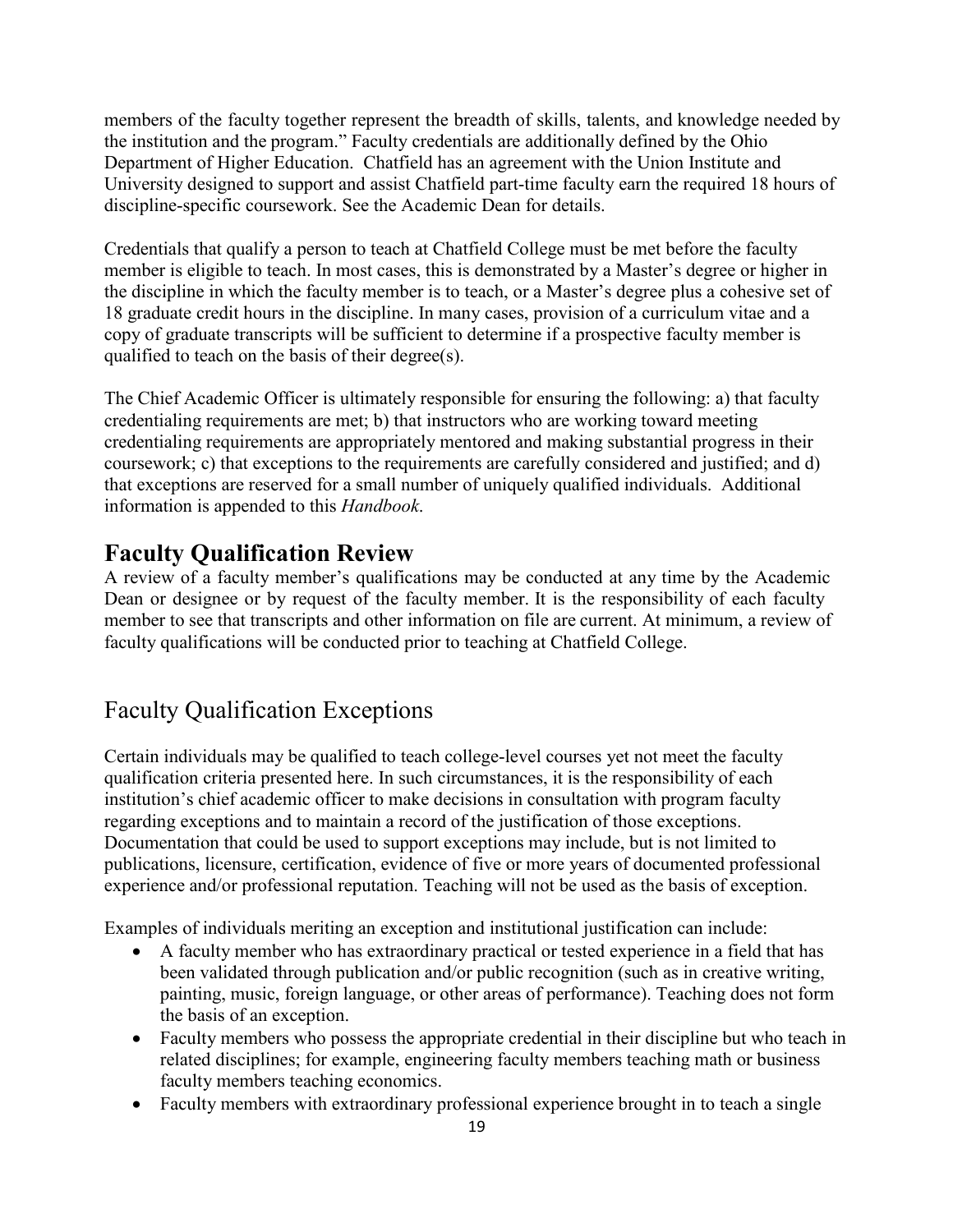members of the faculty together represent the breadth of skills, talents, and knowledge needed by the institution and the program." Faculty credentials are additionally defined by the Ohio Department of Higher Education. Chatfield has an agreement with the Union Institute and University designed to support and assist Chatfield part-time faculty earn the required 18 hours of discipline-specific coursework. See the Academic Dean for details.

Credentials that qualify a person to teach at Chatfield College must be met before the faculty member is eligible to teach. In most cases, this is demonstrated by a Master's degree or higher in the discipline in which the faculty member is to teach, or a Master's degree plus a cohesive set of 18 graduate credit hours in the discipline. In many cases, provision of a curriculum vitae and a copy of graduate transcripts will be sufficient to determine if a prospective faculty member is qualified to teach on the basis of their degree(s).

The Chief Academic Officer is ultimately responsible for ensuring the following: a) that faculty credentialing requirements are met; b) that instructors who are working toward meeting credentialing requirements are appropriately mentored and making substantial progress in their coursework; c) that exceptions to the requirements are carefully considered and justified; and d) that exceptions are reserved for a small number of uniquely qualified individuals. Additional information is appended to this *Handbook*.

### **Faculty Qualification Review**

A review of a faculty member's qualifications may be conducted at any time by the Academic Dean or designee or by request of the faculty member. It is the responsibility of each faculty member to see that transcripts and other information on file are current. At minimum, a review of faculty qualifications will be conducted prior to teaching at Chatfield College.

### Faculty Qualification Exceptions

Certain individuals may be qualified to teach college-level courses yet not meet the faculty qualification criteria presented here. In such circumstances, it is the responsibility of each institution's chief academic officer to make decisions in consultation with program faculty regarding exceptions and to maintain a record of the justification of those exceptions. Documentation that could be used to support exceptions may include, but is not limited to publications, licensure, certification, evidence of five or more years of documented professional experience and/or professional reputation. Teaching will not be used as the basis of exception.

Examples of individuals meriting an exception and institutional justification can include:

- A faculty member who has extraordinary practical or tested experience in a field that has been validated through publication and/or public recognition (such as in creative writing, painting, music, foreign language, or other areas of performance). Teaching does not form the basis of an exception.
- Faculty members who possess the appropriate credential in their discipline but who teach in related disciplines; for example, engineering faculty members teaching math or business faculty members teaching economics.
- Faculty members with extraordinary professional experience brought in to teach a single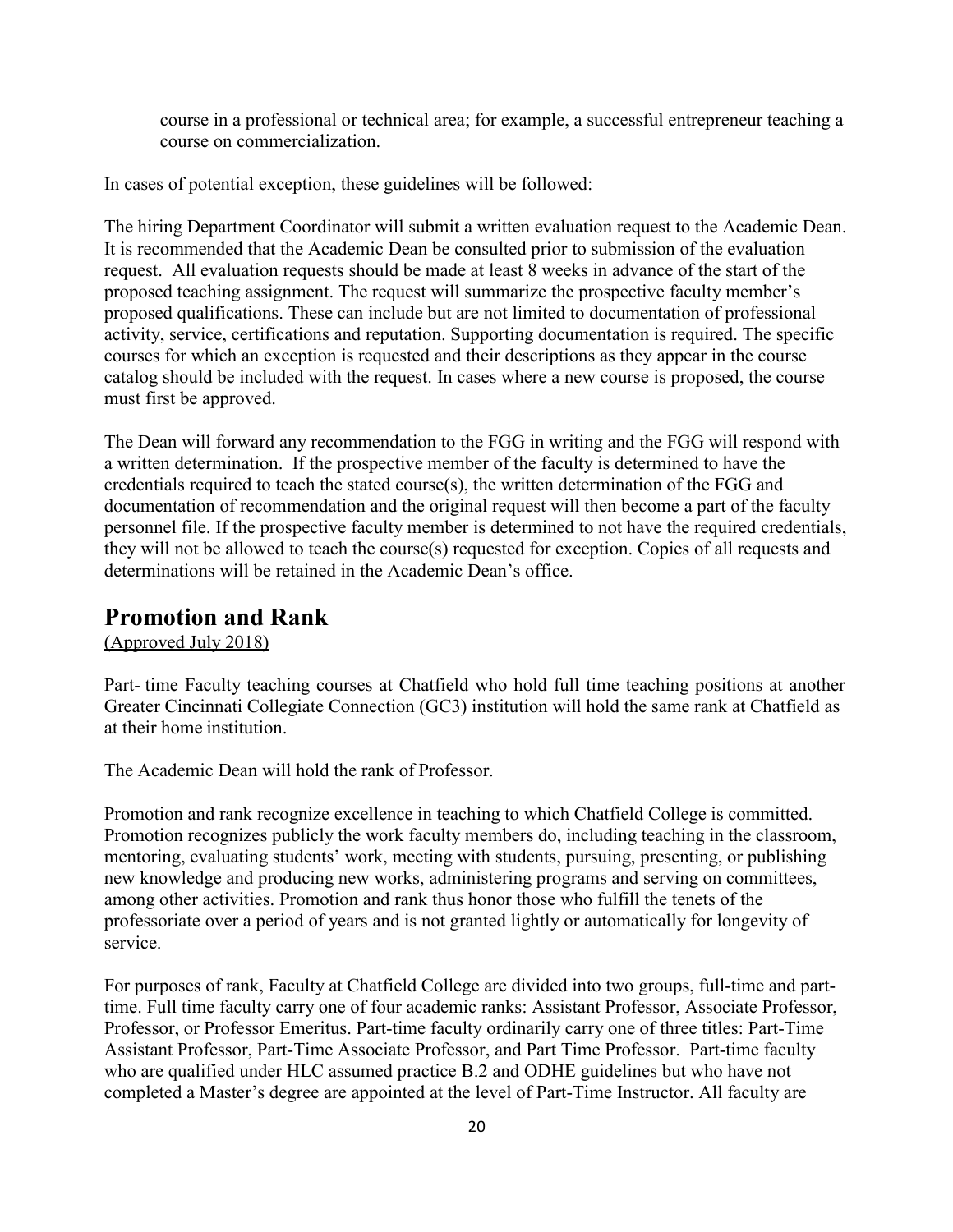course in a professional or technical area; for example, a successful entrepreneur teaching a course on commercialization.

In cases of potential exception, these guidelines will be followed:

The hiring Department Coordinator will submit a written evaluation request to the Academic Dean. It is recommended that the Academic Dean be consulted prior to submission of the evaluation request. All evaluation requests should be made at least 8 weeks in advance of the start of the proposed teaching assignment. The request will summarize the prospective faculty member's proposed qualifications. These can include but are not limited to documentation of professional activity, service, certifications and reputation. Supporting documentation is required. The specific courses for which an exception is requested and their descriptions as they appear in the course catalog should be included with the request. In cases where a new course is proposed, the course must first be approved.

The Dean will forward any recommendation to the FGG in writing and the FGG will respond with a written determination. If the prospective member of the faculty is determined to have the credentials required to teach the stated course(s), the written determination of the FGG and documentation of recommendation and the original request will then become a part of the faculty personnel file. If the prospective faculty member is determined to not have the required credentials, they will not be allowed to teach the course(s) requested for exception. Copies of all requests and determinations will be retained in the Academic Dean's office.

#### **Promotion and Rank**

(Approved July 2018)

Part- time Faculty teaching courses at Chatfield who hold full time teaching positions at another Greater Cincinnati Collegiate Connection (GC3) institution will hold the same rank at Chatfield as at their home institution.

The Academic Dean will hold the rank of Professor.

Promotion and rank recognize excellence in teaching to which Chatfield College is committed. Promotion recognizes publicly the work faculty members do, including teaching in the classroom, mentoring, evaluating students' work, meeting with students, pursuing, presenting, or publishing new knowledge and producing new works, administering programs and serving on committees, among other activities. Promotion and rank thus honor those who fulfill the tenets of the professoriate over a period of years and is not granted lightly or automatically for longevity of service.

For purposes of rank, Faculty at Chatfield College are divided into two groups, full-time and parttime. Full time faculty carry one of four academic ranks: Assistant Professor, Associate Professor, Professor, or Professor Emeritus. Part-time faculty ordinarily carry one of three titles: Part-Time Assistant Professor, Part-Time Associate Professor, and Part Time Professor. Part-time faculty who are qualified under HLC assumed practice B.2 and ODHE guidelines but who have not completed a Master's degree are appointed at the level of Part-Time Instructor. All faculty are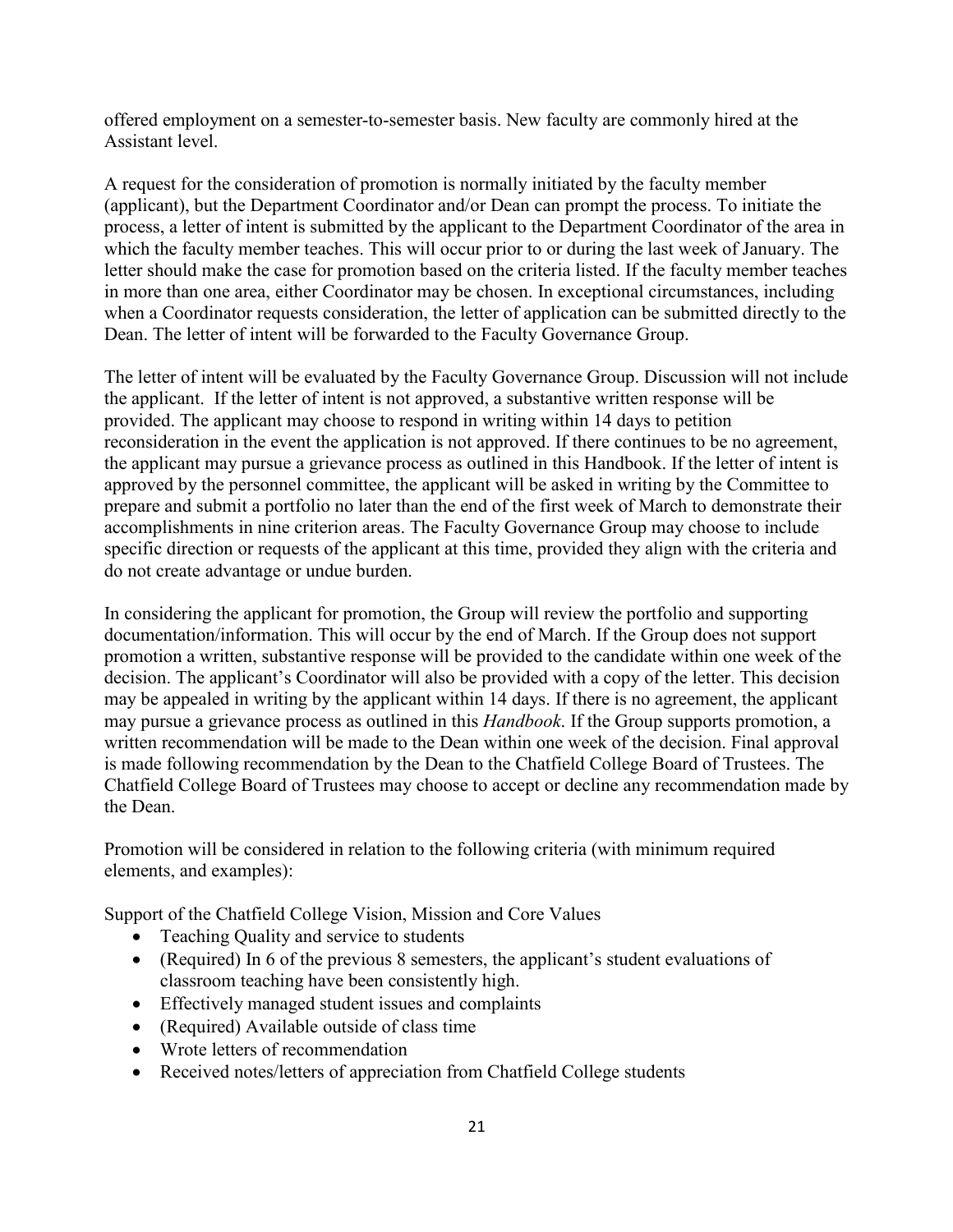offered employment on a semester-to-semester basis. New faculty are commonly hired at the Assistant level.

A request for the consideration of promotion is normally initiated by the faculty member (applicant), but the Department Coordinator and/or Dean can prompt the process. To initiate the process, a letter of intent is submitted by the applicant to the Department Coordinator of the area in which the faculty member teaches. This will occur prior to or during the last week of January. The letter should make the case for promotion based on the criteria listed. If the faculty member teaches in more than one area, either Coordinator may be chosen. In exceptional circumstances, including when a Coordinator requests consideration, the letter of application can be submitted directly to the Dean. The letter of intent will be forwarded to the Faculty Governance Group.

The letter of intent will be evaluated by the Faculty Governance Group. Discussion will not include the applicant. If the letter of intent is not approved, a substantive written response will be provided. The applicant may choose to respond in writing within 14 days to petition reconsideration in the event the application is not approved. If there continues to be no agreement, the applicant may pursue a grievance process as outlined in this Handbook. If the letter of intent is approved by the personnel committee, the applicant will be asked in writing by the Committee to prepare and submit a portfolio no later than the end of the first week of March to demonstrate their accomplishments in nine criterion areas. The Faculty Governance Group may choose to include specific direction or requests of the applicant at this time, provided they align with the criteria and do not create advantage or undue burden.

In considering the applicant for promotion, the Group will review the portfolio and supporting documentation/information. This will occur by the end of March. If the Group does not support promotion a written, substantive response will be provided to the candidate within one week of the decision. The applicant's Coordinator will also be provided with a copy of the letter. This decision may be appealed in writing by the applicant within 14 days. If there is no agreement, the applicant may pursue a grievance process as outlined in this *Handbook*. If the Group supports promotion, a written recommendation will be made to the Dean within one week of the decision. Final approval is made following recommendation by the Dean to the Chatfield College Board of Trustees. The Chatfield College Board of Trustees may choose to accept or decline any recommendation made by the Dean.

Promotion will be considered in relation to the following criteria (with minimum required elements, and examples):

Support of the Chatfield College Vision, Mission and Core Values

- Teaching Quality and service to students
- (Required) In 6 of the previous 8 semesters, the applicant's student evaluations of classroom teaching have been consistently high.
- Effectively managed student issues and complaints
- (Required) Available outside of class time
- Wrote letters of recommendation
- Received notes/letters of appreciation from Chatfield College students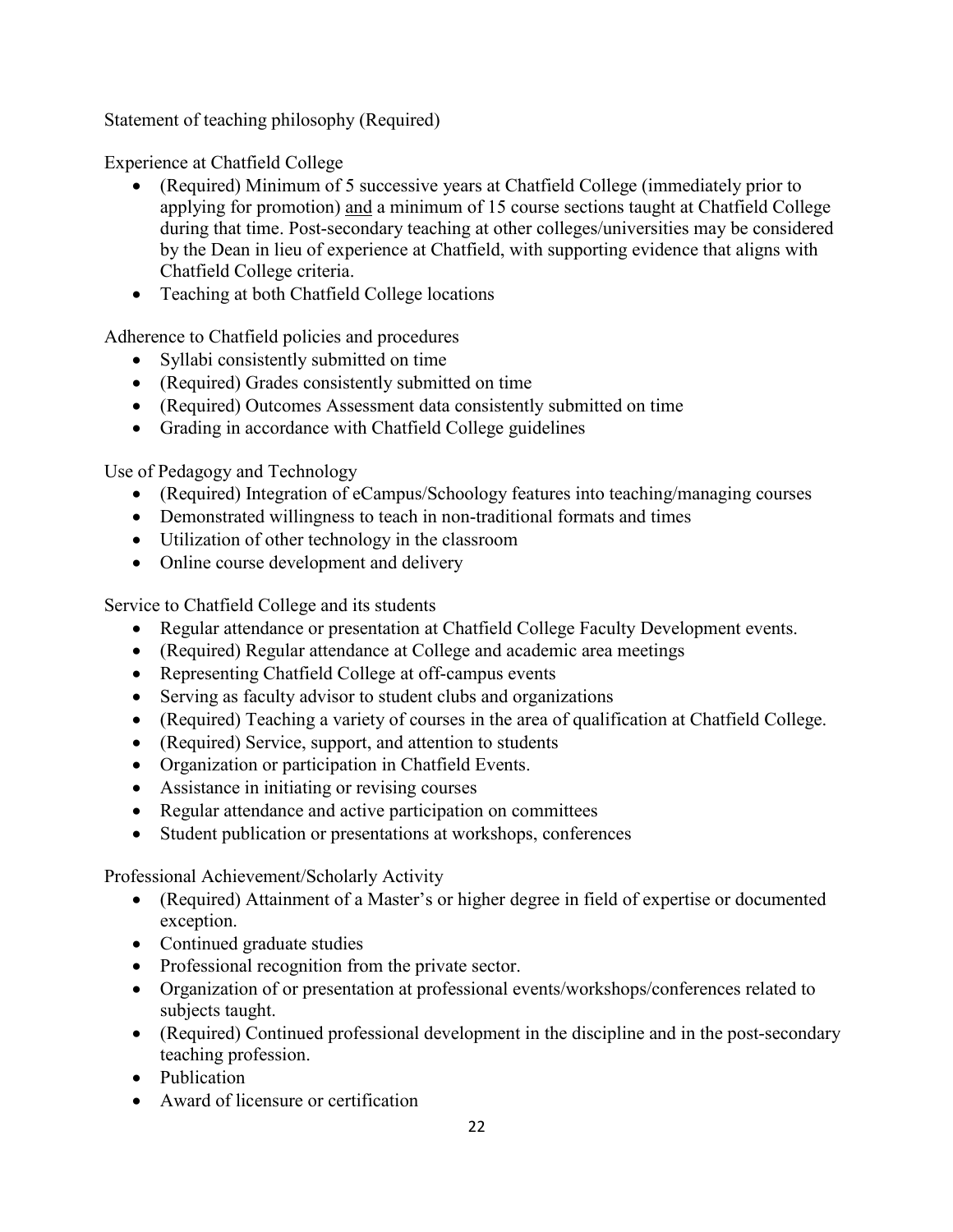Statement of teaching philosophy (Required)

Experience at Chatfield College

- (Required) Minimum of 5 successive years at Chatfield College (immediately prior to applying for promotion) and a minimum of 15 course sections taught at Chatfield College during that time. Post-secondary teaching at other colleges/universities may be considered by the Dean in lieu of experience at Chatfield, with supporting evidence that aligns with Chatfield College criteria.
- Teaching at both Chatfield College locations

Adherence to Chatfield policies and procedures

- Syllabi consistently submitted on time
- (Required) Grades consistently submitted on time
- (Required) Outcomes Assessment data consistently submitted on time
- Grading in accordance with Chatfield College guidelines

Use of Pedagogy and Technology

- (Required) Integration of eCampus/Schoology features into teaching/managing courses
- Demonstrated willingness to teach in non-traditional formats and times
- Utilization of other technology in the classroom
- Online course development and delivery

Service to Chatfield College and its students

- Regular attendance or presentation at Chatfield College Faculty Development events.
- (Required) Regular attendance at College and academic area meetings
- Representing Chatfield College at off-campus events
- Serving as faculty advisor to student clubs and organizations
- (Required) Teaching a variety of courses in the area of qualification at Chatfield College.
- (Required) Service, support, and attention to students
- Organization or participation in Chatfield Events.
- Assistance in initiating or revising courses
- Regular attendance and active participation on committees
- Student publication or presentations at workshops, conferences

Professional Achievement/Scholarly Activity

- (Required) Attainment of a Master's or higher degree in field of expertise or documented exception.
- Continued graduate studies
- Professional recognition from the private sector.
- Organization of or presentation at professional events/workshops/conferences related to subjects taught.
- (Required) Continued professional development in the discipline and in the post-secondary teaching profession.
- Publication
- Award of licensure or certification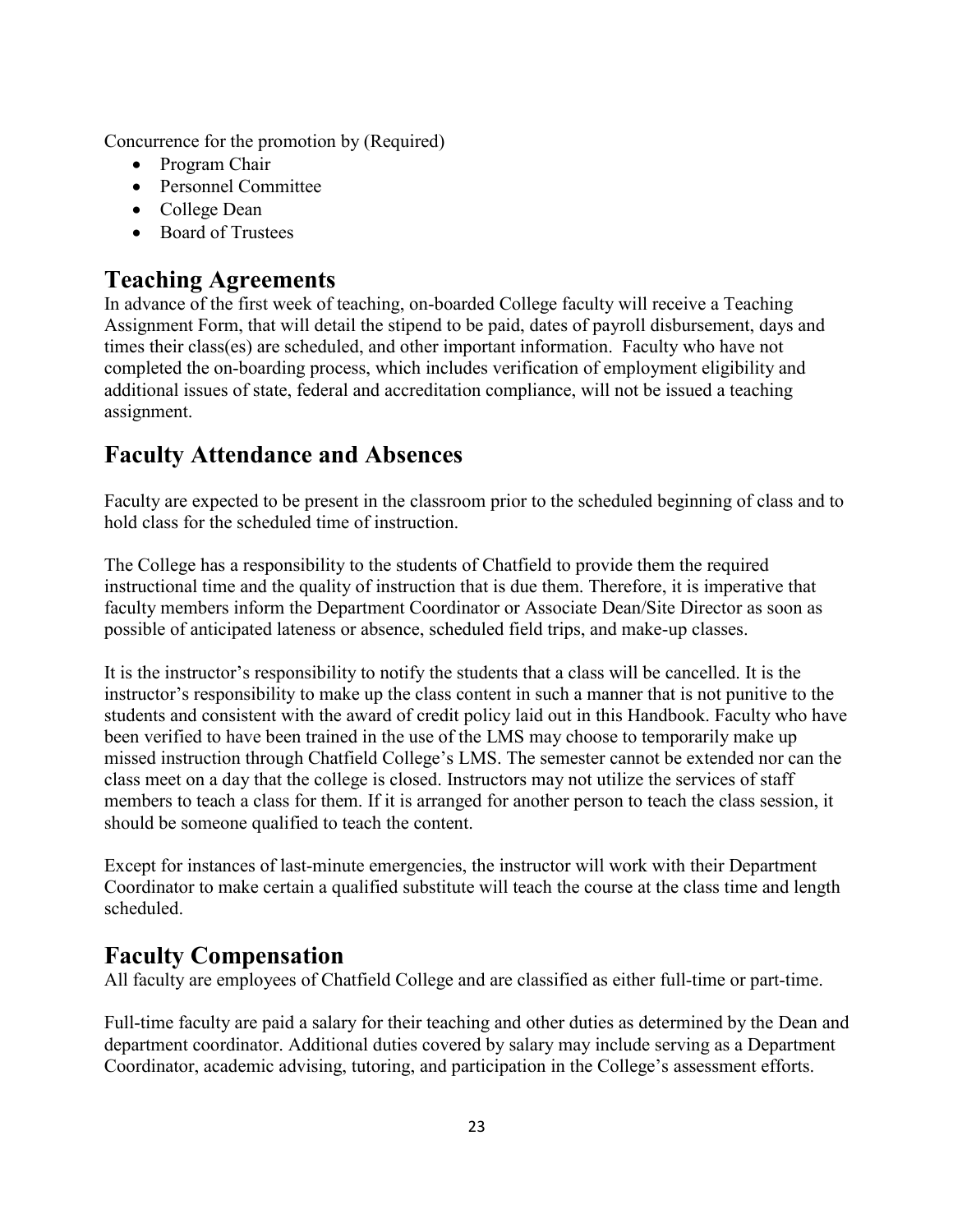Concurrence for the promotion by (Required)

- Program Chair
- Personnel Committee
- College Dean
- Board of Trustees

#### **Teaching Agreements**

In advance of the first week of teaching, on-boarded College faculty will receive a Teaching Assignment Form, that will detail the stipend to be paid, dates of payroll disbursement, days and times their class(es) are scheduled, and other important information. Faculty who have not completed the on-boarding process, which includes verification of employment eligibility and additional issues of state, federal and accreditation compliance, will not be issued a teaching assignment.

### **Faculty Attendance and Absences**

Faculty are expected to be present in the classroom prior to the scheduled beginning of class and to hold class for the scheduled time of instruction.

The College has a responsibility to the students of Chatfield to provide them the required instructional time and the quality of instruction that is due them. Therefore, it is imperative that faculty members inform the Department Coordinator or Associate Dean/Site Director as soon as possible of anticipated lateness or absence, scheduled field trips, and make-up classes.

It is the instructor's responsibility to notify the students that a class will be cancelled. It is the instructor's responsibility to make up the class content in such a manner that is not punitive to the students and consistent with the award of credit policy laid out in this Handbook. Faculty who have been verified to have been trained in the use of the LMS may choose to temporarily make up missed instruction through Chatfield College's LMS. The semester cannot be extended nor can the class meet on a day that the college is closed. Instructors may not utilize the services of staff members to teach a class for them. If it is arranged for another person to teach the class session, it should be someone qualified to teach the content.

Except for instances of last-minute emergencies, the instructor will work with their Department Coordinator to make certain a qualified substitute will teach the course at the class time and length scheduled.

### **Faculty Compensation**

All faculty are employees of Chatfield College and are classified as either full-time or part-time.

Full-time faculty are paid a salary for their teaching and other duties as determined by the Dean and department coordinator. Additional duties covered by salary may include serving as a Department Coordinator, academic advising, tutoring, and participation in the College's assessment efforts.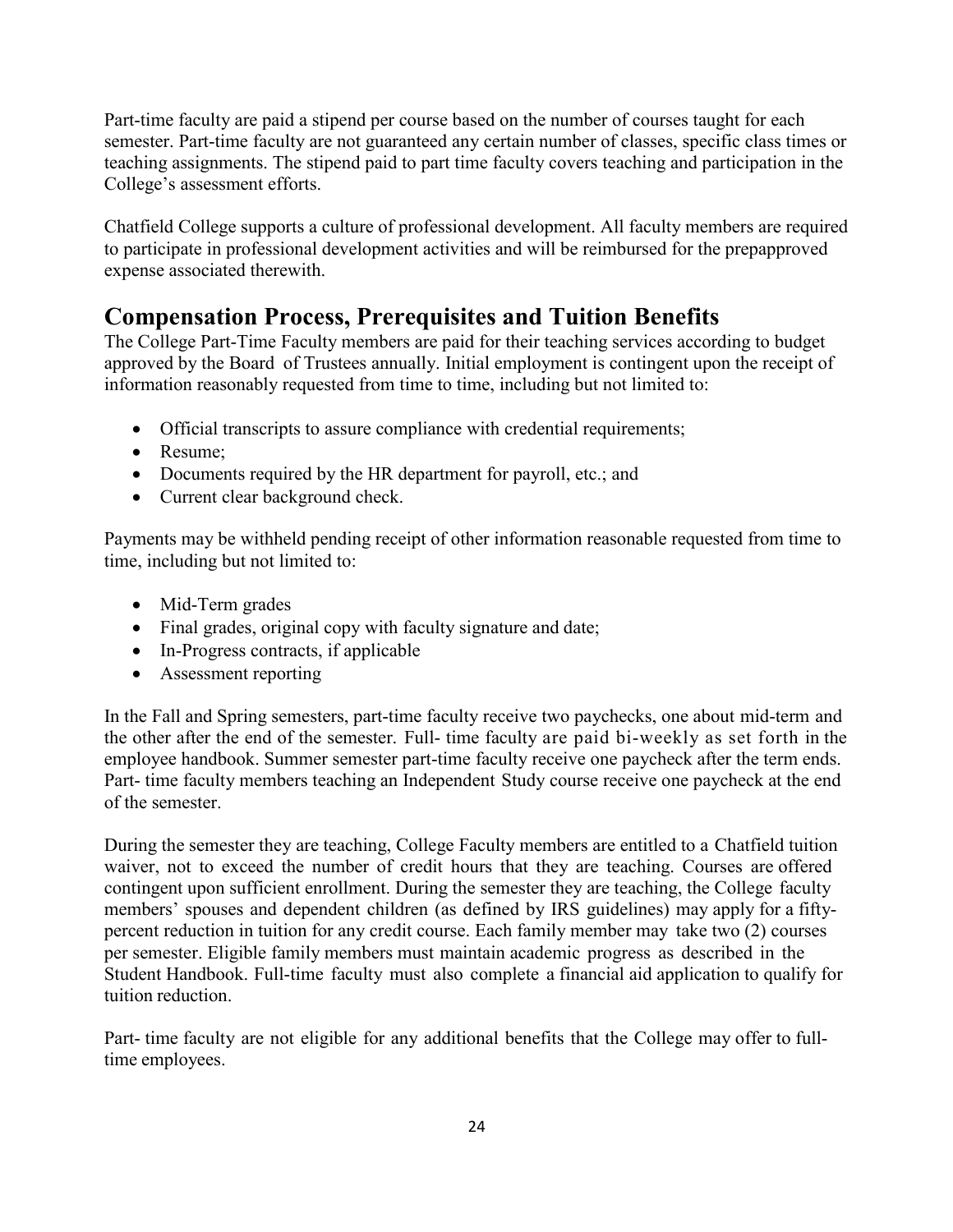Part-time faculty are paid a stipend per course based on the number of courses taught for each semester. Part-time faculty are not guaranteed any certain number of classes, specific class times or teaching assignments. The stipend paid to part time faculty covers teaching and participation in the College's assessment efforts.

Chatfield College supports a culture of professional development. All faculty members are required to participate in professional development activities and will be reimbursed for the prepapproved expense associated therewith.

### **Compensation Process, Prerequisites and Tuition Benefits**

The College Part-Time Faculty members are paid for their teaching services according to budget approved by the Board of Trustees annually. Initial employment is contingent upon the receipt of information reasonably requested from time to time, including but not limited to:

- Official transcripts to assure compliance with credential requirements;
- Resume:
- Documents required by the HR department for payroll, etc.; and
- Current clear background check.

Payments may be withheld pending receipt of other information reasonable requested from time to time, including but not limited to:

- Mid-Term grades
- Final grades, original copy with faculty signature and date;
- In-Progress contracts, if applicable
- Assessment reporting

In the Fall and Spring semesters, part-time faculty receive two paychecks, one about mid-term and the other after the end of the semester. Full- time faculty are paid bi-weekly as set forth in the employee handbook. Summer semester part-time faculty receive one paycheck after the term ends. Part- time faculty members teaching an Independent Study course receive one paycheck at the end of the semester.

During the semester they are teaching, College Faculty members are entitled to a Chatfield tuition waiver, not to exceed the number of credit hours that they are teaching. Courses are offered contingent upon sufficient enrollment. During the semester they are teaching, the College faculty members' spouses and dependent children (as defined by IRS guidelines) may apply for a fiftypercent reduction in tuition for any credit course. Each family member may take two (2) courses per semester. Eligible family members must maintain academic progress as described in the Student Handbook. Full-time faculty must also complete a financial aid application to qualify for tuition reduction.

Part- time faculty are not eligible for any additional benefits that the College may offer to fulltime employees.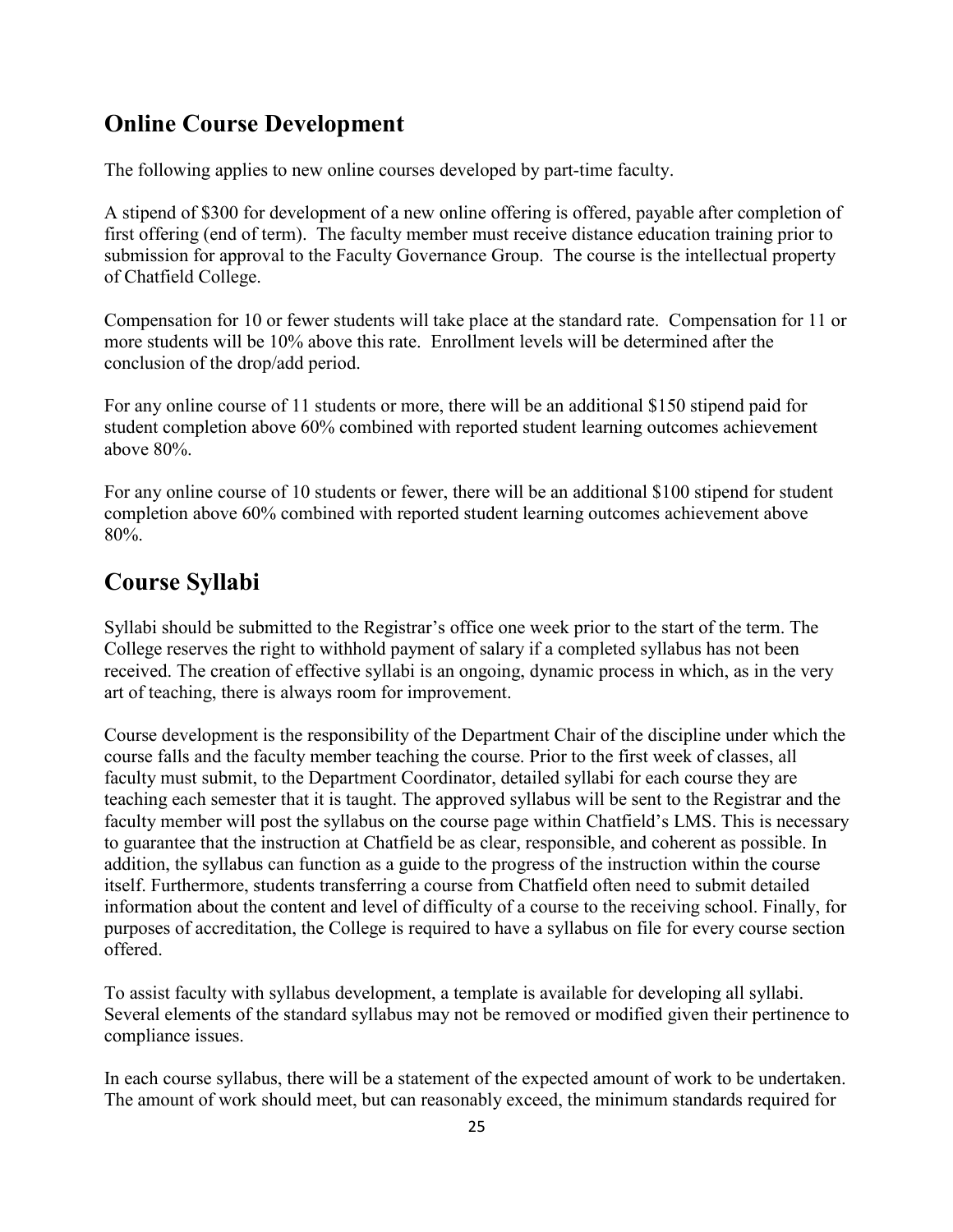#### **Online Course Development**

The following applies to new online courses developed by part-time faculty.

A stipend of \$300 for development of a new online offering is offered, payable after completion of first offering (end of term). The faculty member must receive distance education training prior to submission for approval to the Faculty Governance Group. The course is the intellectual property of Chatfield College.

Compensation for 10 or fewer students will take place at the standard rate. Compensation for 11 or more students will be 10% above this rate. Enrollment levels will be determined after the conclusion of the drop/add period.

For any online course of 11 students or more, there will be an additional \$150 stipend paid for student completion above 60% combined with reported student learning outcomes achievement above 80%.

For any online course of 10 students or fewer, there will be an additional \$100 stipend for student completion above 60% combined with reported student learning outcomes achievement above 80%.

### **Course Syllabi**

Syllabi should be submitted to the Registrar's office one week prior to the start of the term. The College reserves the right to withhold payment of salary if a completed syllabus has not been received. The creation of effective syllabi is an ongoing, dynamic process in which, as in the very art of teaching, there is always room for improvement.

Course development is the responsibility of the Department Chair of the discipline under which the course falls and the faculty member teaching the course. Prior to the first week of classes, all faculty must submit, to the Department Coordinator, detailed syllabi for each course they are teaching each semester that it is taught. The approved syllabus will be sent to the Registrar and the faculty member will post the syllabus on the course page within Chatfield's LMS. This is necessary to guarantee that the instruction at Chatfield be as clear, responsible, and coherent as possible. In addition, the syllabus can function as a guide to the progress of the instruction within the course itself. Furthermore, students transferring a course from Chatfield often need to submit detailed information about the content and level of difficulty of a course to the receiving school. Finally, for purposes of accreditation, the College is required to have a syllabus on file for every course section offered.

To assist faculty with syllabus development, a template is available for developing all syllabi. Several elements of the standard syllabus may not be removed or modified given their pertinence to compliance issues.

In each course syllabus, there will be a statement of the expected amount of work to be undertaken. The amount of work should meet, but can reasonably exceed, the minimum standards required for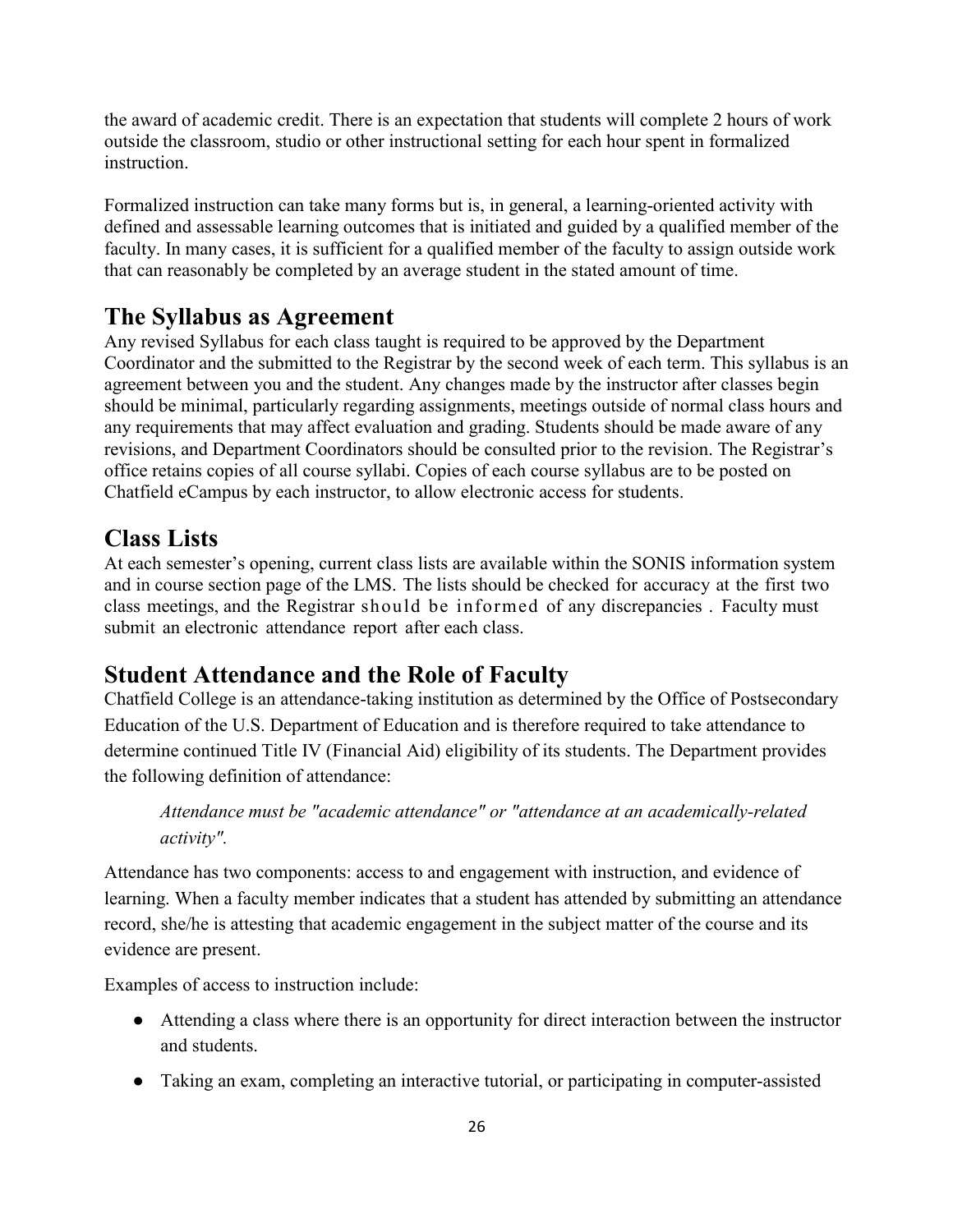the award of academic credit. There is an expectation that students will complete 2 hours of work outside the classroom, studio or other instructional setting for each hour spent in formalized instruction.

Formalized instruction can take many forms but is, in general, a learning-oriented activity with defined and assessable learning outcomes that is initiated and guided by a qualified member of the faculty. In many cases, it is sufficient for a qualified member of the faculty to assign outside work that can reasonably be completed by an average student in the stated amount of time.

#### **The Syllabus as Agreement**

Any revised Syllabus for each class taught is required to be approved by the Department Coordinator and the submitted to the Registrar by the second week of each term. This syllabus is an agreement between you and the student. Any changes made by the instructor after classes begin should be minimal, particularly regarding assignments, meetings outside of normal class hours and any requirements that may affect evaluation and grading. Students should be made aware of any revisions, and Department Coordinators should be consulted prior to the revision. The Registrar's office retains copies of all course syllabi. Copies of each course syllabus are to be posted on Chatfield eCampus by each instructor, to allow electronic access for students.

#### **Class Lists**

At each semester's opening, current class lists are available within the SONIS information system and in course section page of the LMS. The lists should be checked for accuracy at the first two class meetings, and the Registrar should be informed of any discrepancies . Faculty must submit an electronic attendance report after each class.

### **Student Attendance and the Role of Faculty**

Chatfield College is an attendance-taking institution as determined by the Office of Postsecondary Education of the U.S. Department of Education and is therefore required to take attendance to determine continued Title IV (Financial Aid) eligibility of its students. The Department provides the following definition of attendance:

*Attendance must be "academic attendance" or "attendance at an academically-related activity".* 

Attendance has two components: access to and engagement with instruction, and evidence of learning. When a faculty member indicates that a student has attended by submitting an attendance record, she/he is attesting that academic engagement in the subject matter of the course and its evidence are present.

Examples of access to instruction include:

- Attending a class where there is an opportunity for direct interaction between the instructor and students.
- Taking an exam, completing an interactive tutorial, or participating in computer-assisted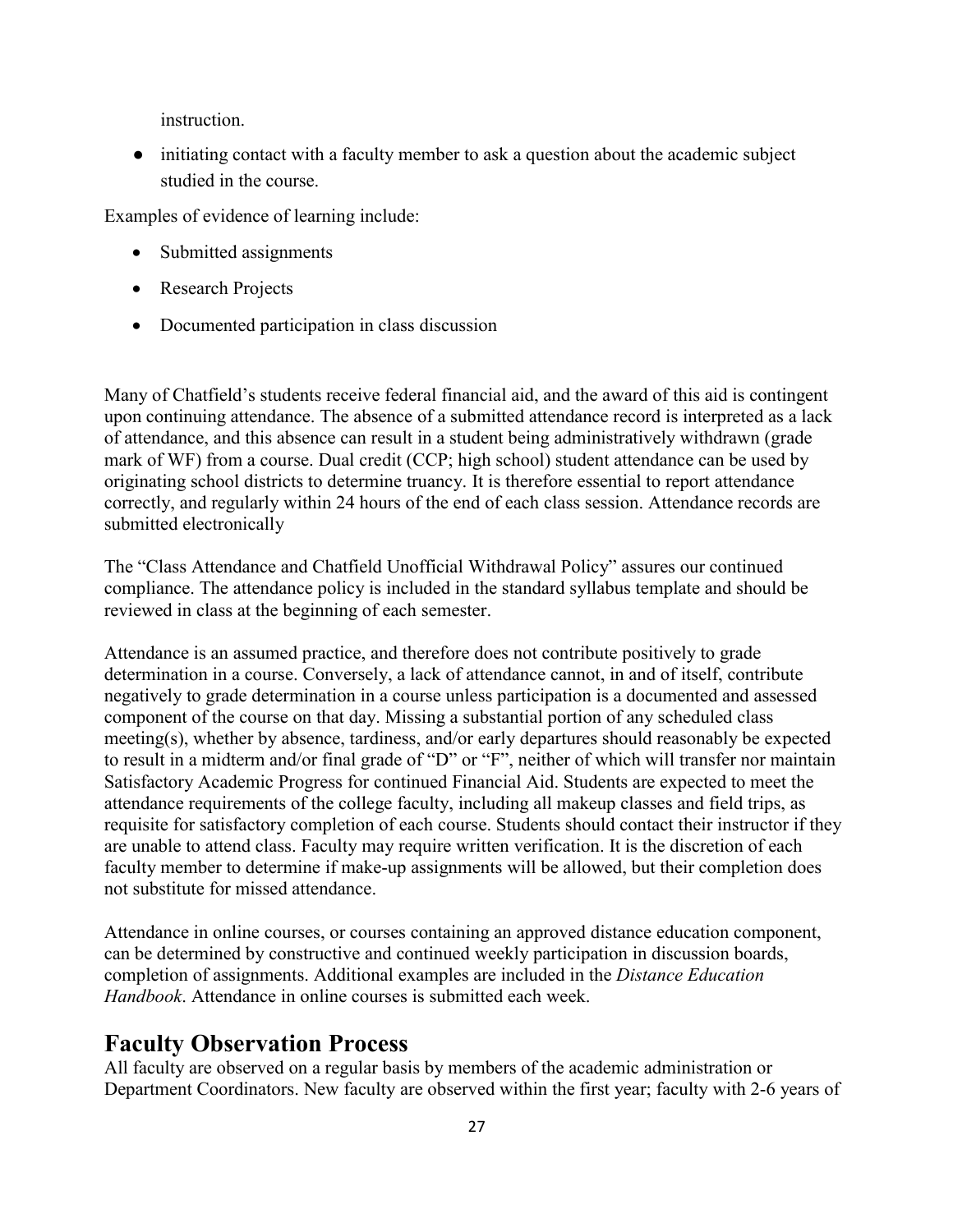instruction.

• initiating contact with a faculty member to ask a question about the academic subject studied in the course.

Examples of evidence of learning include:

- Submitted assignments
- Research Projects
- Documented participation in class discussion

Many of Chatfield's students receive federal financial aid, and the award of this aid is contingent upon continuing attendance. The absence of a submitted attendance record is interpreted as a lack of attendance, and this absence can result in a student being administratively withdrawn (grade mark of WF) from a course. Dual credit (CCP; high school) student attendance can be used by originating school districts to determine truancy. It is therefore essential to report attendance correctly, and regularly within 24 hours of the end of each class session. Attendance records are submitted electronically

The "Class Attendance and Chatfield Unofficial Withdrawal Policy" assures our continued compliance. The attendance policy is included in the standard syllabus template and should be reviewed in class at the beginning of each semester.

Attendance is an assumed practice, and therefore does not contribute positively to grade determination in a course. Conversely, a lack of attendance cannot, in and of itself, contribute negatively to grade determination in a course unless participation is a documented and assessed component of the course on that day. Missing a substantial portion of any scheduled class meeting(s), whether by absence, tardiness, and/or early departures should reasonably be expected to result in a midterm and/or final grade of "D" or "F", neither of which will transfer nor maintain Satisfactory Academic Progress for continued Financial Aid. Students are expected to meet the attendance requirements of the college faculty, including all makeup classes and field trips, as requisite for satisfactory completion of each course. Students should contact their instructor if they are unable to attend class. Faculty may require written verification. It is the discretion of each faculty member to determine if make-up assignments will be allowed, but their completion does not substitute for missed attendance.

Attendance in online courses, or courses containing an approved distance education component, can be determined by constructive and continued weekly participation in discussion boards, completion of assignments. Additional examples are included in the *Distance Education Handbook*. Attendance in online courses is submitted each week.

#### **Faculty Observation Process**

All faculty are observed on a regular basis by members of the academic administration or Department Coordinators. New faculty are observed within the first year; faculty with 2-6 years of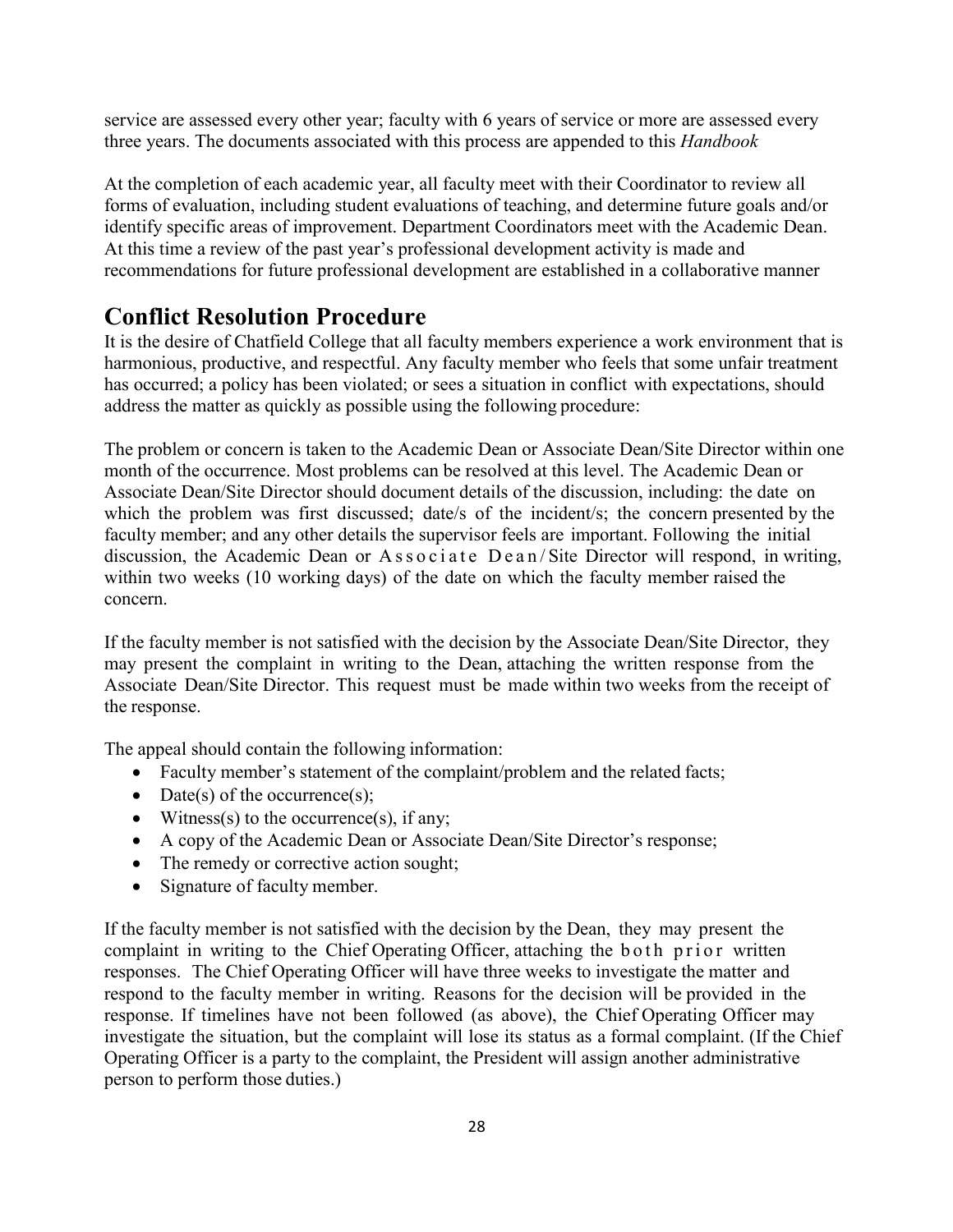service are assessed every other year; faculty with 6 years of service or more are assessed every three years. The documents associated with this process are appended to this *Handbook*

At the completion of each academic year, all faculty meet with their Coordinator to review all forms of evaluation, including student evaluations of teaching, and determine future goals and/or identify specific areas of improvement. Department Coordinators meet with the Academic Dean. At this time a review of the past year's professional development activity is made and recommendations for future professional development are established in a collaborative manner

### **Conflict Resolution Procedure**

It is the desire of Chatfield College that all faculty members experience a work environment that is harmonious, productive, and respectful. Any faculty member who feels that some unfair treatment has occurred; a policy has been violated; or sees a situation in conflict with expectations, should address the matter as quickly as possible using the following procedure:

The problem or concern is taken to the Academic Dean or Associate Dean/Site Director within one month of the occurrence. Most problems can be resolved at this level. The Academic Dean or Associate Dean/Site Director should document details of the discussion, including: the date on which the problem was first discussed; date/s of the incident/s; the concern presented by the faculty member; and any other details the supervisor feels are important. Following the initial discussion, the Academic Dean or Associate Dean/Site Director will respond, in writing, within two weeks (10 working days) of the date on which the faculty member raised the concern.

If the faculty member is not satisfied with the decision by the Associate Dean/Site Director, they may present the complaint in writing to the Dean, attaching the written response from the Associate Dean/Site Director. This request must be made within two weeks from the receipt of the response.

The appeal should contain the following information:

- Faculty member's statement of the complaint/problem and the related facts;
- $\bullet$  Date(s) of the occurrence(s);
- Witness(s) to the occurrence(s), if any;
- A copy of the Academic Dean or Associate Dean/Site Director's response;
- The remedy or corrective action sought;
- Signature of faculty member.

If the faculty member is not satisfied with the decision by the Dean, they may present the complaint in writing to the Chief Operating Officer, attaching the both prior written responses. The Chief Operating Officer will have three weeks to investigate the matter and respond to the faculty member in writing. Reasons for the decision will be provided in the response. If timelines have not been followed (as above), the Chief Operating Officer may investigate the situation, but the complaint will lose its status as a formal complaint. (If the Chief Operating Officer is a party to the complaint, the President will assign another administrative person to perform those duties.)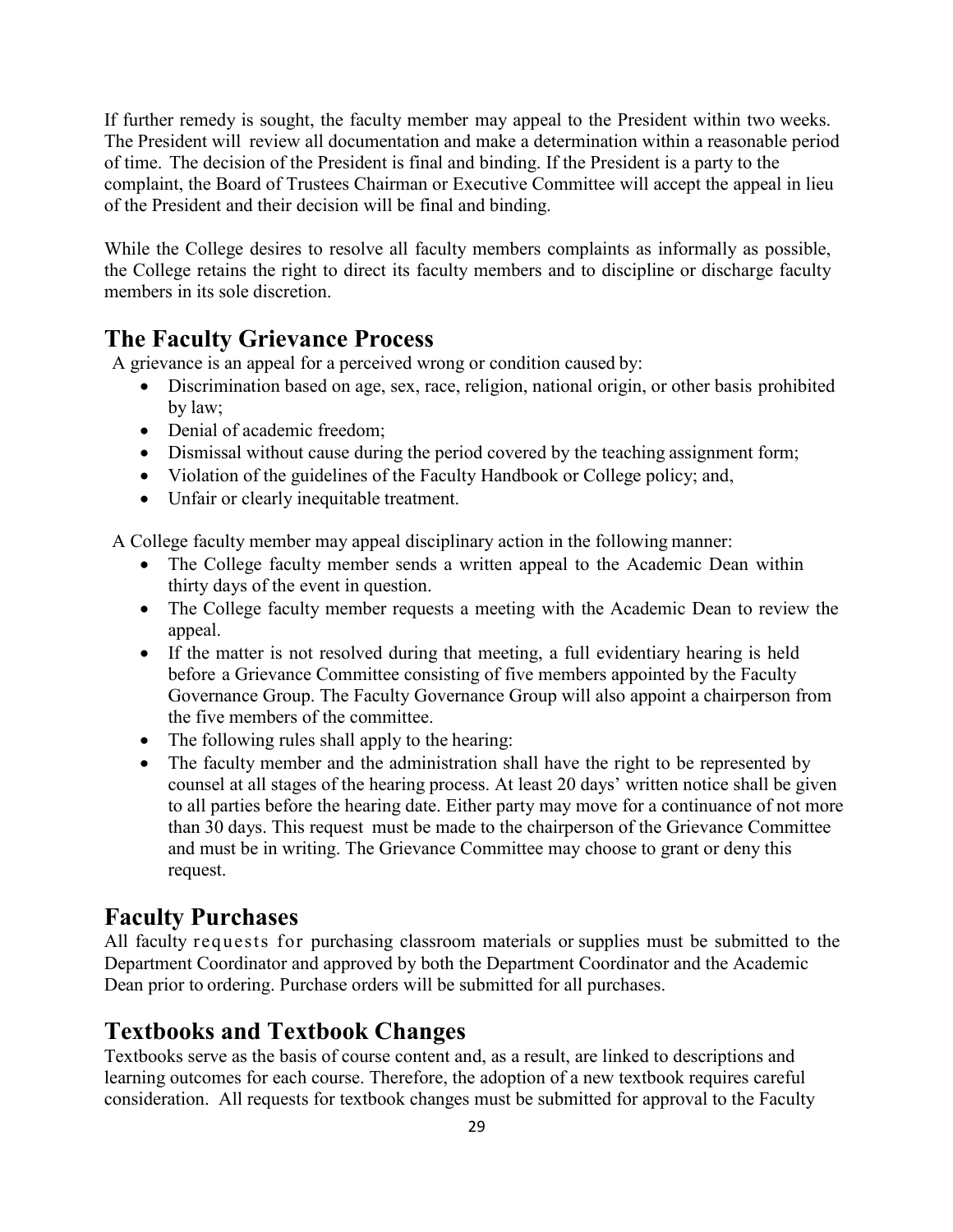If further remedy is sought, the faculty member may appeal to the President within two weeks. The President will review all documentation and make a determination within a reasonable period of time. The decision of the President is final and binding. If the President is a party to the complaint, the Board of Trustees Chairman or Executive Committee will accept the appeal in lieu of the President and their decision will be final and binding.

While the College desires to resolve all faculty members complaints as informally as possible, the College retains the right to direct its faculty members and to discipline or discharge faculty members in its sole discretion.

#### **The Faculty Grievance Process**

A grievance is an appeal for a perceived wrong or condition caused by:

- Discrimination based on age, sex, race, religion, national origin, or other basis prohibited by law;
- Denial of academic freedom:
- Dismissal without cause during the period covered by the teaching assignment form;
- Violation of the guidelines of the Faculty Handbook or College policy; and,
- Unfair or clearly inequitable treatment.

A College faculty member may appeal disciplinary action in the following manner:

- The College faculty member sends a written appeal to the Academic Dean within thirty days of the event in question.
- The College faculty member requests a meeting with the Academic Dean to review the appeal.
- If the matter is not resolved during that meeting, a full evidentiary hearing is held before a Grievance Committee consisting of five members appointed by the Faculty Governance Group. The Faculty Governance Group will also appoint a chairperson from the five members of the committee.
- The following rules shall apply to the hearing:
- The faculty member and the administration shall have the right to be represented by counsel at all stages of the hearing process. At least 20 days' written notice shall be given to all parties before the hearing date. Either party may move for a continuance of not more than 30 days. This request must be made to the chairperson of the Grievance Committee and must be in writing. The Grievance Committee may choose to grant or deny this request.

### **Faculty Purchases**

All faculty requests for purchasing classroom materials or supplies must be submitted to the Department Coordinator and approved by both the Department Coordinator and the Academic Dean prior to ordering. Purchase orders will be submitted for all purchases.

### **Textbooks and Textbook Changes**

Textbooks serve as the basis of course content and, as a result, are linked to descriptions and learning outcomes for each course. Therefore, the adoption of a new textbook requires careful consideration. All requests for textbook changes must be submitted for approval to the Faculty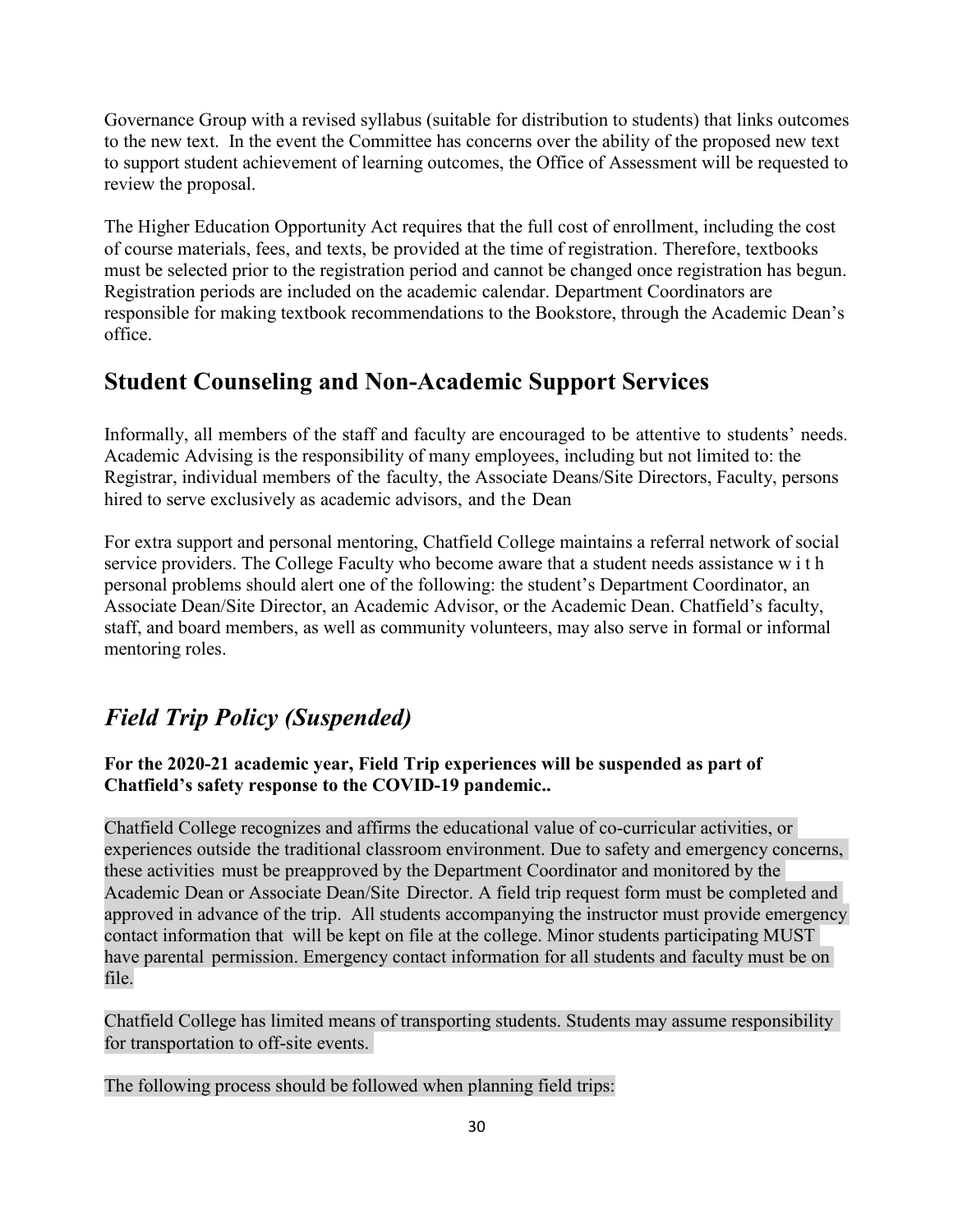Governance Group with a revised syllabus (suitable for distribution to students) that links outcomes to the new text. In the event the Committee has concerns over the ability of the proposed new text to support student achievement of learning outcomes, the Office of Assessment will be requested to review the proposal.

The Higher Education Opportunity Act requires that the full cost of enrollment, including the cost of course materials, fees, and texts, be provided at the time of registration. Therefore, textbooks must be selected prior to the registration period and cannot be changed once registration has begun. Registration periods are included on the academic calendar. Department Coordinators are responsible for making textbook recommendations to the Bookstore, through the Academic Dean's office.

### **Student Counseling and Non-Academic Support Services**

Informally, all members of the staff and faculty are encouraged to be attentive to students' needs. Academic Advising is the responsibility of many employees, including but not limited to: the Registrar, individual members of the faculty, the Associate Deans/Site Directors, Faculty, persons hired to serve exclusively as academic advisors, and the Dean

For extra support and personal mentoring, Chatfield College maintains a referral network of social service providers. The College Faculty who become aware that a student needs assistance w i t h personal problems should alert one of the following: the student's Department Coordinator, an Associate Dean/Site Director, an Academic Advisor, or the Academic Dean. Chatfield's faculty, staff, and board members, as well as community volunteers, may also serve in formal or informal mentoring roles.

### *Field Trip Policy (Suspended)*

**For the 2020-21 academic year, Field Trip experiences will be suspended as part of Chatfield's safety response to the COVID-19 pandemic..**

Chatfield College recognizes and affirms the educational value of co-curricular activities, or experiences outside the traditional classroom environment. Due to safety and emergency concerns, these activities must be preapproved by the Department Coordinator and monitored by the Academic Dean or Associate Dean/Site Director. A field trip request form must be completed and approved in advance of the trip. All students accompanying the instructor must provide emergency contact information that will be kept on file at the college. Minor students participating MUST have parental permission. Emergency contact information for all students and faculty must be on file.

Chatfield College has limited means of transporting students. Students may assume responsibility for transportation to off-site events.

The following process should be followed when planning field trips: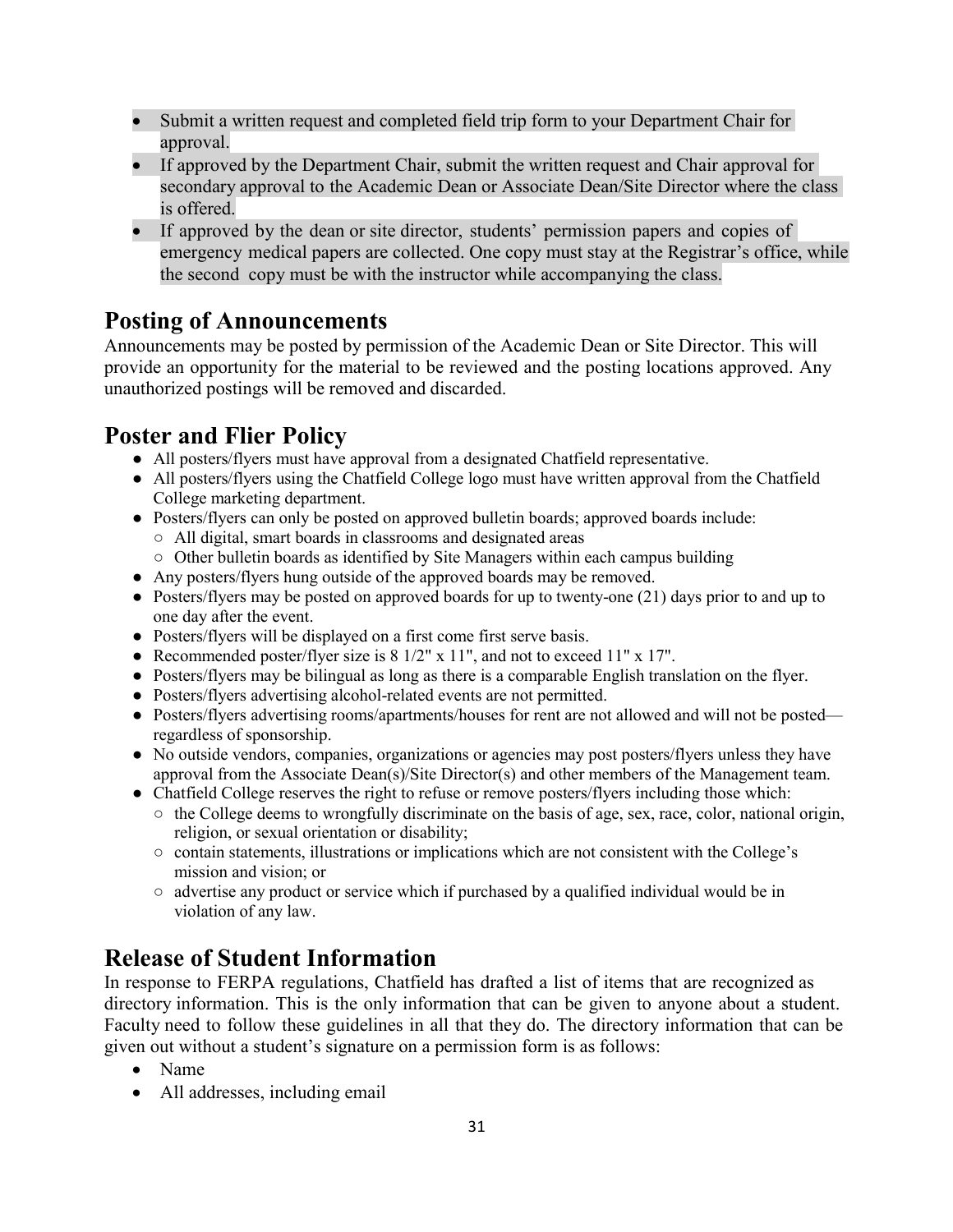- Submit a written request and completed field trip form to your Department Chair for approval.
- If approved by the Department Chair, submit the written request and Chair approval for secondary approval to the Academic Dean or Associate Dean/Site Director where the class is offered.
- If approved by the dean or site director, students' permission papers and copies of emergency medical papers are collected. One copy must stay at the Registrar's office, while the second copy must be with the instructor while accompanying the class.

#### **Posting of Announcements**

Announcements may be posted by permission of the Academic Dean or Site Director. This will provide an opportunity for the material to be reviewed and the posting locations approved. Any unauthorized postings will be removed and discarded.

### **Poster and Flier Policy**

- All posters/flyers must have approval from a designated Chatfield representative.
- All posters/flyers using the Chatfield College logo must have written approval from the Chatfield College marketing department.
- Posters/flyers can only be posted on approved bulletin boards; approved boards include:
	- All digital, smart boards in classrooms and designated areas
	- Other bulletin boards as identified by Site Managers within each campus building
- Any posters/flyers hung outside of the approved boards may be removed.
- Posters/flyers may be posted on approved boards for up to twenty-one (21) days prior to and up to one day after the event.
- Posters/flyers will be displayed on a first come first serve basis.
- Recommended poster/flyer size is 8 1/2" x 11", and not to exceed 11" x 17".
- Posters/flyers may be bilingual as long as there is a comparable English translation on the flyer.
- Posters/flyers advertising alcohol-related events are not permitted.
- Posters/flyers advertising rooms/apartments/houses for rent are not allowed and will not be posted regardless of sponsorship.
- No outside vendors, companies, organizations or agencies may post posters/flyers unless they have approval from the Associate Dean(s)/Site Director(s) and other members of the Management team.
- Chatfield College reserves the right to refuse or remove posters/flyers including those which:
	- $\circ$  the College deems to wrongfully discriminate on the basis of age, sex, race, color, national origin, religion, or sexual orientation or disability;
	- contain statements, illustrations or implications which are not consistent with the College's mission and vision; or
	- $\circ$  advertise any product or service which if purchased by a qualified individual would be in violation of any law.

### **Release of Student Information**

In response to FERPA regulations, Chatfield has drafted a list of items that are recognized as directory information. This is the only information that can be given to anyone about a student. Faculty need to follow these guidelines in all that they do. The directory information that can be given out without a student's signature on a permission form is as follows:

- Name
- All addresses, including email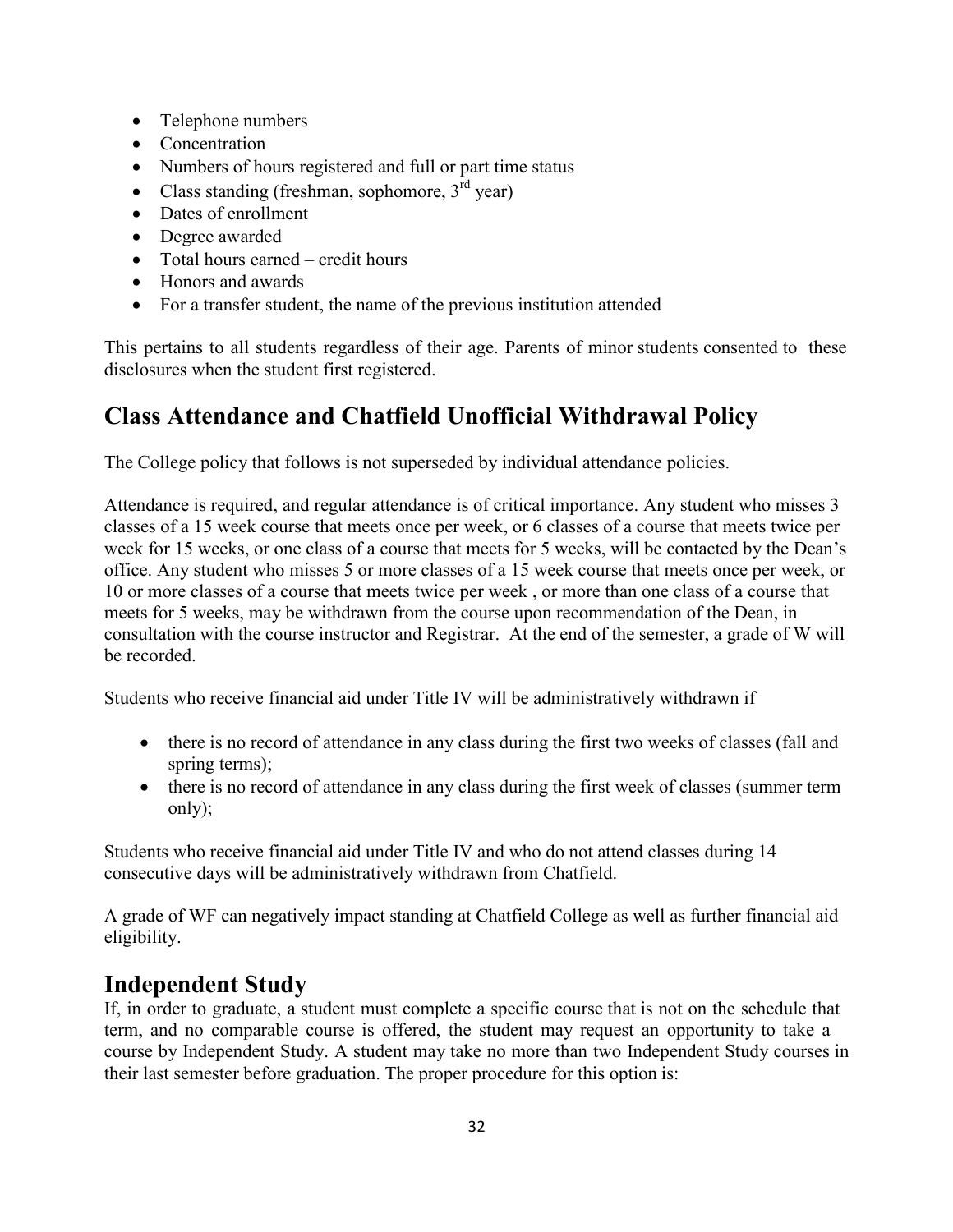- Telephone numbers
- Concentration
- Numbers of hours registered and full or part time status
- Class standing (freshman, sophomore,  $3<sup>rd</sup>$  year)
- Dates of enrollment
- Degree awarded
- Total hours earned credit hours
- Honors and awards
- For a transfer student, the name of the previous institution attended

This pertains to all students regardless of their age. Parents of minor students consented to these disclosures when the student first registered.

### **Class Attendance and Chatfield Unofficial Withdrawal Policy**

The College policy that follows is not superseded by individual attendance policies.

Attendance is required, and regular attendance is of critical importance. Any student who misses 3 classes of a 15 week course that meets once per week, or 6 classes of a course that meets twice per week for 15 weeks, or one class of a course that meets for 5 weeks, will be contacted by the Dean's office. Any student who misses 5 or more classes of a 15 week course that meets once per week, or 10 or more classes of a course that meets twice per week , or more than one class of a course that meets for 5 weeks, may be withdrawn from the course upon recommendation of the Dean, in consultation with the course instructor and Registrar. At the end of the semester, a grade of W will be recorded.

Students who receive financial aid under Title IV will be administratively withdrawn if

- there is no record of attendance in any class during the first two weeks of classes (fall and spring terms);
- there is no record of attendance in any class during the first week of classes (summer term only);

Students who receive financial aid under Title IV and who do not attend classes during 14 consecutive days will be administratively withdrawn from Chatfield.

A grade of WF can negatively impact standing at Chatfield College as well as further financial aid eligibility.

### **Independent Study**

If, in order to graduate, a student must complete a specific course that is not on the schedule that term, and no comparable course is offered, the student may request an opportunity to take a course by Independent Study. A student may take no more than two Independent Study courses in their last semester before graduation. The proper procedure for this option is: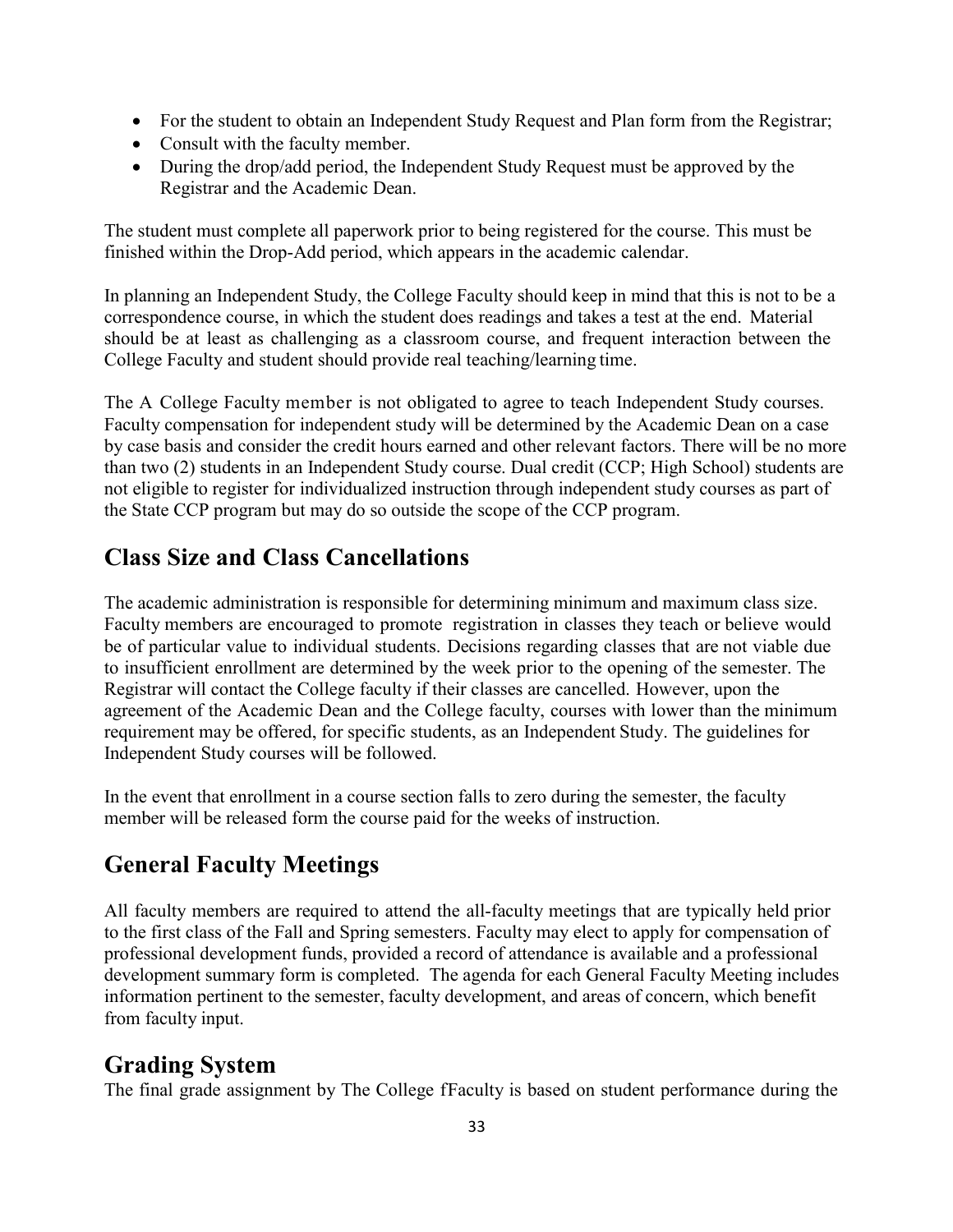- For the student to obtain an Independent Study Request and Plan form from the Registrar;
- Consult with the faculty member.
- During the drop/add period, the Independent Study Request must be approved by the Registrar and the Academic Dean.

The student must complete all paperwork prior to being registered for the course. This must be finished within the Drop-Add period, which appears in the academic calendar.

In planning an Independent Study, the College Faculty should keep in mind that this is not to be a correspondence course, in which the student does readings and takes a test at the end. Material should be at least as challenging as a classroom course, and frequent interaction between the College Faculty and student should provide real teaching/learning time.

The A College Faculty member is not obligated to agree to teach Independent Study courses. Faculty compensation for independent study will be determined by the Academic Dean on a case by case basis and consider the credit hours earned and other relevant factors. There will be no more than two (2) students in an Independent Study course. Dual credit (CCP; High School) students are not eligible to register for individualized instruction through independent study courses as part of the State CCP program but may do so outside the scope of the CCP program.

### **Class Size and Class Cancellations**

The academic administration is responsible for determining minimum and maximum class size. Faculty members are encouraged to promote registration in classes they teach or believe would be of particular value to individual students. Decisions regarding classes that are not viable due to insufficient enrollment are determined by the week prior to the opening of the semester. The Registrar will contact the College faculty if their classes are cancelled. However, upon the agreement of the Academic Dean and the College faculty, courses with lower than the minimum requirement may be offered, for specific students, as an Independent Study. The guidelines for Independent Study courses will be followed.

In the event that enrollment in a course section falls to zero during the semester, the faculty member will be released form the course paid for the weeks of instruction.

### **General Faculty Meetings**

All faculty members are required to attend the all-faculty meetings that are typically held prior to the first class of the Fall and Spring semesters. Faculty may elect to apply for compensation of professional development funds, provided a record of attendance is available and a professional development summary form is completed. The agenda for each General Faculty Meeting includes information pertinent to the semester, faculty development, and areas of concern, which benefit from faculty input.

### **Grading System**

The final grade assignment by The College fFaculty is based on student performance during the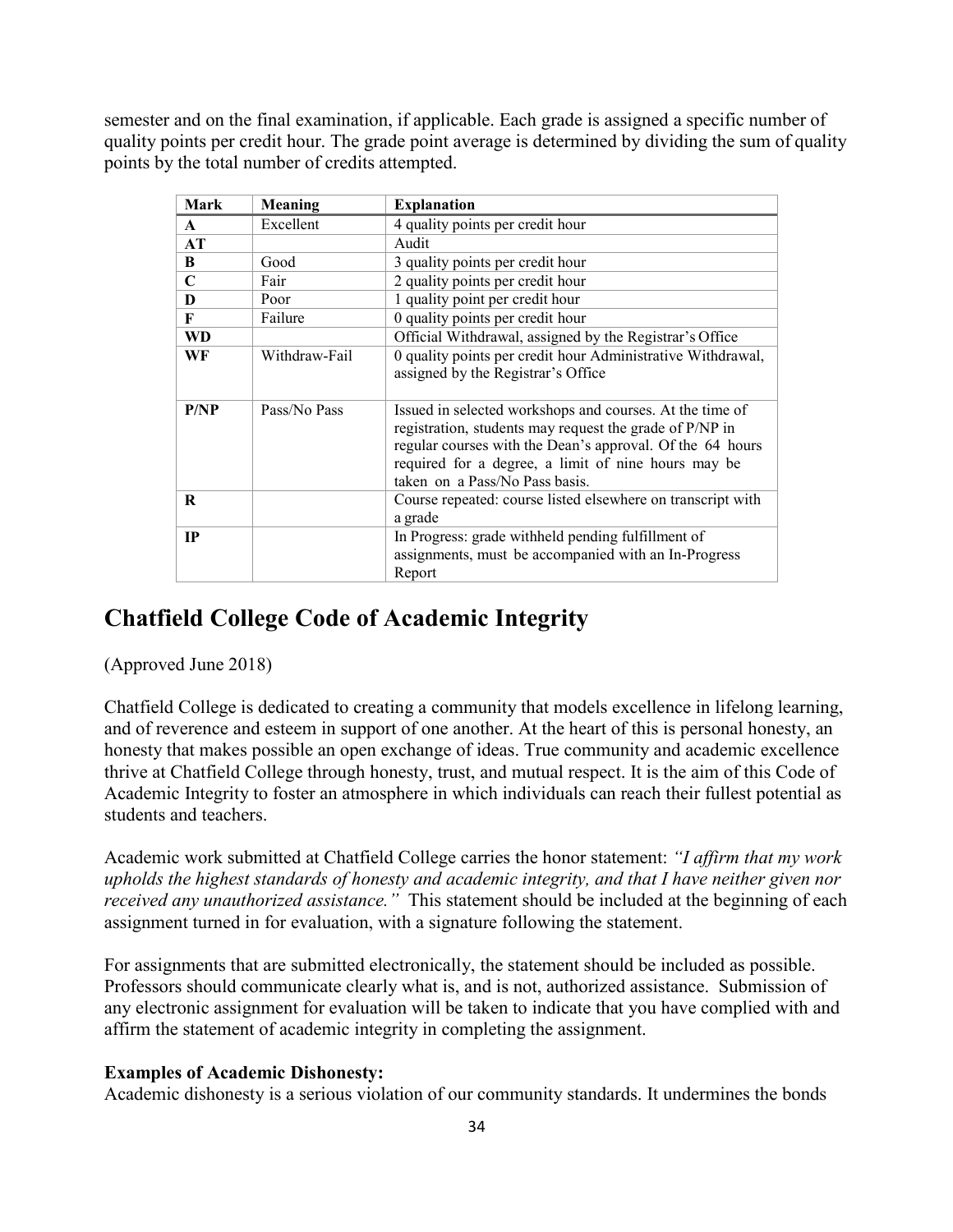semester and on the final examination, if applicable. Each grade is assigned a specific number of quality points per credit hour. The grade point average is determined by dividing the sum of quality points by the total number of credits attempted.

| <b>Mark</b>  | <b>Meaning</b> | <b>Explanation</b>                                                                                                                                                                                                                                                        |
|--------------|----------------|---------------------------------------------------------------------------------------------------------------------------------------------------------------------------------------------------------------------------------------------------------------------------|
| $\mathbf{A}$ | Excellent      | 4 quality points per credit hour                                                                                                                                                                                                                                          |
| AT           |                | Audit                                                                                                                                                                                                                                                                     |
| B            | Good           | 3 quality points per credit hour                                                                                                                                                                                                                                          |
| $\mathbf C$  | Fair           | 2 quality points per credit hour                                                                                                                                                                                                                                          |
| D            | Poor           | 1 quality point per credit hour                                                                                                                                                                                                                                           |
| F            | Failure        | 0 quality points per credit hour                                                                                                                                                                                                                                          |
| <b>WD</b>    |                | Official Withdrawal, assigned by the Registrar's Office                                                                                                                                                                                                                   |
| WF           | Withdraw-Fail  | 0 quality points per credit hour Administrative Withdrawal,<br>assigned by the Registrar's Office                                                                                                                                                                         |
| P/NP         | Pass/No Pass   | Issued in selected workshops and courses. At the time of<br>registration, students may request the grade of P/NP in<br>regular courses with the Dean's approval. Of the 64 hours<br>required for a degree, a limit of nine hours may be<br>taken on a Pass/No Pass basis. |
| R            |                | Course repeated: course listed elsewhere on transcript with<br>a grade                                                                                                                                                                                                    |
| IP           |                | In Progress: grade withheld pending fulfillment of<br>assignments, must be accompanied with an In-Progress<br>Report                                                                                                                                                      |

### **Chatfield College Code of Academic Integrity**

(Approved June 2018)

Chatfield College is dedicated to creating a community that models excellence in lifelong learning, and of reverence and esteem in support of one another. At the heart of this is personal honesty, an honesty that makes possible an open exchange of ideas. True community and academic excellence thrive at Chatfield College through honesty, trust, and mutual respect. It is the aim of this Code of Academic Integrity to foster an atmosphere in which individuals can reach their fullest potential as students and teachers.

Academic work submitted at Chatfield College carries the honor statement: *"I affirm that my work upholds the highest standards of honesty and academic integrity, and that I have neither given nor received any unauthorized assistance."* This statement should be included at the beginning of each assignment turned in for evaluation, with a signature following the statement.

For assignments that are submitted electronically, the statement should be included as possible. Professors should communicate clearly what is, and is not, authorized assistance. Submission of any electronic assignment for evaluation will be taken to indicate that you have complied with and affirm the statement of academic integrity in completing the assignment.

#### **Examples of Academic Dishonesty:**

Academic dishonesty is a serious violation of our community standards. It undermines the bonds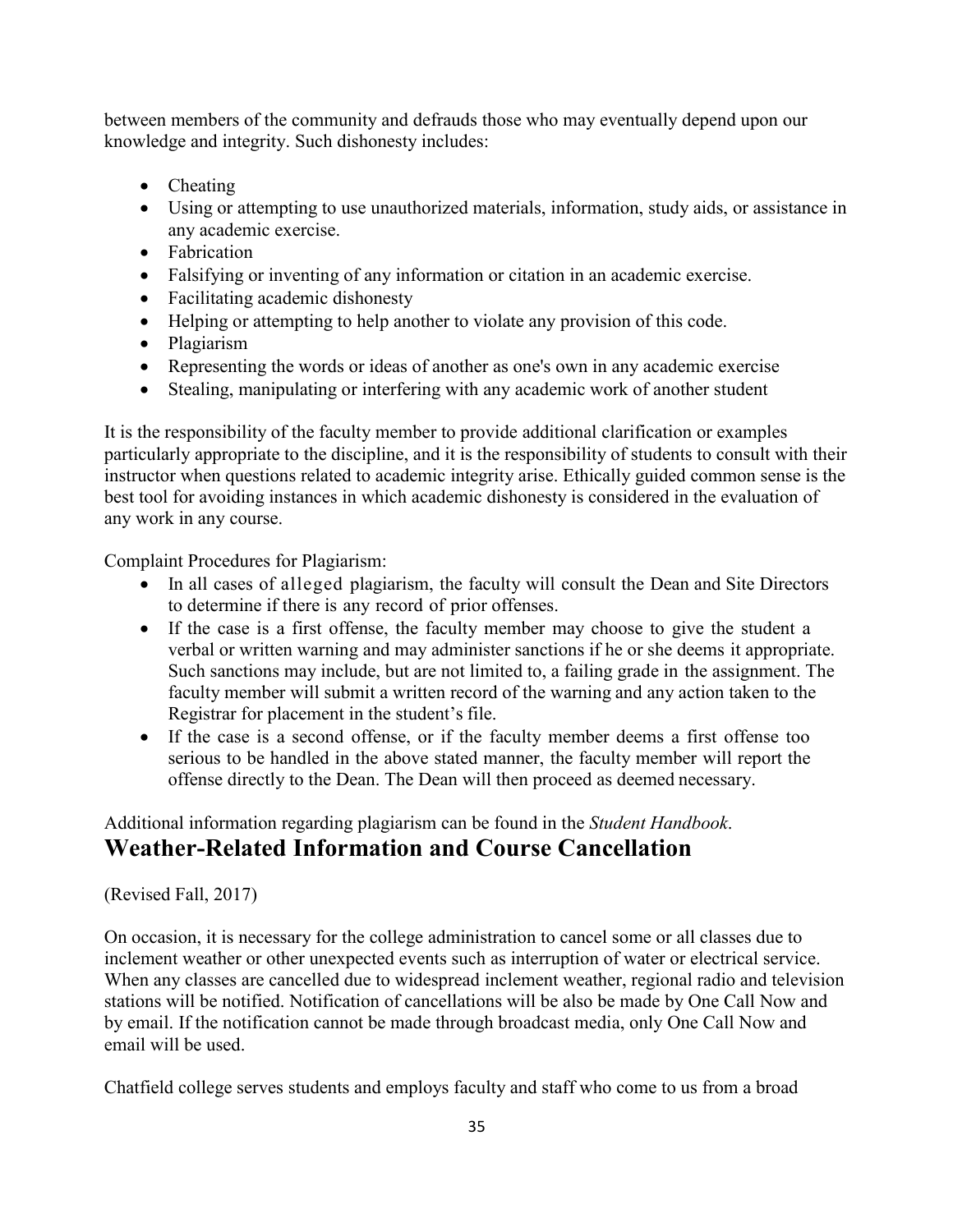between members of the community and defrauds those who may eventually depend upon our knowledge and integrity. Such dishonesty includes:

- Cheating
- Using or attempting to use unauthorized materials, information, study aids, or assistance in any academic exercise.
- Fabrication
- Falsifying or inventing of any information or citation in an academic exercise.
- Facilitating academic dishonesty
- Helping or attempting to help another to violate any provision of this code.
- Plagiarism
- Representing the words or ideas of another as one's own in any academic exercise
- Stealing, manipulating or interfering with any academic work of another student

It is the responsibility of the faculty member to provide additional clarification or examples particularly appropriate to the discipline, and it is the responsibility of students to consult with their instructor when questions related to academic integrity arise. Ethically guided common sense is the best tool for avoiding instances in which academic dishonesty is considered in the evaluation of any work in any course.

Complaint Procedures for Plagiarism:

- In all cases of alleged plagiarism, the faculty will consult the Dean and Site Directors to determine if there is any record of prior offenses.
- If the case is a first offense, the faculty member may choose to give the student a verbal or written warning and may administer sanctions if he or she deems it appropriate. Such sanctions may include, but are not limited to, a failing grade in the assignment. The faculty member will submit a written record of the warning and any action taken to the Registrar for placement in the student's file.
- If the case is a second offense, or if the faculty member deems a first offense too serious to be handled in the above stated manner, the faculty member will report the offense directly to the Dean. The Dean will then proceed as deemed necessary.

#### Additional information regarding plagiarism can be found in the *Student Handbook*. **Weather-Related Information and Course Cancellation**

#### (Revised Fall, 2017)

On occasion, it is necessary for the college administration to cancel some or all classes due to inclement weather or other unexpected events such as interruption of water or electrical service. When any classes are cancelled due to widespread inclement weather, regional radio and television stations will be notified. Notification of cancellations will be also be made by One Call Now and by email. If the notification cannot be made through broadcast media, only One Call Now and email will be used.

Chatfield college serves students and employs faculty and staff who come to us from a broad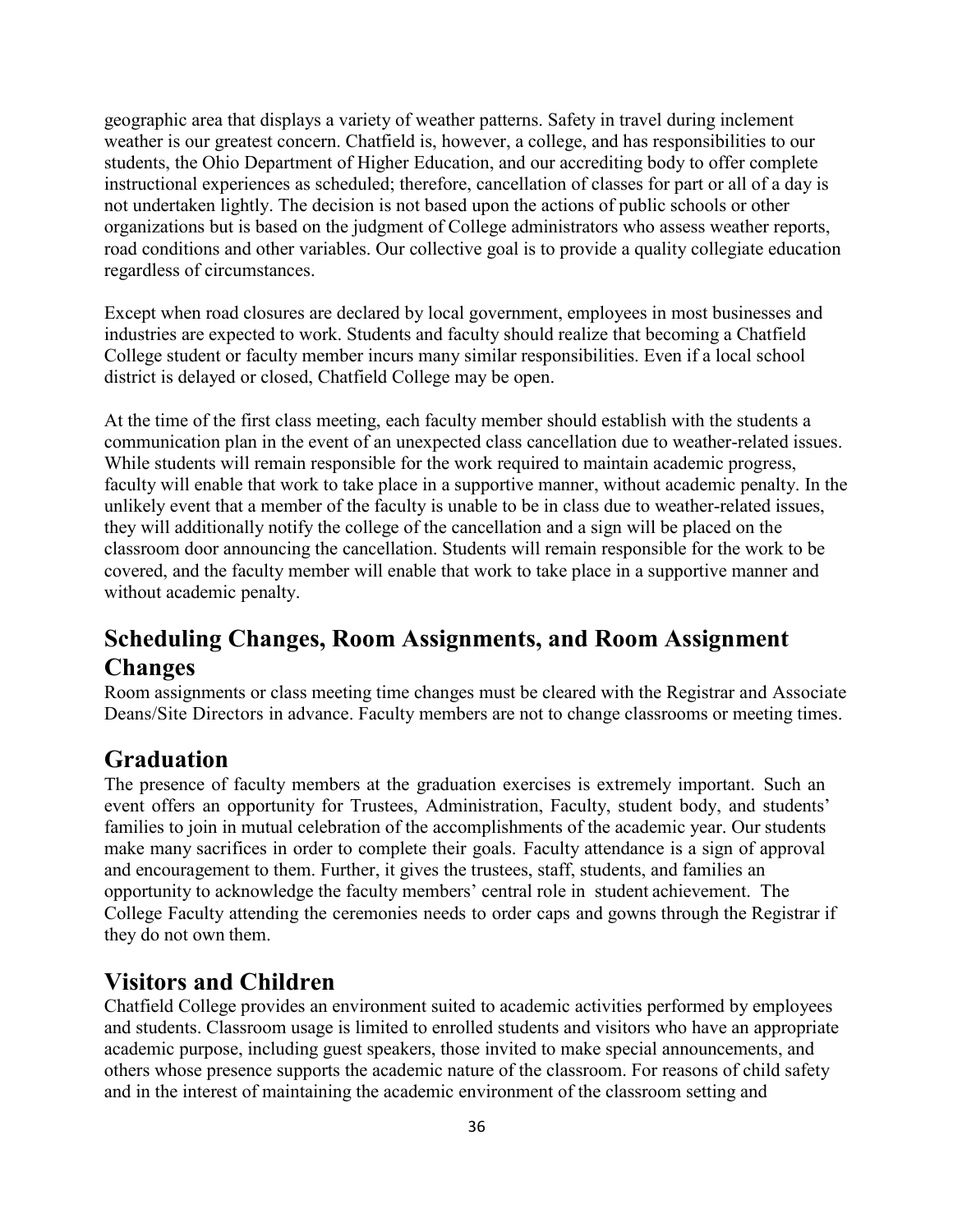geographic area that displays a variety of weather patterns. Safety in travel during inclement weather is our greatest concern. Chatfield is, however, a college, and has responsibilities to our students, the Ohio Department of Higher Education, and our accrediting body to offer complete instructional experiences as scheduled; therefore, cancellation of classes for part or all of a day is not undertaken lightly. The decision is not based upon the actions of public schools or other organizations but is based on the judgment of College administrators who assess weather reports, road conditions and other variables. Our collective goal is to provide a quality collegiate education regardless of circumstances.

Except when road closures are declared by local government, employees in most businesses and industries are expected to work. Students and faculty should realize that becoming a Chatfield College student or faculty member incurs many similar responsibilities. Even if a local school district is delayed or closed, Chatfield College may be open.

At the time of the first class meeting, each faculty member should establish with the students a communication plan in the event of an unexpected class cancellation due to weather-related issues. While students will remain responsible for the work required to maintain academic progress, faculty will enable that work to take place in a supportive manner, without academic penalty. In the unlikely event that a member of the faculty is unable to be in class due to weather-related issues, they will additionally notify the college of the cancellation and a sign will be placed on the classroom door announcing the cancellation. Students will remain responsible for the work to be covered, and the faculty member will enable that work to take place in a supportive manner and without academic penalty.

### **Scheduling Changes, Room Assignments, and Room Assignment Changes**

Room assignments or class meeting time changes must be cleared with the Registrar and Associate Deans/Site Directors in advance. Faculty members are not to change classrooms or meeting times.

### **Graduation**

The presence of faculty members at the graduation exercises is extremely important. Such an event offers an opportunity for Trustees, Administration, Faculty, student body, and students' families to join in mutual celebration of the accomplishments of the academic year. Our students make many sacrifices in order to complete their goals. Faculty attendance is a sign of approval and encouragement to them. Further, it gives the trustees, staff, students, and families an opportunity to acknowledge the faculty members' central role in student achievement. The College Faculty attending the ceremonies needs to order caps and gowns through the Registrar if they do not own them.

#### **Visitors and Children**

Chatfield College provides an environment suited to academic activities performed by employees and students. Classroom usage is limited to enrolled students and visitors who have an appropriate academic purpose, including guest speakers, those invited to make special announcements, and others whose presence supports the academic nature of the classroom. For reasons of child safety and in the interest of maintaining the academic environment of the classroom setting and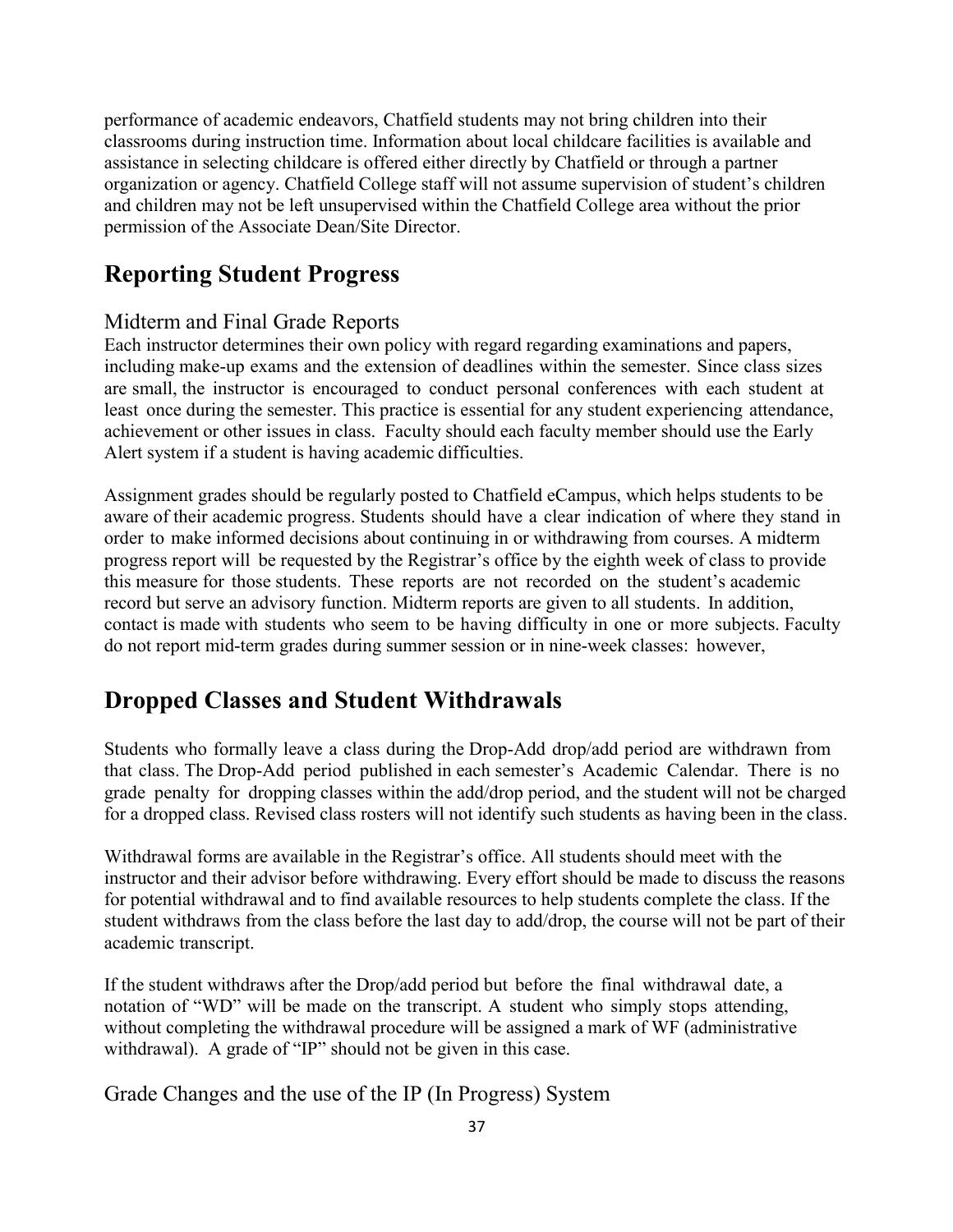performance of academic endeavors, Chatfield students may not bring children into their classrooms during instruction time. Information about local childcare facilities is available and assistance in selecting childcare is offered either directly by Chatfield or through a partner organization or agency. Chatfield College staff will not assume supervision of student's children and children may not be left unsupervised within the Chatfield College area without the prior permission of the Associate Dean/Site Director.

### **Reporting Student Progress**

#### Midterm and Final Grade Reports

Each instructor determines their own policy with regard regarding examinations and papers, including make-up exams and the extension of deadlines within the semester. Since class sizes are small, the instructor is encouraged to conduct personal conferences with each student at least once during the semester. This practice is essential for any student experiencing attendance, achievement or other issues in class. Faculty should each faculty member should use the Early Alert system if a student is having academic difficulties.

Assignment grades should be regularly posted to Chatfield eCampus, which helps students to be aware of their academic progress. Students should have a clear indication of where they stand in order to make informed decisions about continuing in or withdrawing from courses. A midterm progress report will be requested by the Registrar's office by the eighth week of class to provide this measure for those students. These reports are not recorded on the student's academic record but serve an advisory function. Midterm reports are given to all students. In addition, contact is made with students who seem to be having difficulty in one or more subjects. Faculty do not report mid-term grades during summer session or in nine-week classes: however,

### **Dropped Classes and Student Withdrawals**

Students who formally leave a class during the Drop-Add drop/add period are withdrawn from that class. The Drop-Add period published in each semester's Academic Calendar. There is no grade penalty for dropping classes within the add/drop period, and the student will not be charged for a dropped class. Revised class rosters will not identify such students as having been in the class.

Withdrawal forms are available in the Registrar's office. All students should meet with the instructor and their advisor before withdrawing. Every effort should be made to discuss the reasons for potential withdrawal and to find available resources to help students complete the class. If the student withdraws from the class before the last day to add/drop, the course will not be part of their academic transcript.

If the student withdraws after the Drop/add period but before the final withdrawal date, a notation of "WD" will be made on the transcript. A student who simply stops attending, without completing the withdrawal procedure will be assigned a mark of WF (administrative withdrawal). A grade of "IP" should not be given in this case.

Grade Changes and the use of the IP (In Progress) System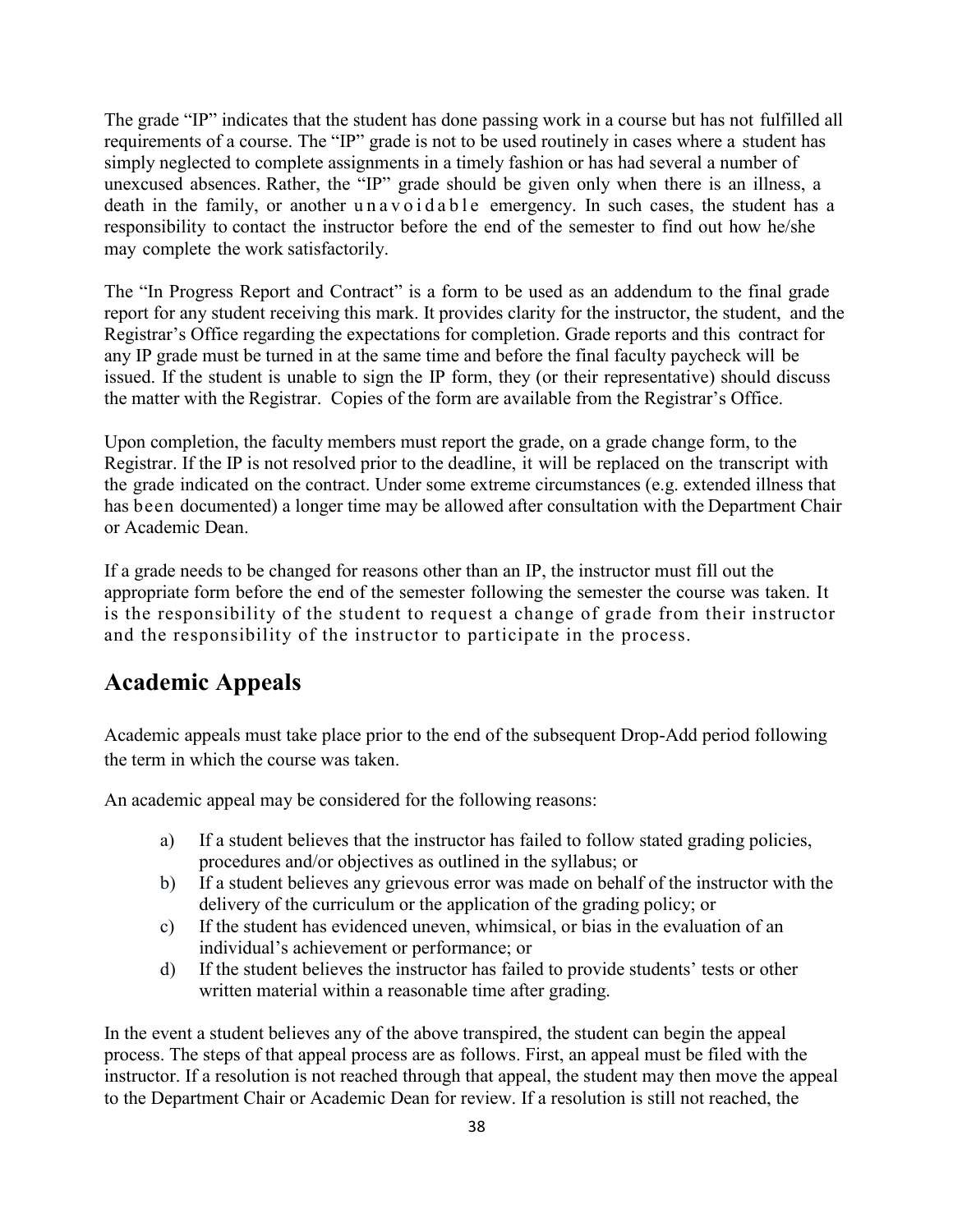The grade "IP" indicates that the student has done passing work in a course but has not fulfilled all requirements of a course. The "IP" grade is not to be used routinely in cases where a student has simply neglected to complete assignments in a timely fashion or has had several a number of unexcused absences. Rather, the "IP" grade should be given only when there is an illness, a death in the family, or another unavoidable emergency. In such cases, the student has a responsibility to contact the instructor before the end of the semester to find out how he/she may complete the work satisfactorily.

The "In Progress Report and Contract" is a form to be used as an addendum to the final grade report for any student receiving this mark. It provides clarity for the instructor, the student, and the Registrar's Office regarding the expectations for completion. Grade reports and this contract for any IP grade must be turned in at the same time and before the final faculty paycheck will be issued. If the student is unable to sign the IP form, they (or their representative) should discuss the matter with the Registrar. Copies of the form are available from the Registrar's Office.

Upon completion, the faculty members must report the grade, on a grade change form, to the Registrar. If the IP is not resolved prior to the deadline, it will be replaced on the transcript with the grade indicated on the contract. Under some extreme circumstances (e.g. extended illness that has been documented) a longer time may be allowed after consultation with the Department Chair or Academic Dean.

If a grade needs to be changed for reasons other than an IP, the instructor must fill out the appropriate form before the end of the semester following the semester the course was taken. It is the responsibility of the student to request a change of grade from their instructor and the responsibility of the instructor to participate in the process.

#### **Academic Appeals**

Academic appeals must take place prior to the end of the subsequent Drop-Add period following the term in which the course was taken.

An academic appeal may be considered for the following reasons:

- a) If a student believes that the instructor has failed to follow stated grading policies, procedures and/or objectives as outlined in the syllabus; or
- b) If a student believes any grievous error was made on behalf of the instructor with the delivery of the curriculum or the application of the grading policy; or
- c) If the student has evidenced uneven, whimsical, or bias in the evaluation of an individual's achievement or performance; or
- d) If the student believes the instructor has failed to provide students' tests or other written material within a reasonable time after grading.

In the event a student believes any of the above transpired, the student can begin the appeal process. The steps of that appeal process are as follows. First, an appeal must be filed with the instructor. If a resolution is not reached through that appeal, the student may then move the appeal to the Department Chair or Academic Dean for review. If a resolution is still not reached, the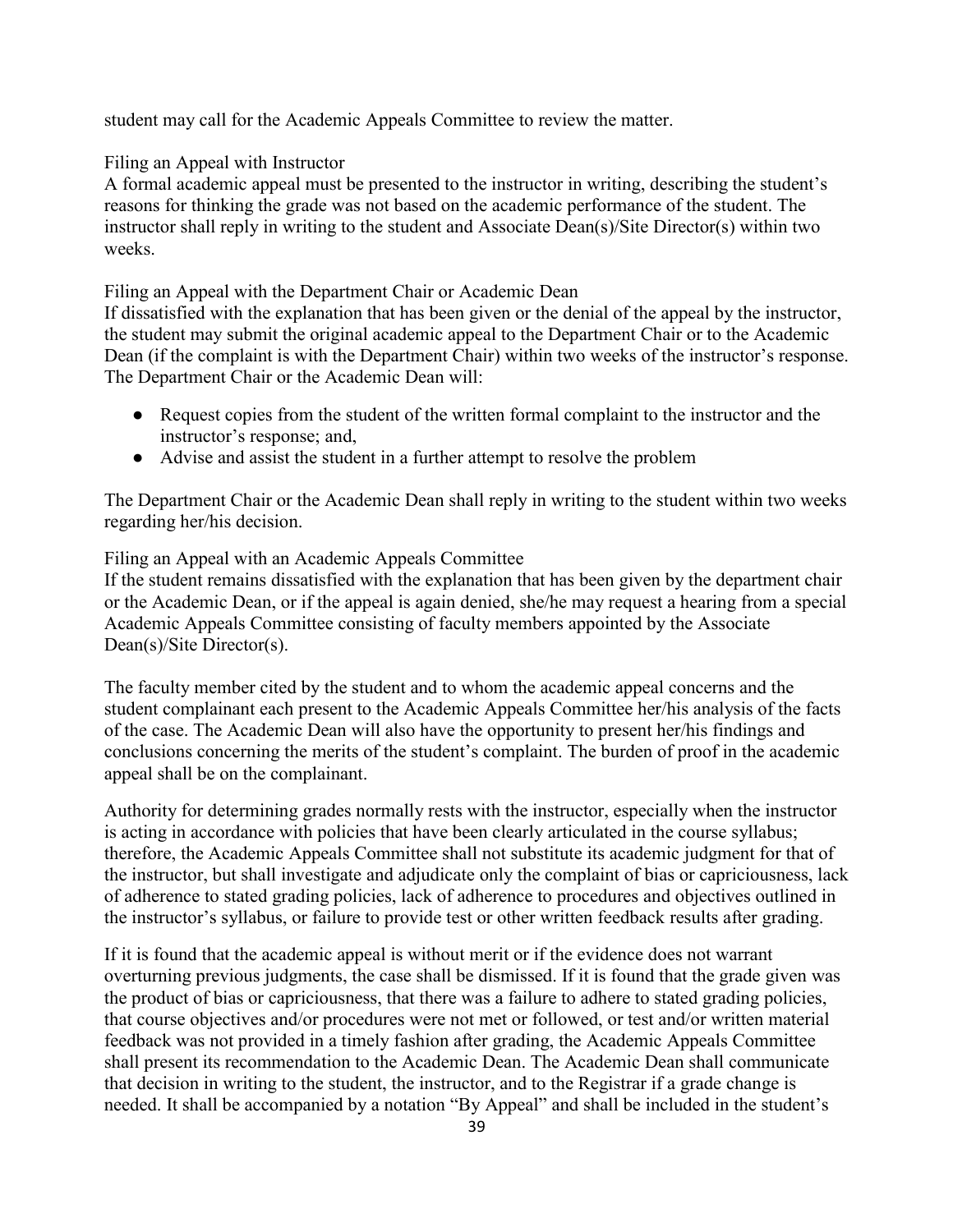student may call for the Academic Appeals Committee to review the matter.

Filing an Appeal with Instructor

A formal academic appeal must be presented to the instructor in writing, describing the student's reasons for thinking the grade was not based on the academic performance of the student. The instructor shall reply in writing to the student and Associate Dean(s)/Site Director(s) within two weeks.

Filing an Appeal with the Department Chair or Academic Dean

If dissatisfied with the explanation that has been given or the denial of the appeal by the instructor, the student may submit the original academic appeal to the Department Chair or to the Academic Dean (if the complaint is with the Department Chair) within two weeks of the instructor's response. The Department Chair or the Academic Dean will:

- Request copies from the student of the written formal complaint to the instructor and the instructor's response; and,
- Advise and assist the student in a further attempt to resolve the problem

The Department Chair or the Academic Dean shall reply in writing to the student within two weeks regarding her/his decision.

Filing an Appeal with an Academic Appeals Committee

If the student remains dissatisfied with the explanation that has been given by the department chair or the Academic Dean, or if the appeal is again denied, she/he may request a hearing from a special Academic Appeals Committee consisting of faculty members appointed by the Associate Dean(s)/Site Director(s).

The faculty member cited by the student and to whom the academic appeal concerns and the student complainant each present to the Academic Appeals Committee her/his analysis of the facts of the case. The Academic Dean will also have the opportunity to present her/his findings and conclusions concerning the merits of the student's complaint. The burden of proof in the academic appeal shall be on the complainant.

Authority for determining grades normally rests with the instructor, especially when the instructor is acting in accordance with policies that have been clearly articulated in the course syllabus; therefore, the Academic Appeals Committee shall not substitute its academic judgment for that of the instructor, but shall investigate and adjudicate only the complaint of bias or capriciousness, lack of adherence to stated grading policies, lack of adherence to procedures and objectives outlined in the instructor's syllabus, or failure to provide test or other written feedback results after grading.

If it is found that the academic appeal is without merit or if the evidence does not warrant overturning previous judgments, the case shall be dismissed. If it is found that the grade given was the product of bias or capriciousness, that there was a failure to adhere to stated grading policies, that course objectives and/or procedures were not met or followed, or test and/or written material feedback was not provided in a timely fashion after grading, the Academic Appeals Committee shall present its recommendation to the Academic Dean. The Academic Dean shall communicate that decision in writing to the student, the instructor, and to the Registrar if a grade change is needed. It shall be accompanied by a notation "By Appeal" and shall be included in the student's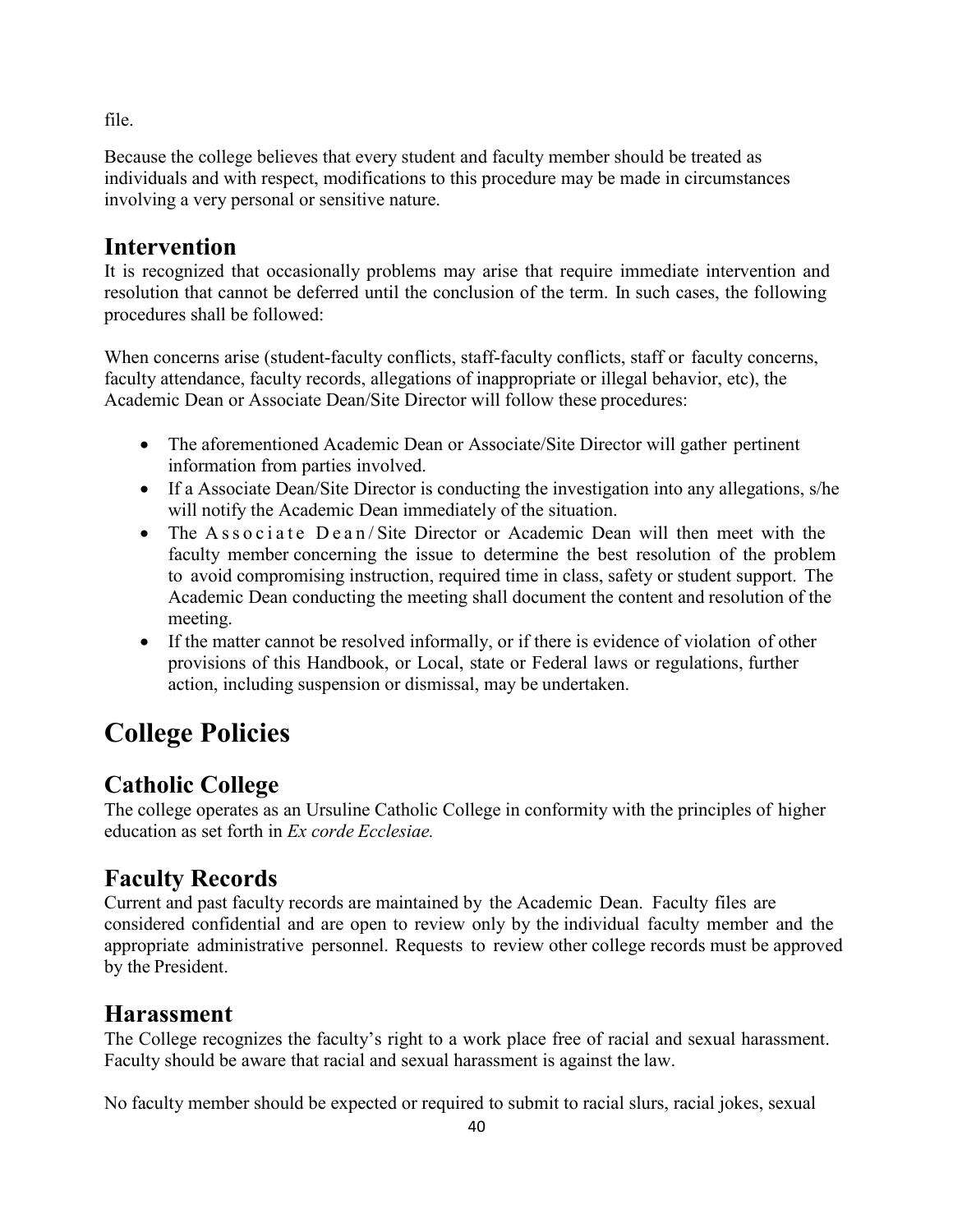file.

Because the college believes that every student and faculty member should be treated as individuals and with respect, modifications to this procedure may be made in circumstances involving a very personal or sensitive nature.

### **Intervention**

It is recognized that occasionally problems may arise that require immediate intervention and resolution that cannot be deferred until the conclusion of the term. In such cases, the following procedures shall be followed:

When concerns arise (student-faculty conflicts, staff-faculty conflicts, staff or faculty concerns, faculty attendance, faculty records, allegations of inappropriate or illegal behavior, etc), the Academic Dean or Associate Dean/Site Director will follow these procedures:

- The aforementioned Academic Dean or Associate/Site Director will gather pertinent information from parties involved.
- If a Associate Dean/Site Director is conducting the investigation into any allegations, s/he will notify the Academic Dean immediately of the situation.
- The Associate Dean/Site Director or Academic Dean will then meet with the faculty member concerning the issue to determine the best resolution of the problem to avoid compromising instruction, required time in class, safety or student support. The Academic Dean conducting the meeting shall document the content and resolution of the meeting.
- If the matter cannot be resolved informally, or if there is evidence of violation of other provisions of this Handbook, or Local, state or Federal laws or regulations, further action, including suspension or dismissal, may be undertaken.

# **College Policies**

### **Catholic College**

The college operates as an Ursuline Catholic College in conformity with the principles of higher education as set forth in *Ex corde Ecclesiae.*

### **Faculty Records**

Current and past faculty records are maintained by the Academic Dean. Faculty files are considered confidential and are open to review only by the individual faculty member and the appropriate administrative personnel. Requests to review other college records must be approved by the President.

### **Harassment**

The College recognizes the faculty's right to a work place free of racial and sexual harassment. Faculty should be aware that racial and sexual harassment is against the law.

No faculty member should be expected or required to submit to racial slurs, racial jokes, sexual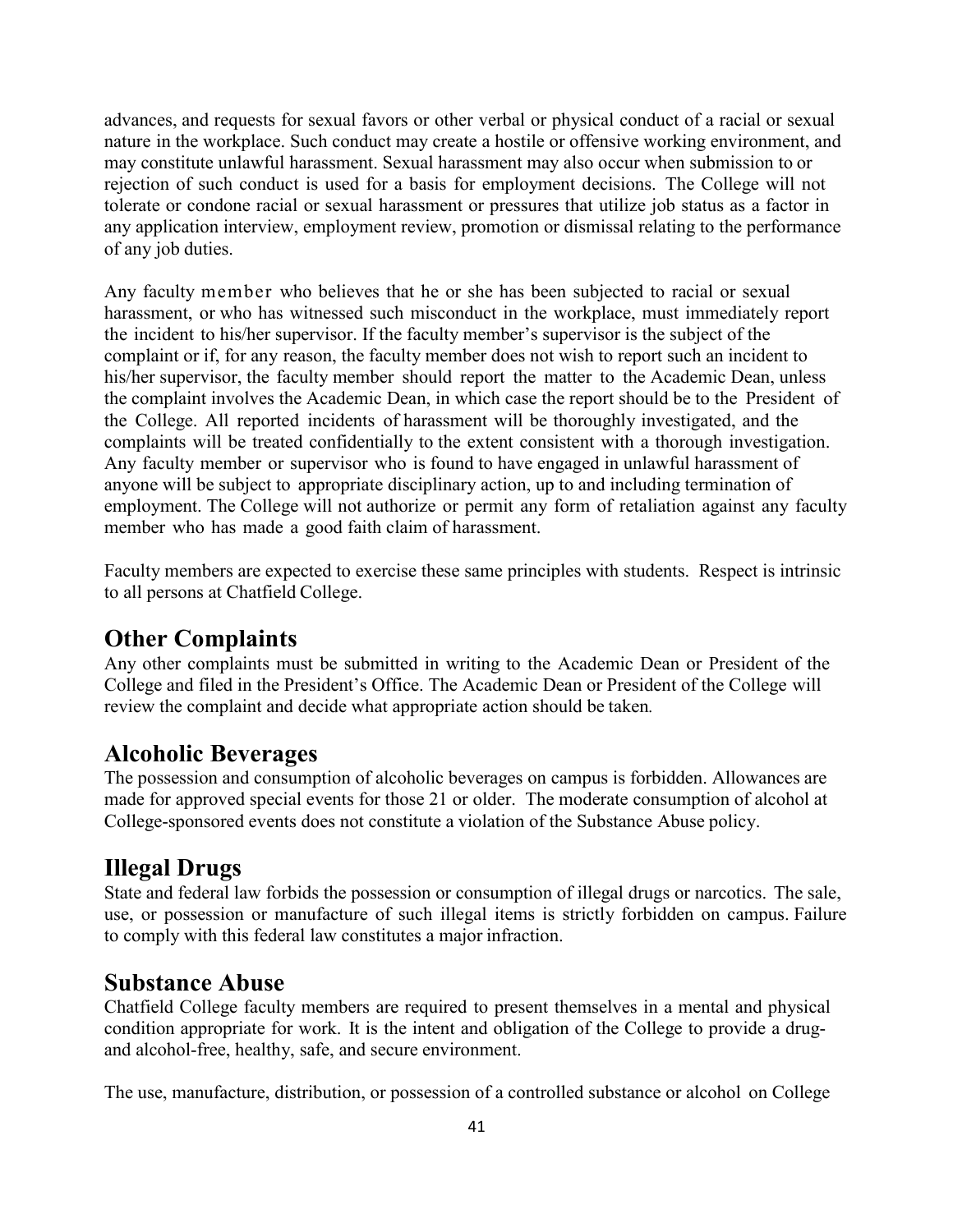advances, and requests for sexual favors or other verbal or physical conduct of a racial or sexual nature in the workplace. Such conduct may create a hostile or offensive working environment, and may constitute unlawful harassment. Sexual harassment may also occur when submission to or rejection of such conduct is used for a basis for employment decisions. The College will not tolerate or condone racial or sexual harassment or pressures that utilize job status as a factor in any application interview, employment review, promotion or dismissal relating to the performance of any job duties.

Any faculty member who believes that he or she has been subjected to racial or sexual harassment, or who has witnessed such misconduct in the workplace, must immediately report the incident to his/her supervisor. If the faculty member's supervisor is the subject of the complaint or if, for any reason, the faculty member does not wish to report such an incident to his/her supervisor, the faculty member should report the matter to the Academic Dean, unless the complaint involves the Academic Dean, in which case the report should be to the President of the College. All reported incidents of harassment will be thoroughly investigated, and the complaints will be treated confidentially to the extent consistent with a thorough investigation. Any faculty member or supervisor who is found to have engaged in unlawful harassment of anyone will be subject to appropriate disciplinary action, up to and including termination of employment. The College will not authorize or permit any form of retaliation against any faculty member who has made a good faith claim of harassment.

Faculty members are expected to exercise these same principles with students. Respect is intrinsic to all persons at Chatfield College.

#### **Other Complaints**

Any other complaints must be submitted in writing to the Academic Dean or President of the College and filed in the President's Office. The Academic Dean or President of the College will review the complaint and decide what appropriate action should be taken*.*

#### **Alcoholic Beverages**

The possession and consumption of alcoholic beverages on campus is forbidden. Allowances are made for approved special events for those 21 or older. The moderate consumption of alcohol at College-sponsored events does not constitute a violation of the Substance Abuse policy.

### **Illegal Drugs**

State and federal law forbids the possession or consumption of illegal drugs or narcotics. The sale, use, or possession or manufacture of such illegal items is strictly forbidden on campus. Failure to comply with this federal law constitutes a major infraction.

#### **Substance Abuse**

Chatfield College faculty members are required to present themselves in a mental and physical condition appropriate for work. It is the intent and obligation of the College to provide a drugand alcohol-free, healthy, safe, and secure environment.

The use, manufacture, distribution, or possession of a controlled substance or alcohol on College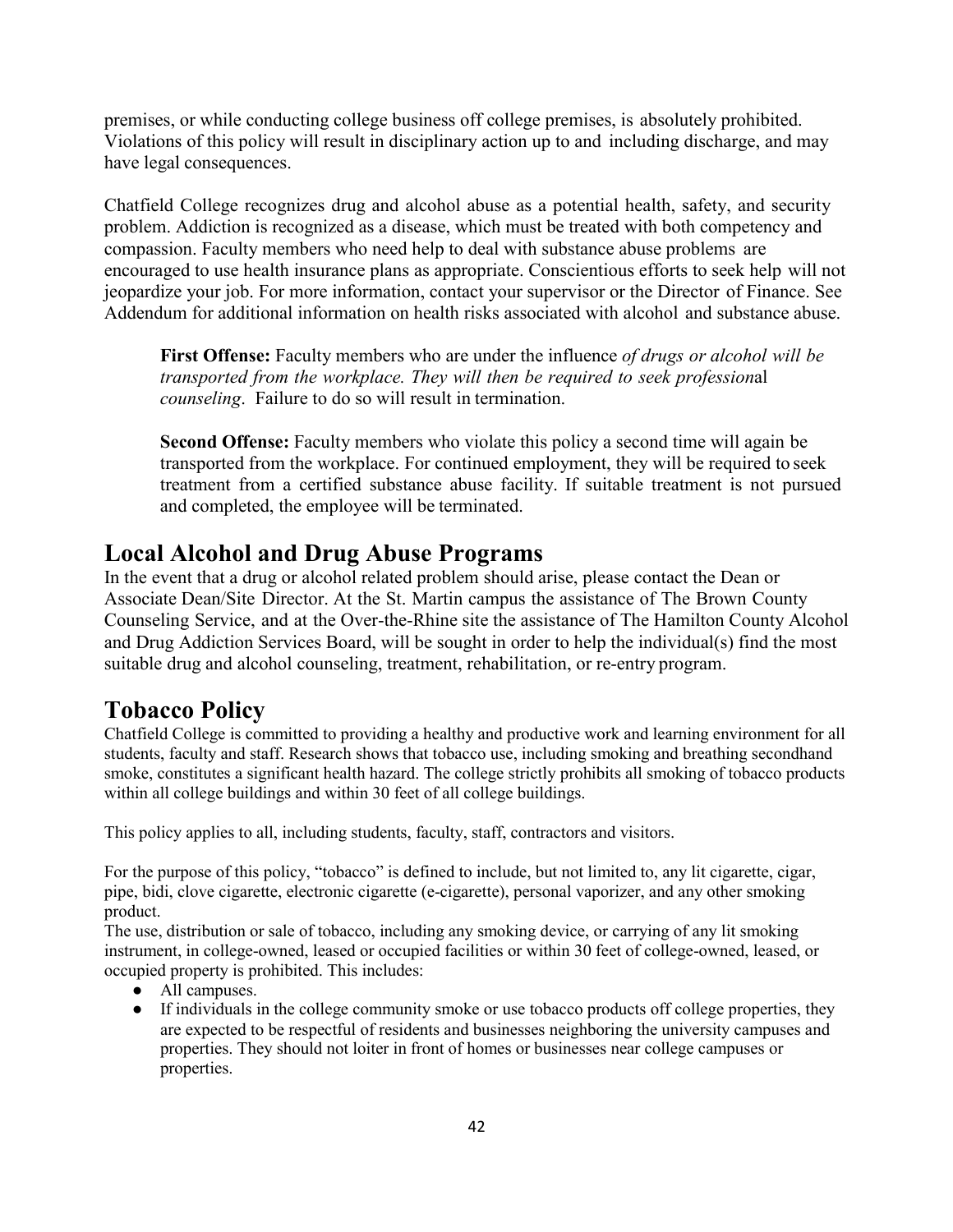premises, or while conducting college business off college premises, is absolutely prohibited. Violations of this policy will result in disciplinary action up to and including discharge, and may have legal consequences.

Chatfield College recognizes drug and alcohol abuse as a potential health, safety, and security problem. Addiction is recognized as a disease, which must be treated with both competency and compassion. Faculty members who need help to deal with substance abuse problems are encouraged to use health insurance plans as appropriate. Conscientious efforts to seek help will not jeopardize your job. For more information, contact your supervisor or the Director of Finance. See Addendum for additional information on health risks associated with alcohol and substance abuse.

**First Offense:** Faculty members who are under the influence *of drugs or alcohol will be transported from the workplace. They will then be required to seek profession*al *counseling*. Failure to do so will result in termination.

**Second Offense:** Faculty members who violate this policy a second time will again be transported from the workplace. For continued employment, they will be required to seek treatment from a certified substance abuse facility. If suitable treatment is not pursued and completed, the employee will be terminated.

#### **Local Alcohol and Drug Abuse Programs**

In the event that a drug or alcohol related problem should arise, please contact the Dean or Associate Dean/Site Director. At the St. Martin campus the assistance of The Brown County Counseling Service, and at the Over-the-Rhine site the assistance of The Hamilton County Alcohol and Drug Addiction Services Board, will be sought in order to help the individual(s) find the most suitable drug and alcohol counseling, treatment, rehabilitation, or re-entry program.

### **Tobacco Policy**

Chatfield College is committed to providing a healthy and productive work and learning environment for all students, faculty and staff. Research shows that tobacco use, including smoking and breathing secondhand smoke, constitutes a significant health hazard. The college strictly prohibits all smoking of tobacco products within all college buildings and within 30 feet of all college buildings.

This policy applies to all, including students, faculty, staff, contractors and visitors.

For the purpose of this policy, "tobacco" is defined to include, but not limited to, any lit cigarette, cigar, pipe, bidi, clove cigarette, electronic cigarette (e-cigarette), personal vaporizer, and any other smoking product.

The use, distribution or sale of tobacco, including any smoking device, or carrying of any lit smoking instrument, in college-owned, leased or occupied facilities or within 30 feet of college-owned, leased, or occupied property is prohibited. This includes:

- All campuses.
- If individuals in the college community smoke or use tobacco products off college properties, they are expected to be respectful of residents and businesses neighboring the university campuses and properties. They should not loiter in front of homes or businesses near college campuses or properties.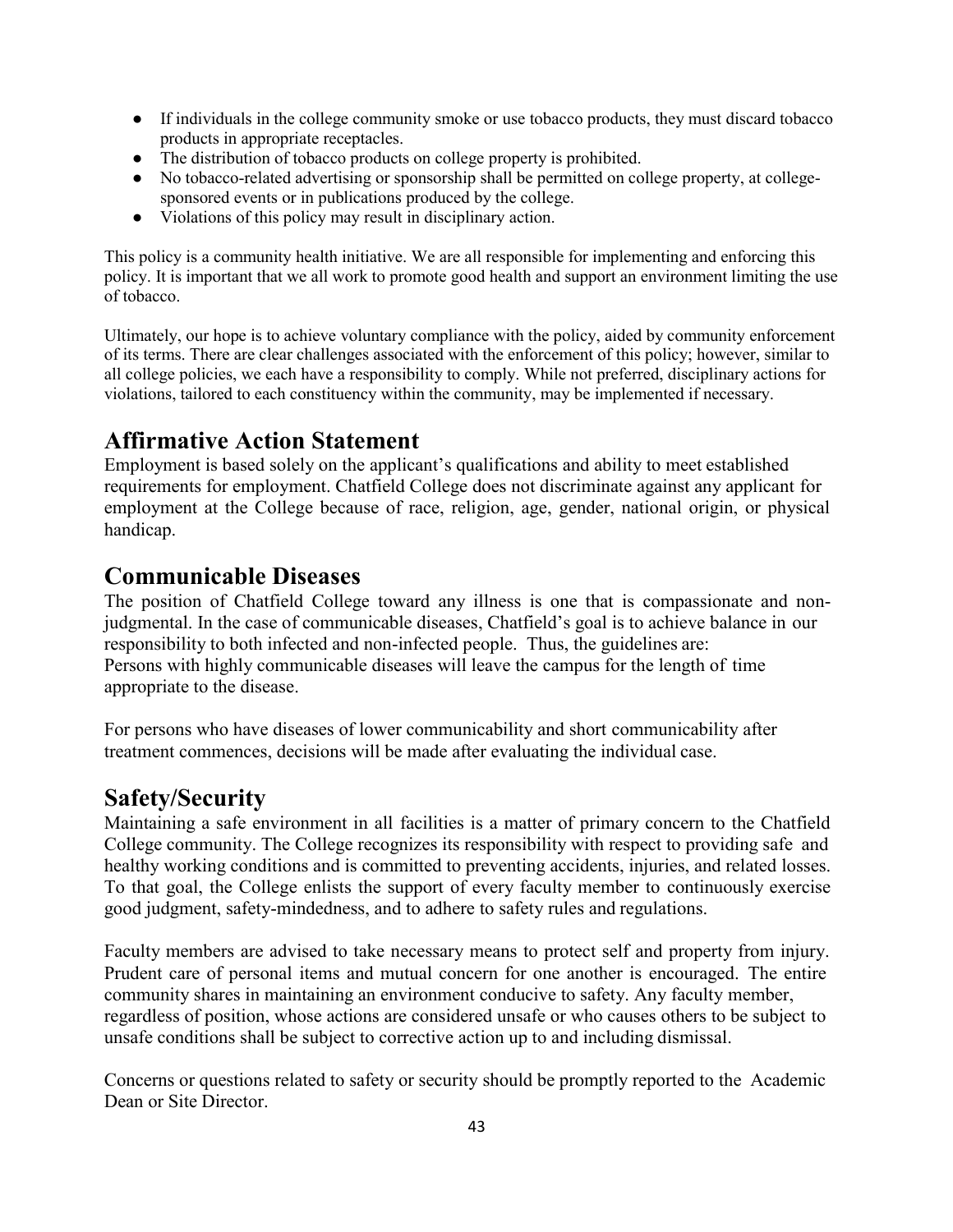- If individuals in the college community smoke or use tobacco products, they must discard tobacco products in appropriate receptacles.
- The distribution of tobacco products on college property is prohibited.
- No tobacco-related advertising or sponsorship shall be permitted on college property, at collegesponsored events or in publications produced by the college.
- Violations of this policy may result in disciplinary action.

This policy is a community health initiative. We are all responsible for implementing and enforcing this policy. It is important that we all work to promote good health and support an environment limiting the use of tobacco.

Ultimately, our hope is to achieve voluntary compliance with the policy, aided by community enforcement of its terms. There are clear challenges associated with the enforcement of this policy; however, similar to all college policies, we each have a responsibility to comply. While not preferred, disciplinary actions for violations, tailored to each constituency within the community, may be implemented if necessary.

#### **Affirmative Action Statement**

Employment is based solely on the applicant's qualifications and ability to meet established requirements for employment. Chatfield College does not discriminate against any applicant for employment at the College because of race, religion, age, gender, national origin, or physical handicap.

#### **Communicable Diseases**

The position of Chatfield College toward any illness is one that is compassionate and nonjudgmental. In the case of communicable diseases, Chatfield's goal is to achieve balance in our responsibility to both infected and non-infected people. Thus, the guidelines are: Persons with highly communicable diseases will leave the campus for the length of time appropriate to the disease.

For persons who have diseases of lower communicability and short communicability after treatment commences, decisions will be made after evaluating the individual case.

#### **Safety/Security**

Maintaining a safe environment in all facilities is a matter of primary concern to the Chatfield College community. The College recognizes its responsibility with respect to providing safe and healthy working conditions and is committed to preventing accidents, injuries, and related losses. To that goal, the College enlists the support of every faculty member to continuously exercise good judgment, safety-mindedness, and to adhere to safety rules and regulations.

Faculty members are advised to take necessary means to protect self and property from injury. Prudent care of personal items and mutual concern for one another is encouraged. The entire community shares in maintaining an environment conducive to safety. Any faculty member, regardless of position, whose actions are considered unsafe or who causes others to be subject to unsafe conditions shall be subject to corrective action up to and including dismissal.

Concerns or questions related to safety or security should be promptly reported to the Academic Dean or Site Director.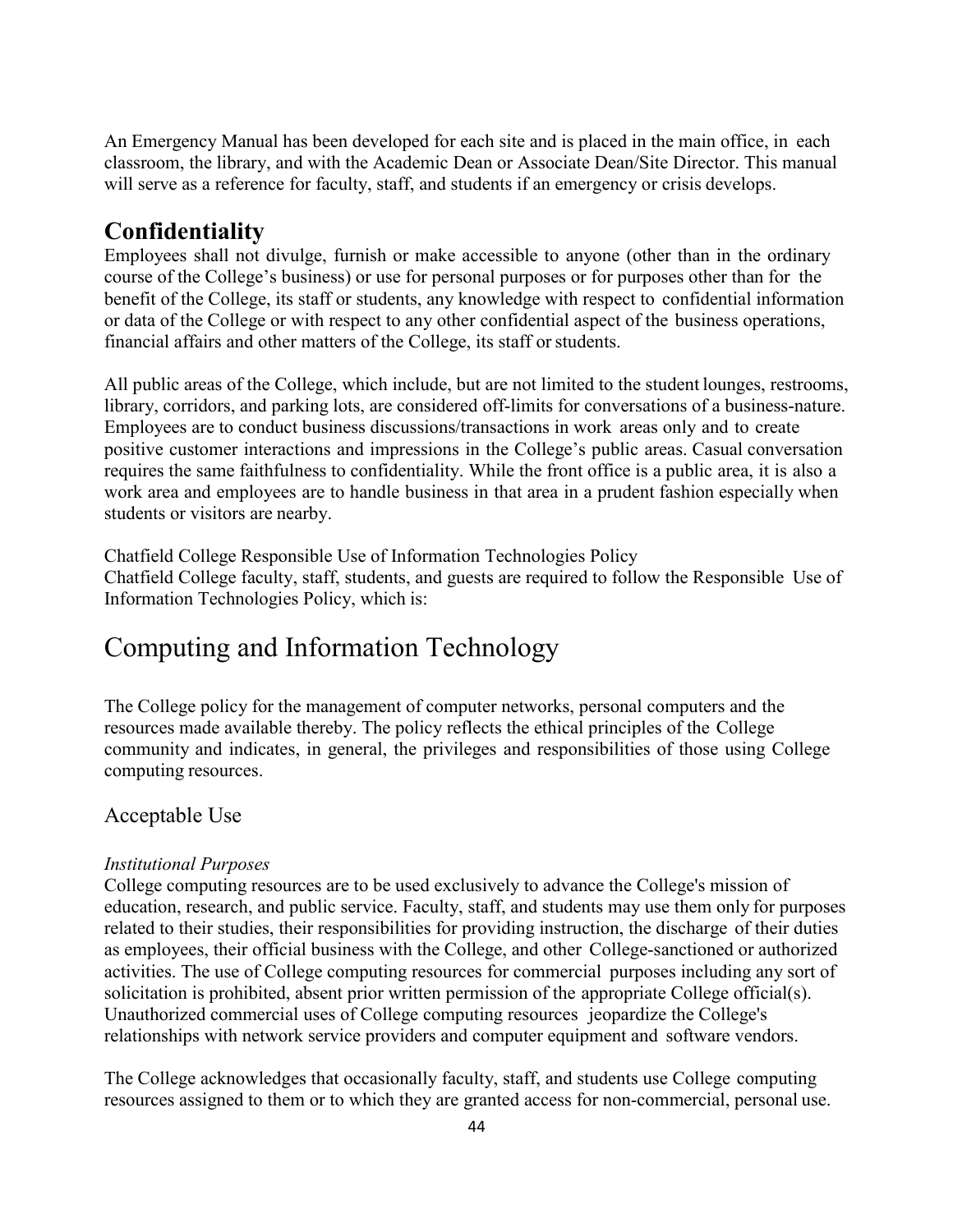An Emergency Manual has been developed for each site and is placed in the main office, in each classroom, the library, and with the Academic Dean or Associate Dean/Site Director. This manual will serve as a reference for faculty, staff, and students if an emergency or crisis develops.

#### **Confidentiality**

Employees shall not divulge, furnish or make accessible to anyone (other than in the ordinary course of the College's business) or use for personal purposes or for purposes other than for the benefit of the College, its staff or students, any knowledge with respect to confidential information or data of the College or with respect to any other confidential aspect of the business operations, financial affairs and other matters of the College, its staff or students.

All public areas of the College, which include, but are not limited to the student lounges, restrooms, library, corridors, and parking lots, are considered off-limits for conversations of a business-nature. Employees are to conduct business discussions/transactions in work areas only and to create positive customer interactions and impressions in the College's public areas. Casual conversation requires the same faithfulness to confidentiality. While the front office is a public area, it is also a work area and employees are to handle business in that area in a prudent fashion especially when students or visitors are nearby.

Chatfield College Responsible Use of Information Technologies Policy Chatfield College faculty, staff, students, and guests are required to follow the Responsible Use of Information Technologies Policy, which is:

### Computing and Information Technology

The College policy for the management of computer networks, personal computers and the resources made available thereby. The policy reflects the ethical principles of the College community and indicates, in general, the privileges and responsibilities of those using College computing resources.

#### Acceptable Use

#### *Institutional Purposes*

College computing resources are to be used exclusively to advance the College's mission of education, research, and public service. Faculty, staff, and students may use them only for purposes related to their studies, their responsibilities for providing instruction, the discharge of their duties as employees, their official business with the College, and other College-sanctioned or authorized activities. The use of College computing resources for commercial purposes including any sort of solicitation is prohibited, absent prior written permission of the appropriate College official(s). Unauthorized commercial uses of College computing resources jeopardize the College's relationships with network service providers and computer equipment and software vendors.

The College acknowledges that occasionally faculty, staff, and students use College computing resources assigned to them or to which they are granted access for non-commercial, personal use.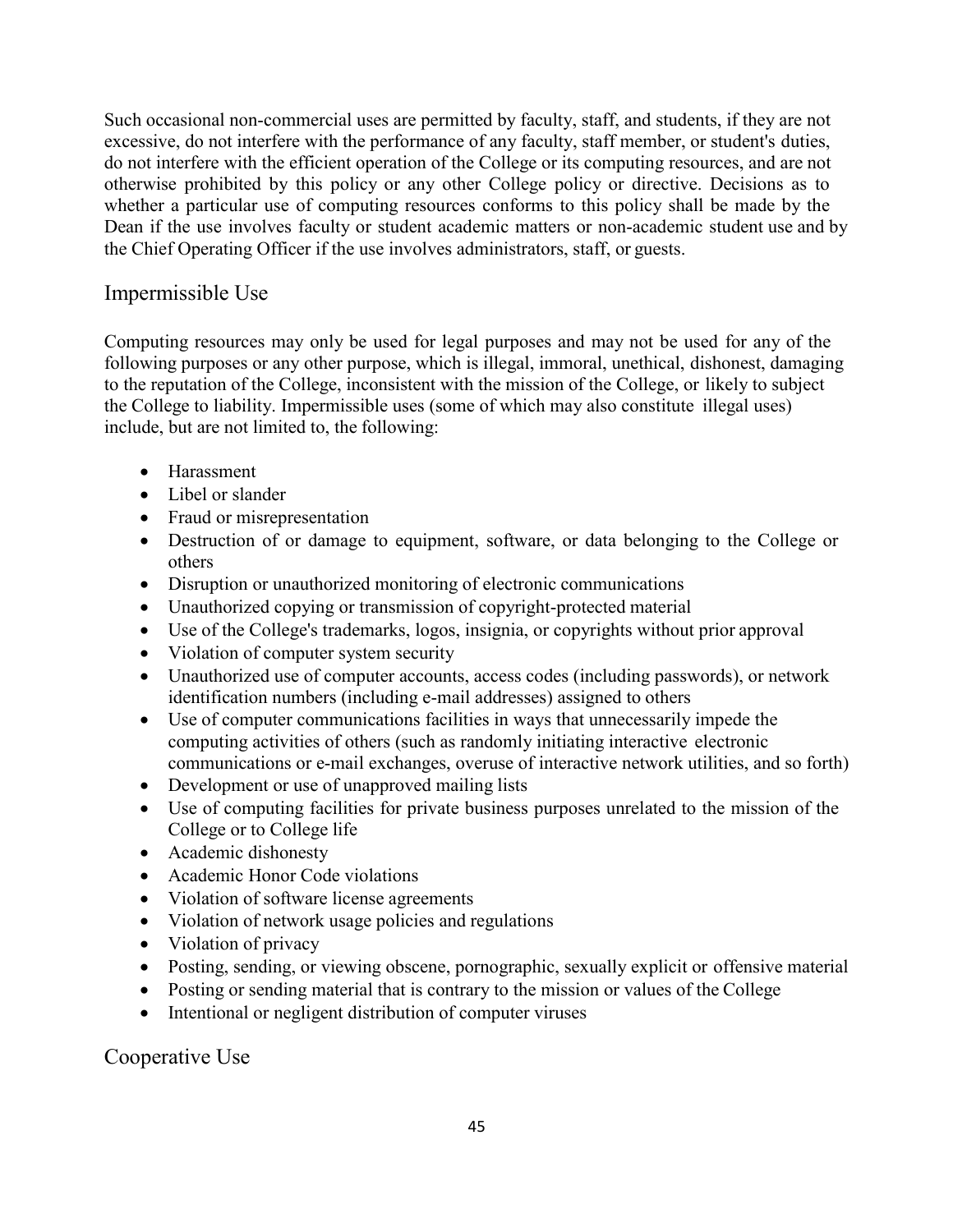the Chief Operating Officer if the use involves administrators, staff, or guests. Dean if the use involves faculty or student academic matters or non-academic student use and by whether a particular use of computing resources conforms to this policy shall be made by the otherwise prohibited by this policy or any other College policy or directive. Decisions as to do not interfere with the efficient operation of the College or its computing resources, and are not excessive, do not interfere with the performance of any faculty, staff member, or student's duties, Such occasional non-commercial uses are permitted by faculty, staff, and students, if they are not

#### Impermissible Use

include, but are not limited to, the following: the College to liability. Impermissible uses (some of which may also constitute illegal uses) to the reputation of the College, inconsistent with the mission of the College, or likely to subject following purposes or any other purpose, which is illegal, immoral, unethical, dishonest, damaging Computing resources may only be used for legal purposes and may not be used for any of the

- Harassment
- Libel or slander
- Fraud or misrepresentation
- others Destruction of or damage to equipment, software, or data belonging to the College or
- Disruption or unauthorized monitoring of electronic communications
- Unauthorized copying or transmission of copyright-protected material
- Use of the College's trademarks, logos, insignia, or copyrights without prior approval
- Violation of computer system security
- identification numbers (including e-mail addresses) assigned to others Unauthorized use of computer accounts, access codes (including passwords), or network
- communications or e-mail exchanges, overuse of interactive network utilities, and so forth) computing activities of others (such as randomly initiating interactive electronic Use of computer communications facilities in ways that unnecessarily impede the
- Development or use of unapproved mailing lists
- College or to College life Use of computing facilities for private business purposes unrelated to the mission of the
- 
- Academic dishonesty<br>• Academic Honor Code violations
- Violation of software license agreements
- Violation of network usage policies and regulations
- Violation of privacy
- Posting, sending, or viewing obscene, pornographic, sexually explicit or offensive material
- Posting or sending material that is contrary to the mission or values of the College
- Intentional or negligent distribution of computer viruses

Cooperative Use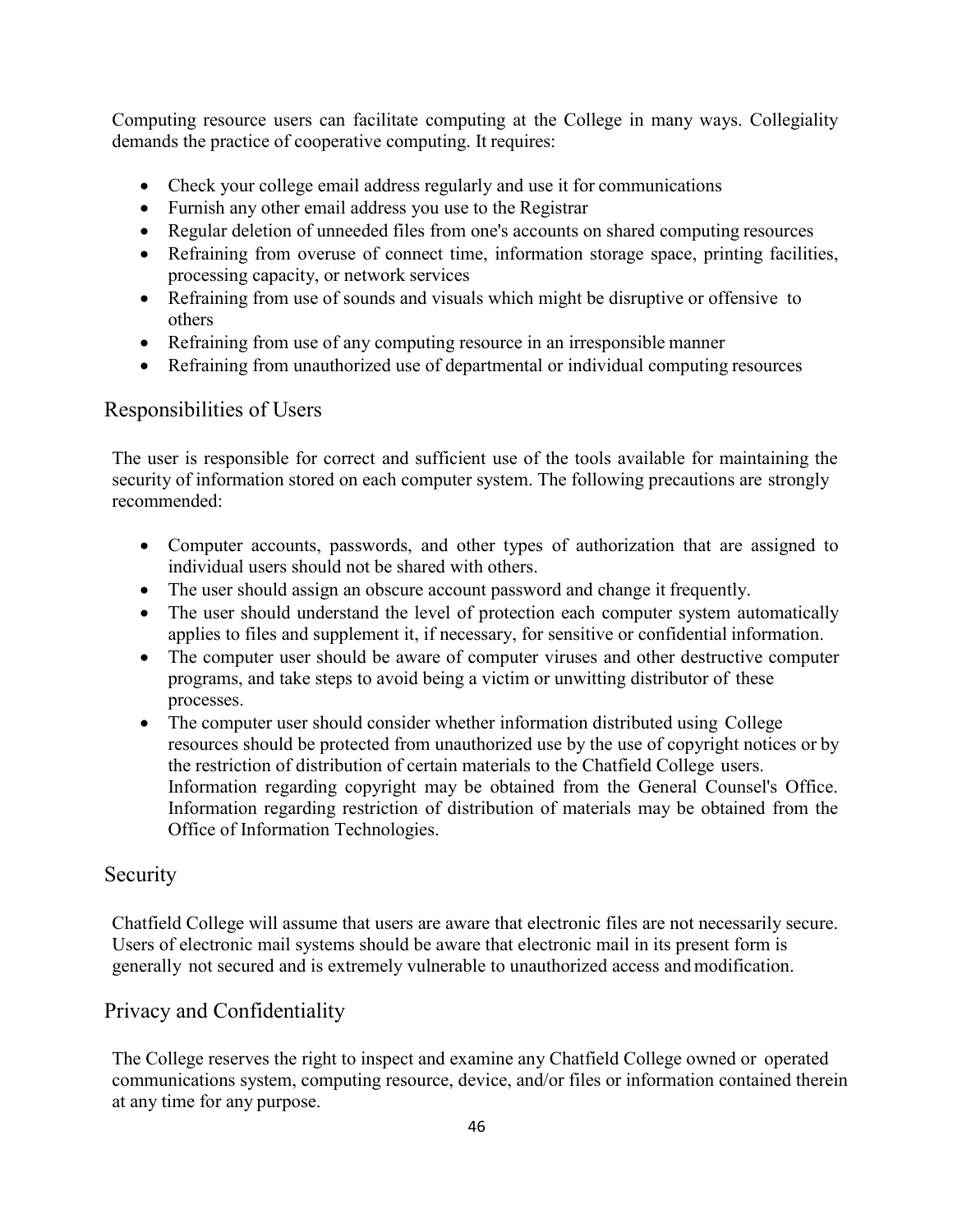Computing resource users can facilitate computing at the College in many ways. Collegiality demands the practice of cooperative computing. It requires:

- Check your college email address regularly and use it for communications
- Furnish any other email address you use to the Registrar
- Regular deletion of unneeded files from one's accounts on shared computing resources
- Refraining from overuse of connect time, information storage space, printing facilities, processing capacity, or network services
- Refraining from use of sounds and visuals which might be disruptive or offensive to others
- Refraining from use of any computing resource in an irresponsible manner
- Refraining from unauthorized use of departmental or individual computing resources

#### Responsibilities of Users

The user is responsible for correct and sufficient use of the tools available for maintaining the security of information stored on each computer system. The following precautions are strongly recommended:

- Computer accounts, passwords, and other types of authorization that are assigned to individual users should not be shared with others.
- The user should assign an obscure account password and change it frequently.
- The user should understand the level of protection each computer system automatically applies to files and supplement it, if necessary, for sensitive or confidential information.
- The computer user should be aware of computer viruses and other destructive computer programs, and take steps to avoid being a victim or unwitting distributor of these processes.
- The computer user should consider whether information distributed using College resources should be protected from unauthorized use by the use of copyright notices or by the restriction of distribution of certain materials to the Chatfield College users. Information regarding copyright may be obtained from the General Counsel's Office. Information regarding restriction of distribution of materials may be obtained from the Office of Information Technologies.

#### Security

Chatfield College will assume that users are aware that electronic files are not necessarily secure. Users of electronic mail systems should be aware that electronic mail in its present form is generally not secured and is extremely vulnerable to unauthorized access andmodification.

#### Privacy and Confidentiality

The College reserves the right to inspect and examine any Chatfield College owned or operated communications system, computing resource, device, and/or files or information contained therein at any time for any purpose.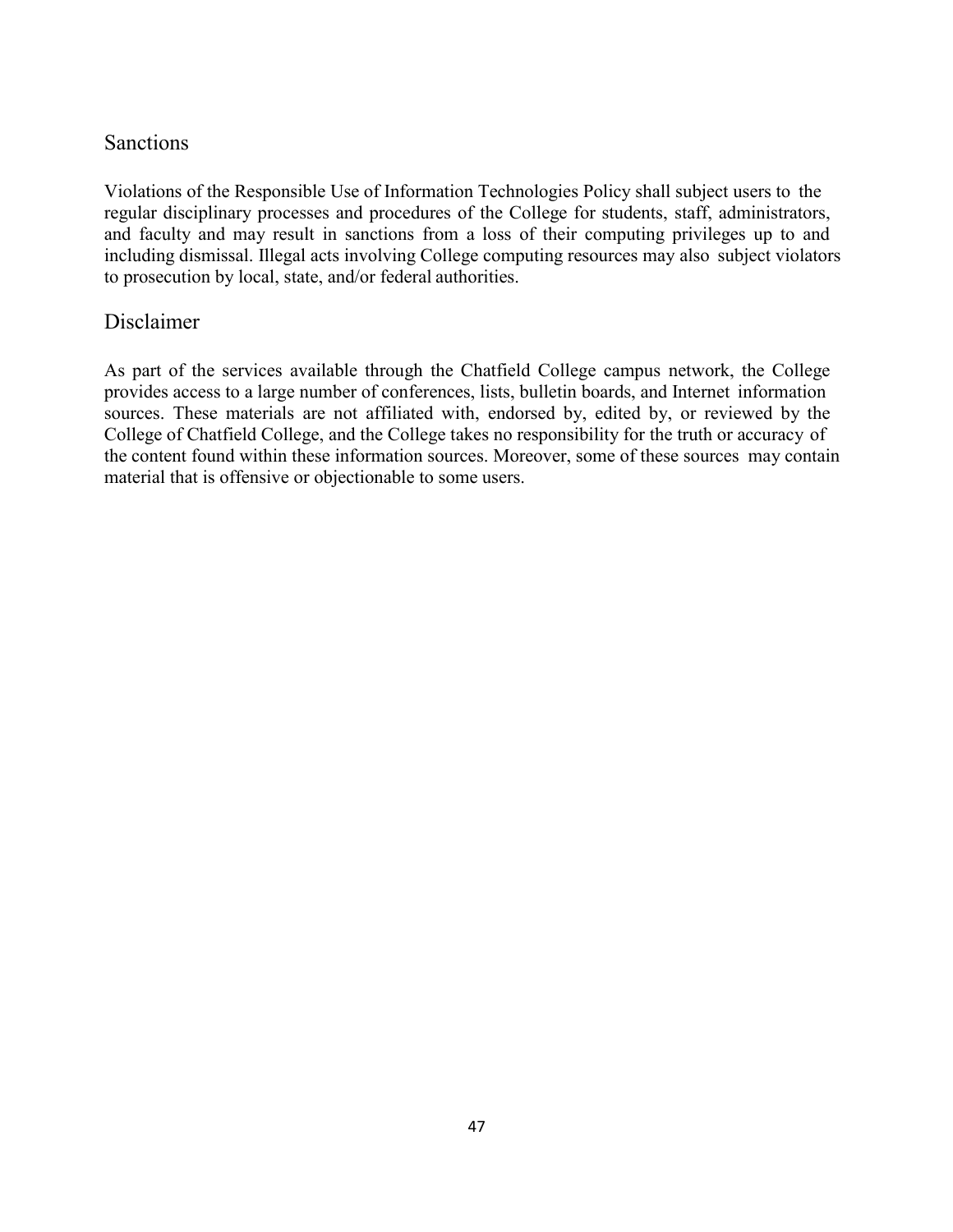#### **Sanctions**

Violations of the Responsible Use of Information Technologies Policy shall subject users to the regular disciplinary processes and procedures of the College for students, staff, administrators, and faculty and may result in sanctions from a loss of their computing privileges up to and including dismissal. Illegal acts involving College computing resources may also subject violators to prosecution by local, state, and/or federal authorities.

#### Disclaimer

As part of the services available through the Chatfield College campus network, the College provides access to a large number of conferences, lists, bulletin boards, and Internet information sources. These materials are not affiliated with, endorsed by, edited by, or reviewed by the College of Chatfield College, and the College takes no responsibility for the truth or accuracy of the content found within these information sources. Moreover, some of these sources may contain material that is offensive or objectionable to some users.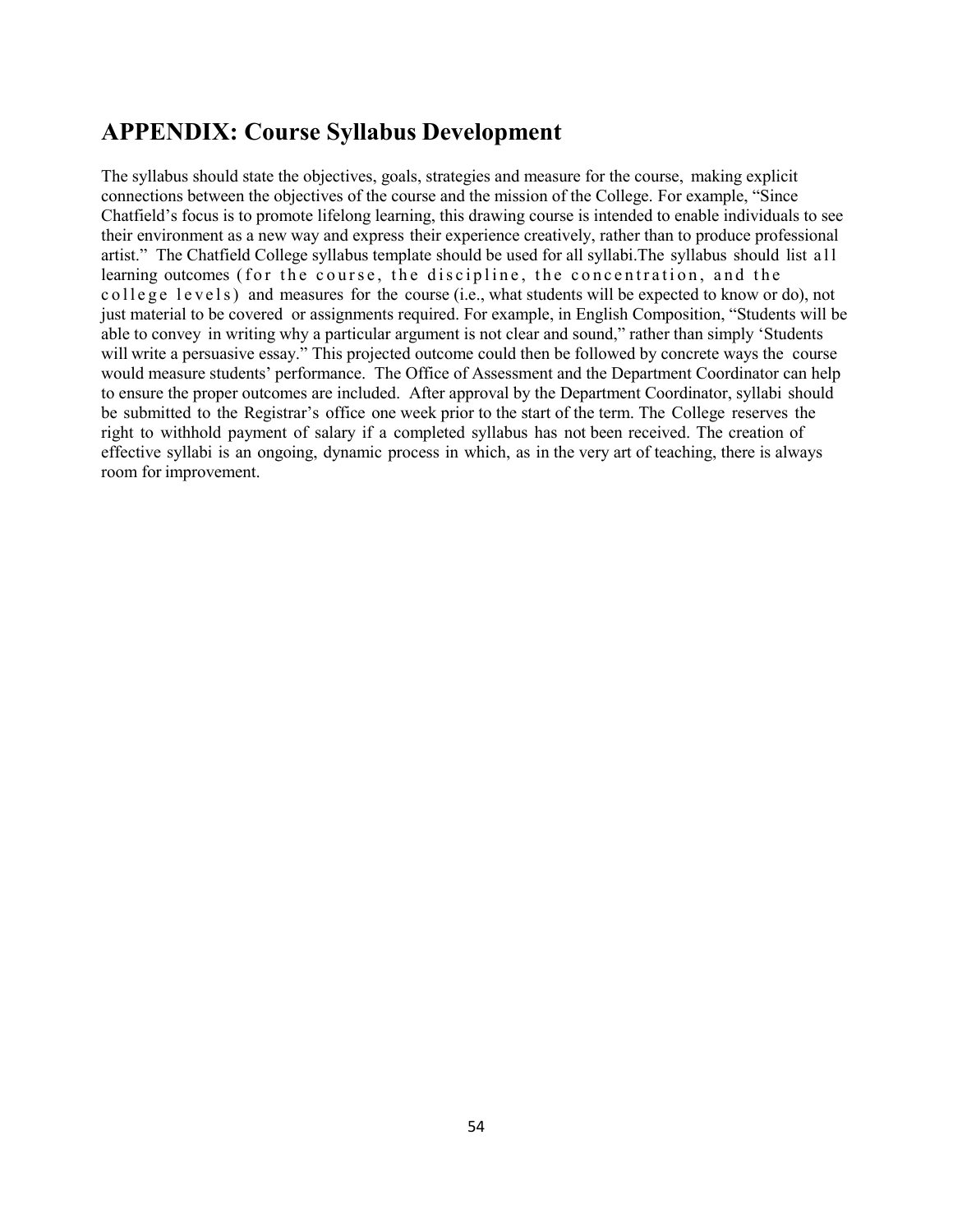#### **APPENDIX: Course Syllabus Development**

The syllabus should state the objectives, goals, strategies and measure for the course, making explicit connections between the objectives of the course and the mission of the College. For example, "Since Chatfield's focus is to promote lifelong learning, this drawing course is intended to enable individuals to see their environment as a new way and express their experience creatively, rather than to produce professional artist." The Chatfield College syllabus template should be used for all syllabi. The syllabus should list a ll learning outcomes (for the course, the discipline, the concentration, and the c o l l e g e l e v e l s) and measures for the course (i.e., what students will be expected to know or do), not just material to be covered or assignments required. For example, in English Composition, "Students will be able to convey in writing why a particular argument is not clear and sound," rather than simply 'Students will write a persuasive essay." This projected outcome could then be followed by concrete ways the course would measure students' performance. The Office of Assessment and the Department Coordinator can help to ensure the proper outcomes are included. After approval by the Department Coordinator, syllabi should be submitted to the Registrar's office one week prior to the start of the term. The College reserves the right to withhold payment of salary if a completed syllabus has not been received. The creation of effective syllabi is an ongoing, dynamic process in which, as in the very art of teaching, there is always room for improvement.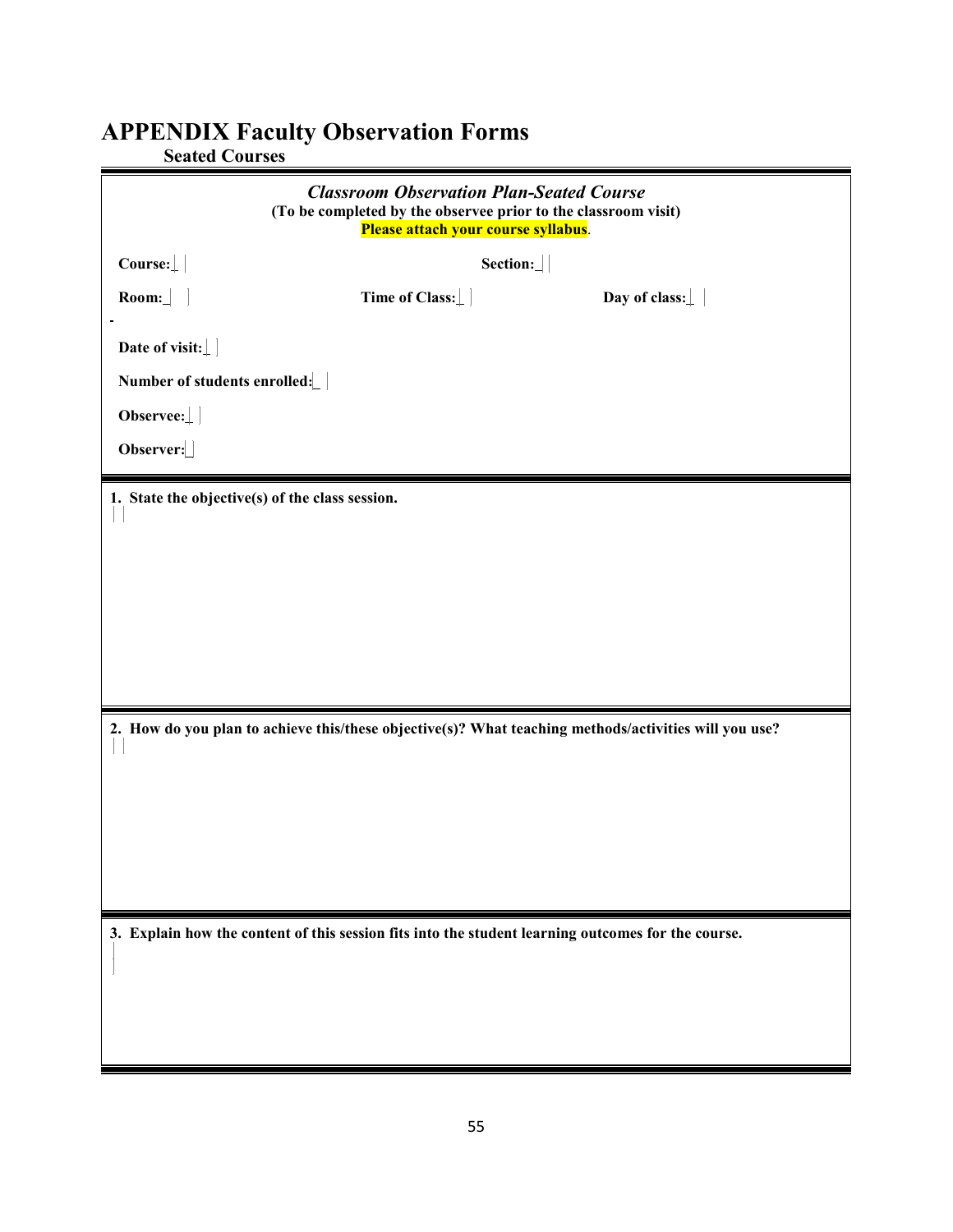# **APPENDIX Faculty Observation Forms**

| <b>Seated Courses</b> |  |  |  |  |  |
|-----------------------|--|--|--|--|--|
|-----------------------|--|--|--|--|--|

| <b>Classroom Observation Plan-Seated Course</b><br>(To be completed by the observee prior to the classroom visit)<br>Please attach your course syllabus. |                |                                                                                                       |  |  |
|----------------------------------------------------------------------------------------------------------------------------------------------------------|----------------|-------------------------------------------------------------------------------------------------------|--|--|
| Course:                                                                                                                                                  | Section:       |                                                                                                       |  |  |
| $\textbf{Room:}$                                                                                                                                         | Time of Class: | Day of class:                                                                                         |  |  |
| Date of visit: $\perp$                                                                                                                                   |                |                                                                                                       |  |  |
| Number of students enrolled:                                                                                                                             |                |                                                                                                       |  |  |
| $Observe:$                                                                                                                                               |                |                                                                                                       |  |  |
| Observer:                                                                                                                                                |                |                                                                                                       |  |  |
| 1. State the objective(s) of the class session.                                                                                                          |                |                                                                                                       |  |  |
|                                                                                                                                                          |                |                                                                                                       |  |  |
|                                                                                                                                                          |                |                                                                                                       |  |  |
|                                                                                                                                                          |                |                                                                                                       |  |  |
|                                                                                                                                                          |                |                                                                                                       |  |  |
|                                                                                                                                                          |                |                                                                                                       |  |  |
|                                                                                                                                                          |                | 2. How do you plan to achieve this/these objective(s)? What teaching methods/activities will you use? |  |  |
|                                                                                                                                                          |                |                                                                                                       |  |  |
|                                                                                                                                                          |                |                                                                                                       |  |  |
|                                                                                                                                                          |                |                                                                                                       |  |  |
|                                                                                                                                                          |                |                                                                                                       |  |  |
|                                                                                                                                                          |                |                                                                                                       |  |  |
| 3. Explain how the content of this session fits into the student learning outcomes for the course.                                                       |                |                                                                                                       |  |  |
|                                                                                                                                                          |                |                                                                                                       |  |  |
|                                                                                                                                                          |                |                                                                                                       |  |  |
|                                                                                                                                                          |                |                                                                                                       |  |  |
|                                                                                                                                                          |                |                                                                                                       |  |  |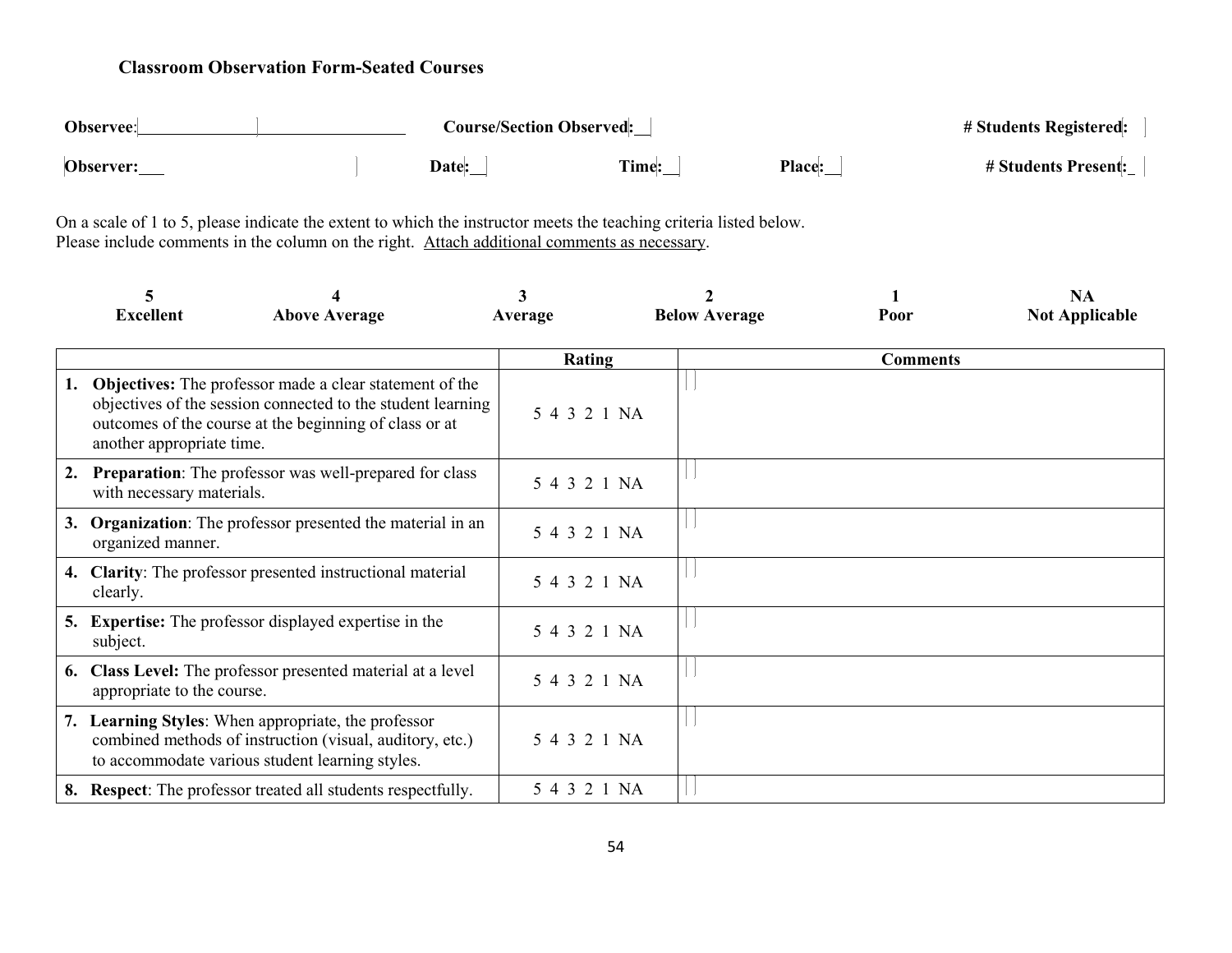#### **Classroom Observation Form-Seated Courses**

| Observee: |  | <b>Course/Section Observed:</b> |       |        | # Students Registered:     |
|-----------|--|---------------------------------|-------|--------|----------------------------|
| Observer: |  | Date:                           | Time: | Place: | <b># Students Present:</b> |

On a scale of 1 to 5, please indicate the extent to which the instructor meets the teaching criteria listed below. Please include comments in the column on the right. Attach additional comments as necessary.

|    | <b>Excellent</b>           | <b>Above Average</b>                                                                                                                                                                    | 3<br>Average |              | <b>Below Average</b> | Poor            | <b>NA</b><br><b>Not Applicable</b> |
|----|----------------------------|-----------------------------------------------------------------------------------------------------------------------------------------------------------------------------------------|--------------|--------------|----------------------|-----------------|------------------------------------|
|    |                            |                                                                                                                                                                                         |              |              |                      |                 |                                    |
|    |                            |                                                                                                                                                                                         |              | Rating       |                      | <b>Comments</b> |                                    |
|    | another appropriate time.  | <b>Objectives:</b> The professor made a clear statement of the<br>objectives of the session connected to the student learning<br>outcomes of the course at the beginning of class or at |              | 5 4 3 2 1 NA |                      |                 |                                    |
| 2. | with necessary materials.  | <b>Preparation:</b> The professor was well-prepared for class                                                                                                                           |              | 5 4 3 2 1 NA |                      |                 |                                    |
| 3. | organized manner.          | <b>Organization:</b> The professor presented the material in an                                                                                                                         |              | 5 4 3 2 1 NA |                      |                 |                                    |
|    | clearly.                   | 4. Clarity: The professor presented instructional material                                                                                                                              |              | 5 4 3 2 1 NA |                      |                 |                                    |
|    | subject.                   | <b>5.</b> Expertise: The professor displayed expertise in the                                                                                                                           |              | 5 4 3 2 1 NA |                      |                 |                                    |
|    | appropriate to the course. | 6. Class Level: The professor presented material at a level                                                                                                                             |              | 5 4 3 2 1 NA |                      |                 |                                    |
|    |                            | 7. Learning Styles: When appropriate, the professor<br>combined methods of instruction (visual, auditory, etc.)<br>to accommodate various student learning styles.                      |              | 5 4 3 2 1 NA |                      |                 |                                    |
|    |                            | 8. Respect: The professor treated all students respectfully.                                                                                                                            |              | 5 4 3 2 1 NA |                      |                 |                                    |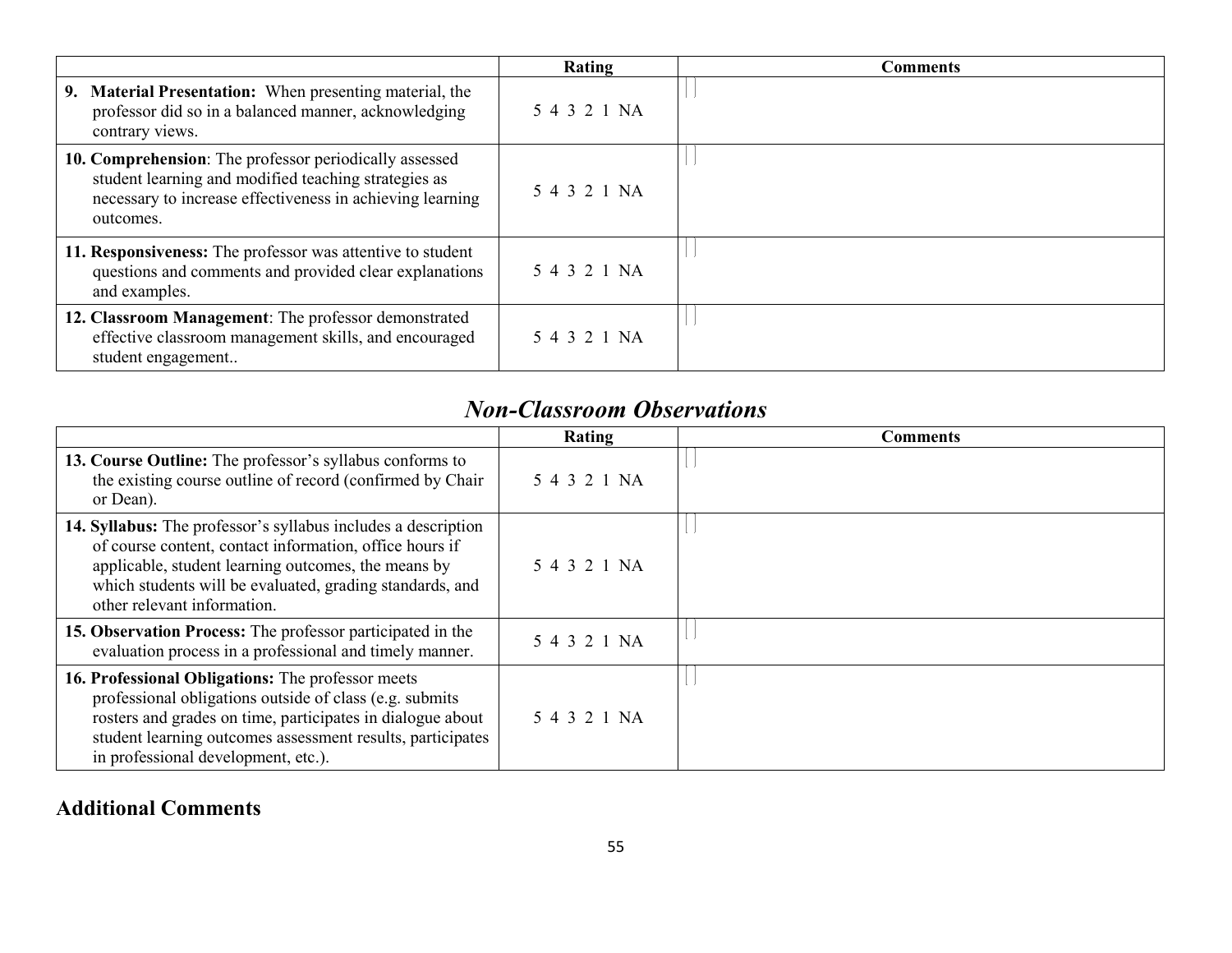|                                                                                                                                                                                          | Rating       | <b>Comments</b> |
|------------------------------------------------------------------------------------------------------------------------------------------------------------------------------------------|--------------|-----------------|
| 9. Material Presentation: When presenting material, the<br>professor did so in a balanced manner, acknowledging<br>contrary views.                                                       | 5 4 3 2 1 NA |                 |
| 10. Comprehension: The professor periodically assessed<br>student learning and modified teaching strategies as<br>necessary to increase effectiveness in achieving learning<br>outcomes. | 5 4 3 2 1 NA |                 |
| 11. Responsiveness: The professor was attentive to student<br>questions and comments and provided clear explanations<br>and examples.                                                    | 5 4 3 2 1 NA |                 |
| 12. Classroom Management: The professor demonstrated<br>effective classroom management skills, and encouraged<br>student engagement                                                      | 5 4 3 2 1 NA |                 |

# *Non-Classroom Observations*

|                                                                                                                                                                                                                                                                                  | Rating       | Comments |
|----------------------------------------------------------------------------------------------------------------------------------------------------------------------------------------------------------------------------------------------------------------------------------|--------------|----------|
| 13. Course Outline: The professor's syllabus conforms to<br>the existing course outline of record (confirmed by Chair<br>or Dean).                                                                                                                                               | 5 4 3 2 1 NA |          |
| 14. Syllabus: The professor's syllabus includes a description<br>of course content, contact information, office hours if<br>applicable, student learning outcomes, the means by<br>which students will be evaluated, grading standards, and<br>other relevant information.       | 5 4 3 2 1 NA |          |
| 15. Observation Process: The professor participated in the<br>evaluation process in a professional and timely manner.                                                                                                                                                            | 5 4 3 2 1 NA |          |
| 16. Professional Obligations: The professor meets<br>professional obligations outside of class (e.g. submits)<br>rosters and grades on time, participates in dialogue about<br>student learning outcomes assessment results, participates<br>in professional development, etc.). | 5 4 3 2 1 NA |          |

### **Additional Comments**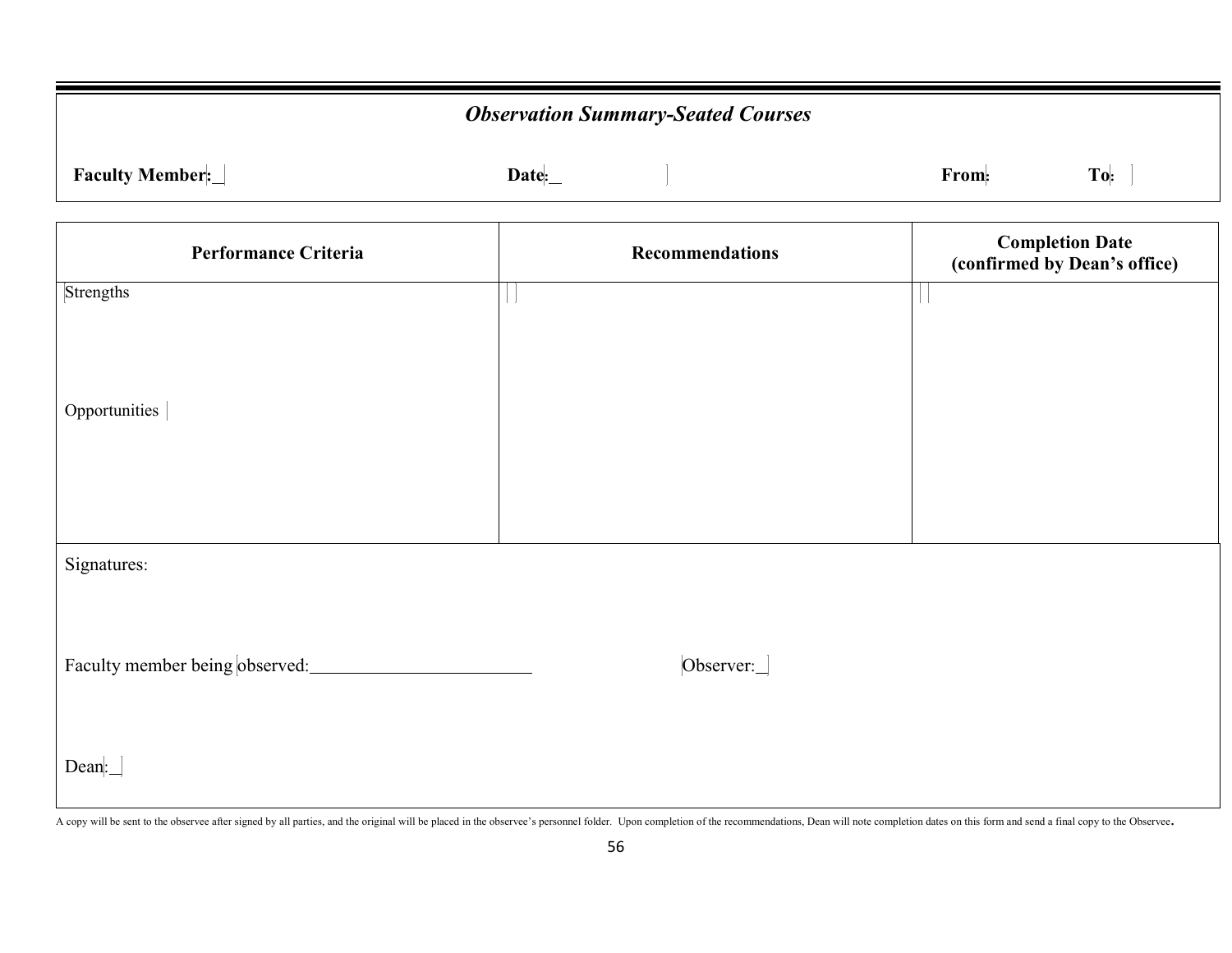| <b>Observation Summary-Seated Courses</b> |                        |                                                        |  |  |  |
|-------------------------------------------|------------------------|--------------------------------------------------------|--|--|--|
| Faculty Member:                           | Date:                  | To:<br>From:                                           |  |  |  |
| <b>Performance Criteria</b>               | <b>Recommendations</b> | <b>Completion Date</b><br>(confirmed by Dean's office) |  |  |  |
| Strengths                                 | $\mathbf{L}$           |                                                        |  |  |  |
|                                           |                        |                                                        |  |  |  |
| Opportunities                             |                        |                                                        |  |  |  |
|                                           |                        |                                                        |  |  |  |
|                                           |                        |                                                        |  |  |  |
| Signatures:                               |                        |                                                        |  |  |  |
|                                           |                        |                                                        |  |  |  |
| Faculty member being observed:            | Observer:              |                                                        |  |  |  |
|                                           |                        |                                                        |  |  |  |
| Dean:                                     |                        |                                                        |  |  |  |

A copy will be sent to the observee after signed by all parties, and the original will be placed in the observee's personnel folder. Upon completion of the recommendations, Dean will note completion dates on this form and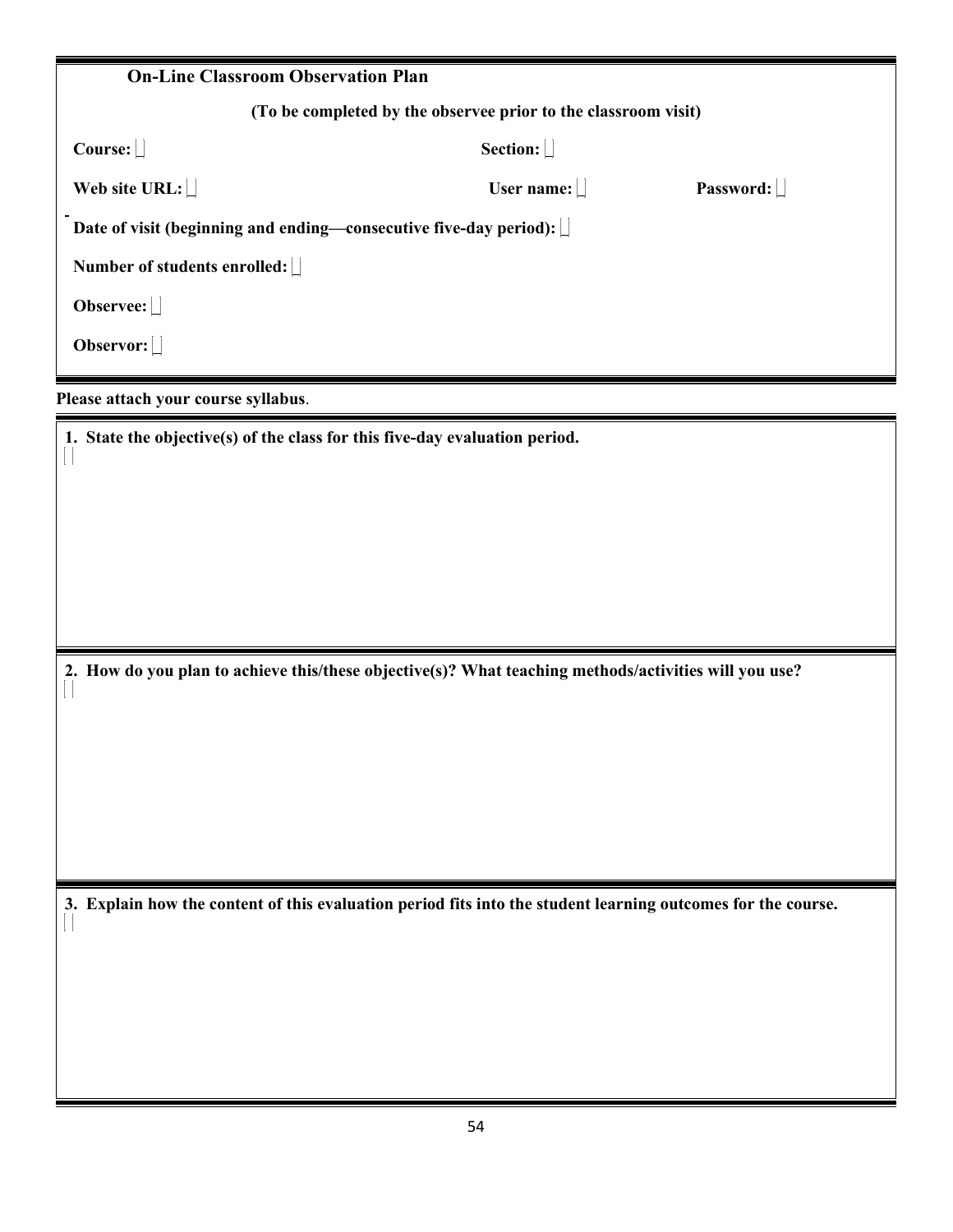| <b>On-Line Classroom Observation Plan</b>                         |                                                                |           |
|-------------------------------------------------------------------|----------------------------------------------------------------|-----------|
|                                                                   | (To be completed by the observee prior to the classroom visit) |           |
| Course:                                                           | Section:                                                       |           |
| Web site URL:                                                     | User name: $  $                                                | Password: |
| Date of visit (beginning and ending—consecutive five-day period): |                                                                |           |
| Number of students enrolled:                                      |                                                                |           |
| Observee: $\Box$                                                  |                                                                |           |
| Observor: $\Box$                                                  |                                                                |           |
| Please attach your course syllabus.                               |                                                                |           |

**1. State the objective(s) of the class for this five-day evaluation period.**

 $\begin{array}{c} \hline \end{array}$ 

**2. How do you plan to achieve this/these objective(s)? What teaching methods/activities will you use?**

**3. Explain how the content of this evaluation period fits into the student learning outcomes for the course.**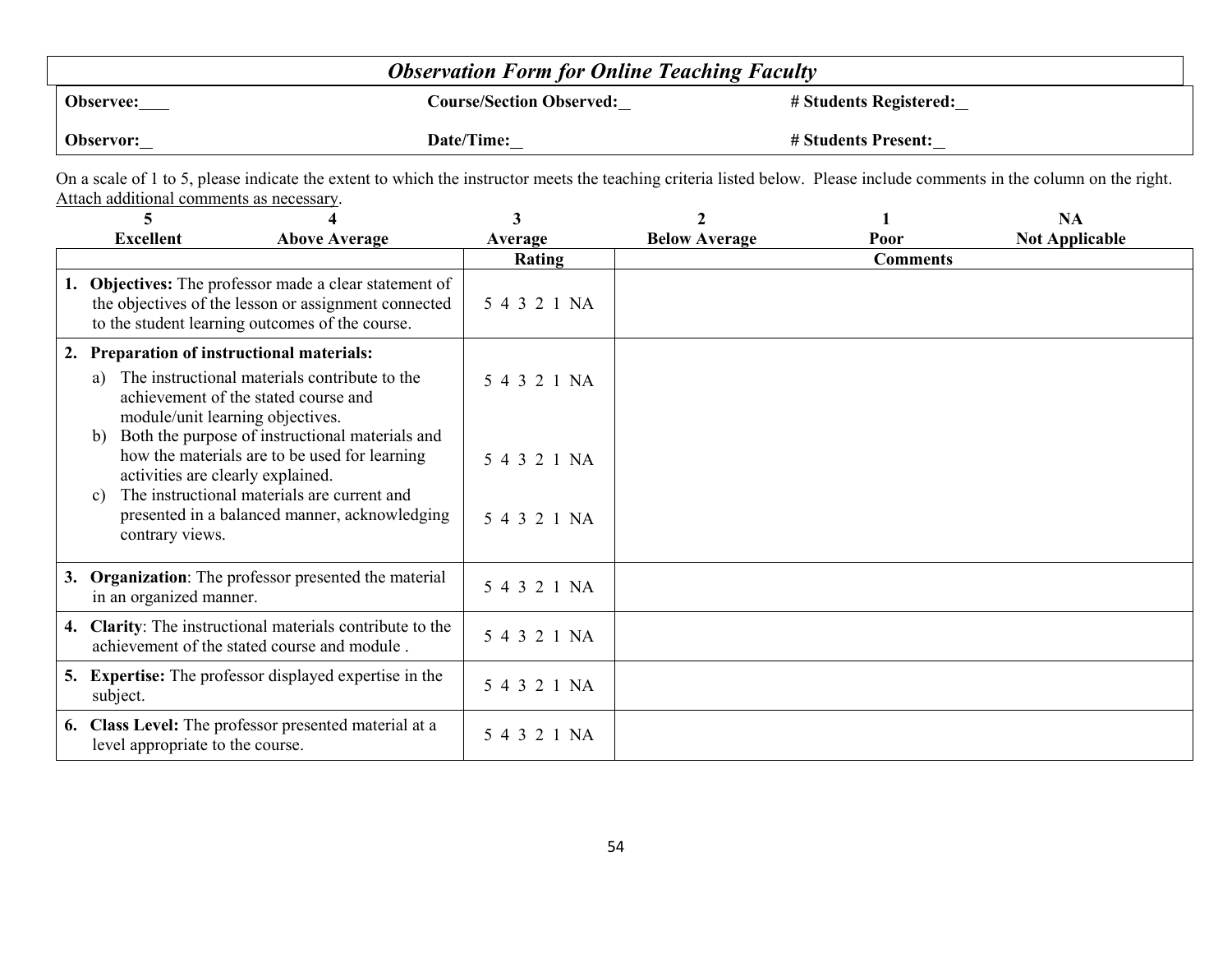|                  | <b>Observation Form for Online Teaching Faculty</b> |                        |
|------------------|-----------------------------------------------------|------------------------|
| <b>Observee:</b> | <b>Course/Section Observed:</b>                     | # Students Registered: |
| Observor:        | Date/Time:                                          | # Students Present:    |

On a scale of 1 to 5, please indicate the extent to which the instructor meets the teaching criteria listed below. Please include comments in the column on the right. Attach additional comments as necessary.

| 5                                                       |                                                                                                                                                                   | 3            |                      |                 | <b>NA</b>             |
|---------------------------------------------------------|-------------------------------------------------------------------------------------------------------------------------------------------------------------------|--------------|----------------------|-----------------|-----------------------|
| <b>Excellent</b>                                        | <b>Above Average</b>                                                                                                                                              | Average      | <b>Below Average</b> | Poor            | <b>Not Applicable</b> |
|                                                         |                                                                                                                                                                   | Rating       |                      | <b>Comments</b> |                       |
|                                                         | 1. Objectives: The professor made a clear statement of<br>the objectives of the lesson or assignment connected<br>to the student learning outcomes of the course. | 5 4 3 2 1 NA |                      |                 |                       |
| 2. Preparation of instructional materials:              |                                                                                                                                                                   |              |                      |                 |                       |
| a)<br>module/unit learning objectives.                  | The instructional materials contribute to the<br>achievement of the stated course and                                                                             | 5 4 3 2 1 NA |                      |                 |                       |
| b)<br>activities are clearly explained.<br>$\mathbf{c}$ | Both the purpose of instructional materials and<br>how the materials are to be used for learning<br>The instructional materials are current and                   | 5 4 3 2 1 NA |                      |                 |                       |
| contrary views.                                         | presented in a balanced manner, acknowledging                                                                                                                     | 5 4 3 2 1 NA |                      |                 |                       |
| in an organized manner.                                 | 3. Organization: The professor presented the material                                                                                                             | 5 4 3 2 1 NA |                      |                 |                       |
|                                                         | 4. Clarity: The instructional materials contribute to the<br>achievement of the stated course and module.                                                         | 5 4 3 2 1 NA |                      |                 |                       |
| subject.                                                | <b>5.</b> Expertise: The professor displayed expertise in the                                                                                                     | 5 4 3 2 1 NA |                      |                 |                       |
| level appropriate to the course.                        | 6. Class Level: The professor presented material at a                                                                                                             | 5 4 3 2 1 NA |                      |                 |                       |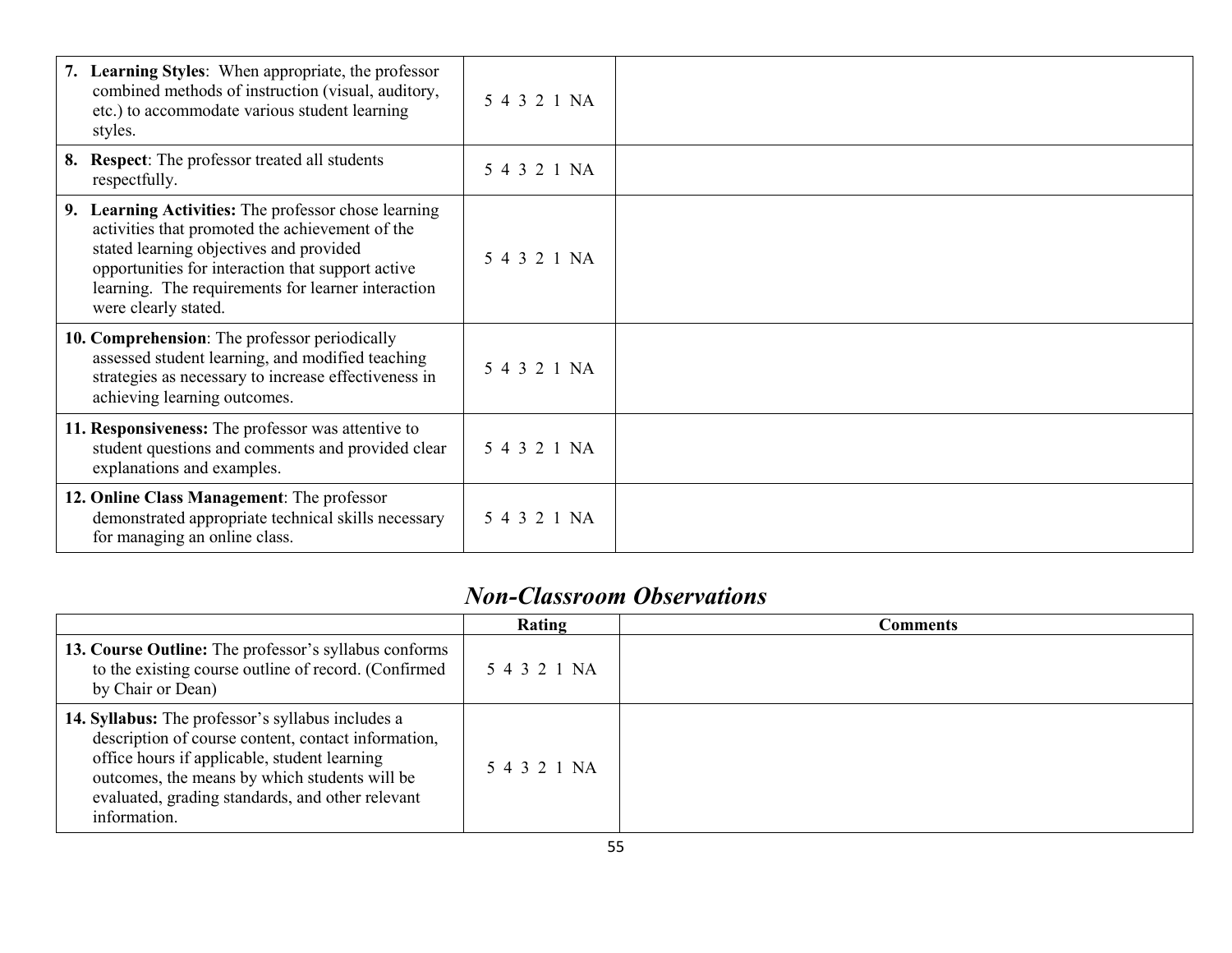| 7. Learning Styles: When appropriate, the professor<br>combined methods of instruction (visual, auditory,<br>etc.) to accommodate various student learning<br>styles.                                                                                                                 | 5 4 3 2 1 NA |  |
|---------------------------------------------------------------------------------------------------------------------------------------------------------------------------------------------------------------------------------------------------------------------------------------|--------------|--|
| 8. Respect: The professor treated all students<br>respectfully.                                                                                                                                                                                                                       | 5 4 3 2 1 NA |  |
| 9. Learning Activities: The professor chose learning<br>activities that promoted the achievement of the<br>stated learning objectives and provided<br>opportunities for interaction that support active<br>learning. The requirements for learner interaction<br>were clearly stated. | 5 4 3 2 1 NA |  |
| 10. Comprehension: The professor periodically<br>assessed student learning, and modified teaching<br>strategies as necessary to increase effectiveness in<br>achieving learning outcomes.                                                                                             | 5 4 3 2 1 NA |  |
| 11. Responsiveness: The professor was attentive to<br>student questions and comments and provided clear<br>explanations and examples.                                                                                                                                                 | 5 4 3 2 1 NA |  |
| 12. Online Class Management: The professor<br>demonstrated appropriate technical skills necessary<br>for managing an online class.                                                                                                                                                    | 5 4 3 2 1 NA |  |

### *Non-Classroom Observations*

|                                                                                                                                                                                                                                                                               | Rating       | Comments |
|-------------------------------------------------------------------------------------------------------------------------------------------------------------------------------------------------------------------------------------------------------------------------------|--------------|----------|
| 13. Course Outline: The professor's syllabus conforms<br>to the existing course outline of record. (Confirmed<br>by Chair or Dean)                                                                                                                                            | 5 4 3 2 1 NA |          |
| 14. Syllabus: The professor's syllabus includes a<br>description of course content, contact information,<br>office hours if applicable, student learning<br>outcomes, the means by which students will be<br>evaluated, grading standards, and other relevant<br>information. | 5 4 3 2 1 NA |          |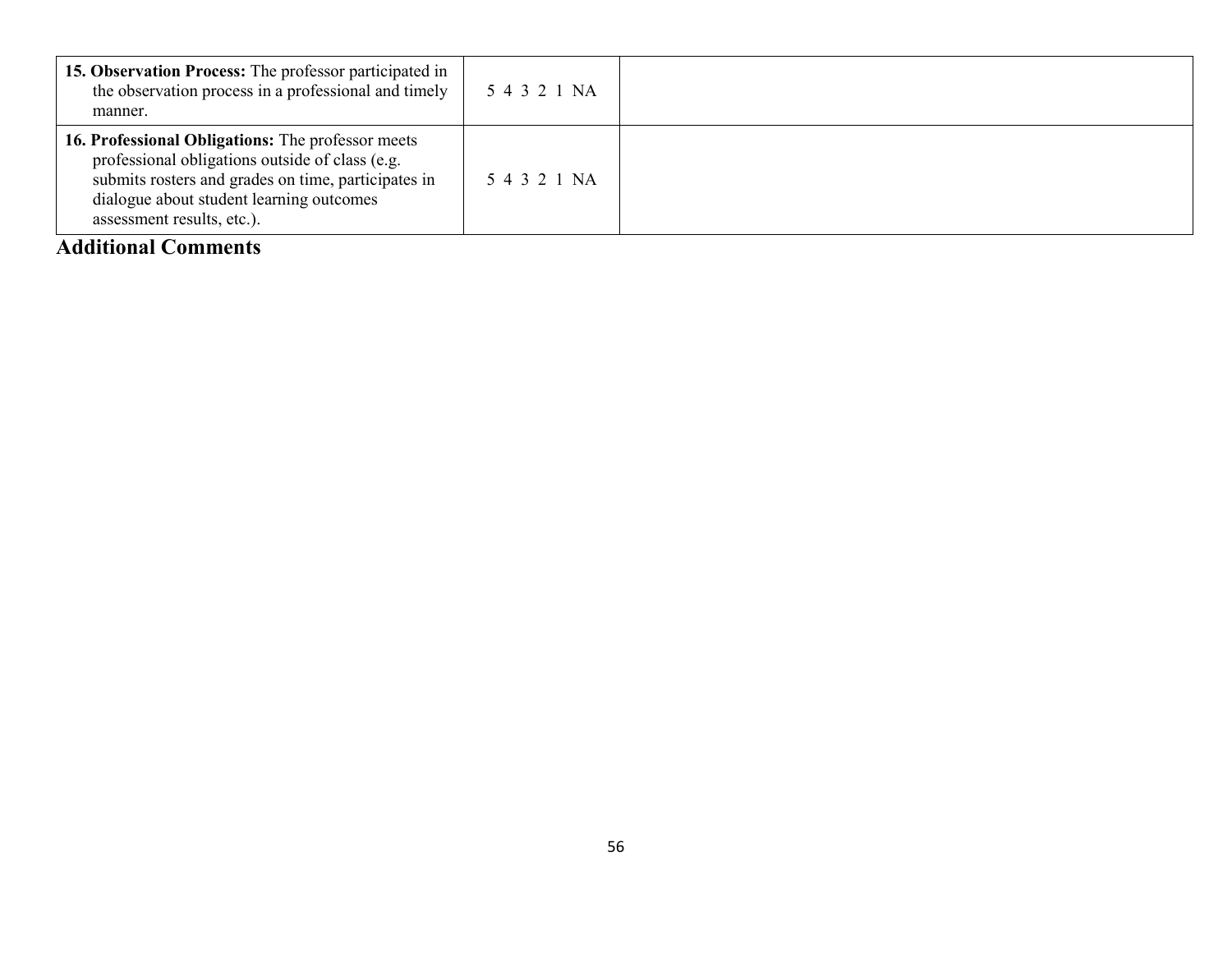| 15. Observation Process: The professor participated in<br>the observation process in a professional and timely<br>manner.                                                                                                             | 5 4 3 2 1 NA |  |
|---------------------------------------------------------------------------------------------------------------------------------------------------------------------------------------------------------------------------------------|--------------|--|
| 16. Professional Obligations: The professor meets<br>professional obligations outside of class (e.g.<br>submits rosters and grades on time, participates in<br>dialogue about student learning outcomes<br>assessment results, etc.). | 5 4 3 2 1 NA |  |

#### **Additional Comments**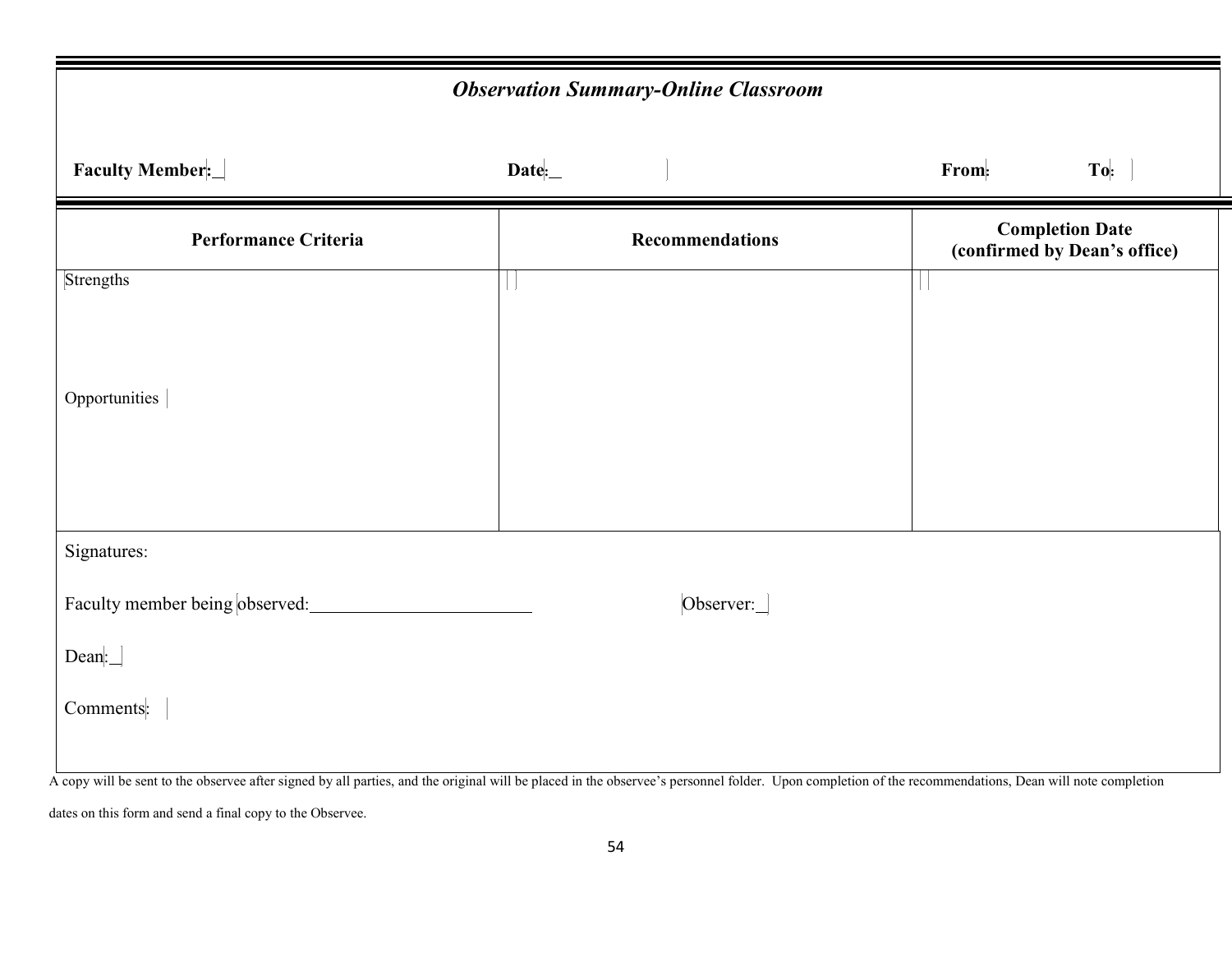| <b>Observation Summary-Online Classroom</b> |                  |                                                        |     |  |  |  |  |
|---------------------------------------------|------------------|--------------------------------------------------------|-----|--|--|--|--|
| <b>Faculty Member:</b>                      | $\textbf{Date:}$ | From:                                                  | To: |  |  |  |  |
| Performance Criteria                        | Recommendations  | <b>Completion Date</b><br>(confirmed by Dean's office) |     |  |  |  |  |
| Strengths                                   |                  |                                                        |     |  |  |  |  |
|                                             |                  |                                                        |     |  |  |  |  |
| Opportunities                               |                  |                                                        |     |  |  |  |  |
|                                             |                  |                                                        |     |  |  |  |  |
|                                             |                  |                                                        |     |  |  |  |  |
| Signatures:                                 |                  |                                                        |     |  |  |  |  |
| Faculty member being observed:              | Observer:        |                                                        |     |  |  |  |  |
| $\text{Dean}:$                              |                  |                                                        |     |  |  |  |  |
| Comments:                                   |                  |                                                        |     |  |  |  |  |
|                                             |                  |                                                        |     |  |  |  |  |

A copy will be sent to the observee after signed by all parties, and the original will be placed in the observee's personnel folder. Upon completion of the recommendations, Dean will note completion

dates on this form and send a final copy to the Observee.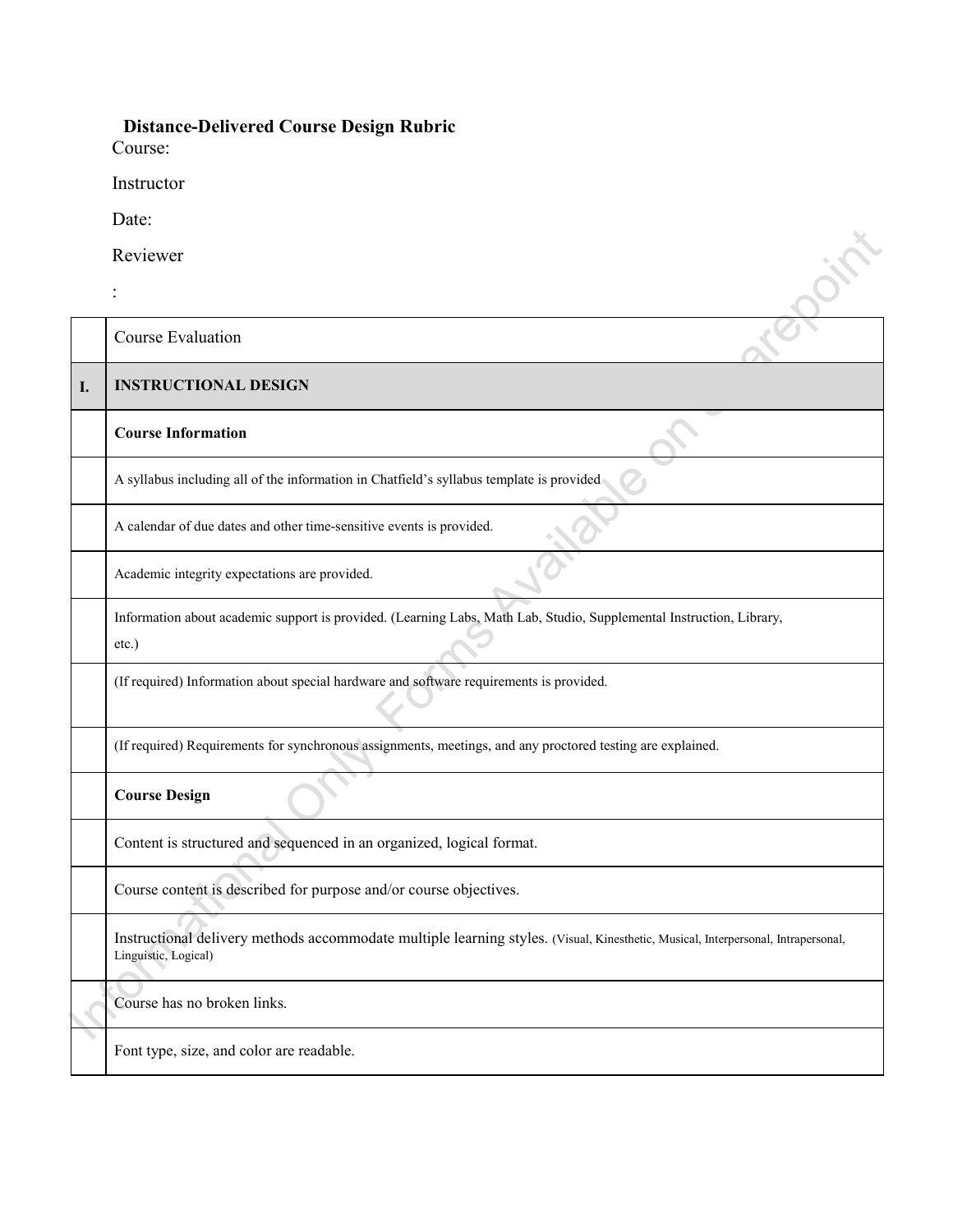#### **Distance-Delivered Course Design Rubric**

Course:

Instructor

Date:

|    | Date:                                                                                                                                                     |
|----|-----------------------------------------------------------------------------------------------------------------------------------------------------------|
|    | Reviewer                                                                                                                                                  |
|    |                                                                                                                                                           |
|    | Course Evaluation                                                                                                                                         |
| I. | <b>INSTRUCTIONAL DESIGN</b>                                                                                                                               |
|    | <b>Course Information</b>                                                                                                                                 |
|    | A syllabus including all of the information in Chatfield's syllabus template is provided                                                                  |
|    | A calendar of due dates and other time-sensitive events is provided.                                                                                      |
|    | Academic integrity expectations are provided.                                                                                                             |
|    | Information about academic support is provided. (Learning Labs, Math Lab, Studio, Supplemental Instruction, Library,<br>etc.)                             |
|    | (If required) Information about special hardware and software requirements is provided.                                                                   |
|    | (If required) Requirements for synchronous assignments, meetings, and any proctored testing are explained.                                                |
|    | <b>Course Design</b>                                                                                                                                      |
|    | Content is structured and sequenced in an organized, logical format.                                                                                      |
|    | Course content is described for purpose and/or course objectives.                                                                                         |
|    | Instructional delivery methods accommodate multiple learning styles. (Visual, Kinesthetic, Musical, Interpersonal, Intrapersonal,<br>Linguistic, Logical) |
|    | Course has no broken links.                                                                                                                               |
|    | Font type, size, and color are readable.                                                                                                                  |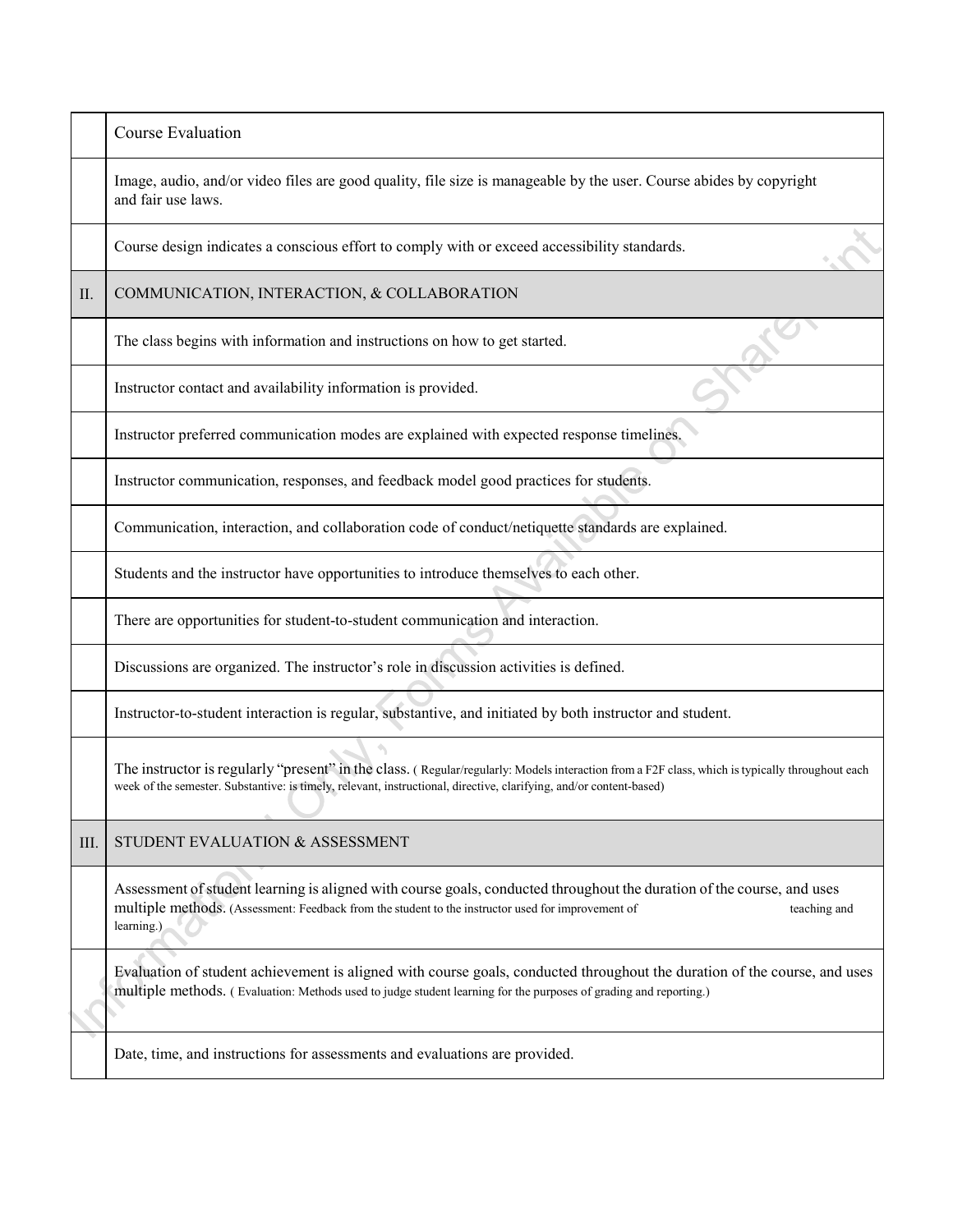|      | Course Evaluation                                                                                                                                                                                                                                                      |
|------|------------------------------------------------------------------------------------------------------------------------------------------------------------------------------------------------------------------------------------------------------------------------|
|      | Image, audio, and/or video files are good quality, file size is manageable by the user. Course abides by copyright<br>and fair use laws.                                                                                                                               |
|      | Course design indicates a conscious effort to comply with or exceed accessibility standards.                                                                                                                                                                           |
| П.   | COMMUNICATION, INTERACTION, & COLLABORATION                                                                                                                                                                                                                            |
|      | The class begins with information and instructions on how to get started.                                                                                                                                                                                              |
|      | Instructor contact and availability information is provided.                                                                                                                                                                                                           |
|      | Instructor preferred communication modes are explained with expected response timelines.                                                                                                                                                                               |
|      | Instructor communication, responses, and feedback model good practices for students.                                                                                                                                                                                   |
|      | Communication, interaction, and collaboration code of conduct/netiquette standards are explained.                                                                                                                                                                      |
|      | Students and the instructor have opportunities to introduce themselves to each other.                                                                                                                                                                                  |
|      | There are opportunities for student-to-student communication and interaction.                                                                                                                                                                                          |
|      | Discussions are organized. The instructor's role in discussion activities is defined.                                                                                                                                                                                  |
|      | Instructor-to-student interaction is regular, substantive, and initiated by both instructor and student.                                                                                                                                                               |
|      | The instructor is regularly "present" in the class. (Regular/regularly: Models interaction from a F2F class, which is typically throughout each<br>week of the semester. Substantive: is timely, relevant, instructional, directive, clarifying, and/or content-based) |
| III. | STUDENT EVALUATION & ASSESSMENT                                                                                                                                                                                                                                        |
|      | Assessment of student learning is aligned with course goals, conducted throughout the duration of the course, and uses<br>multiple methods. (Assessment: Feedback from the student to the instructor used for improvement of<br>teaching and<br>learning.)             |
|      | Evaluation of student achievement is aligned with course goals, conducted throughout the duration of the course, and uses<br>multiple methods. (Evaluation: Methods used to judge student learning for the purposes of grading and reporting.)                         |
|      | Date, time, and instructions for assessments and evaluations are provided.                                                                                                                                                                                             |
|      |                                                                                                                                                                                                                                                                        |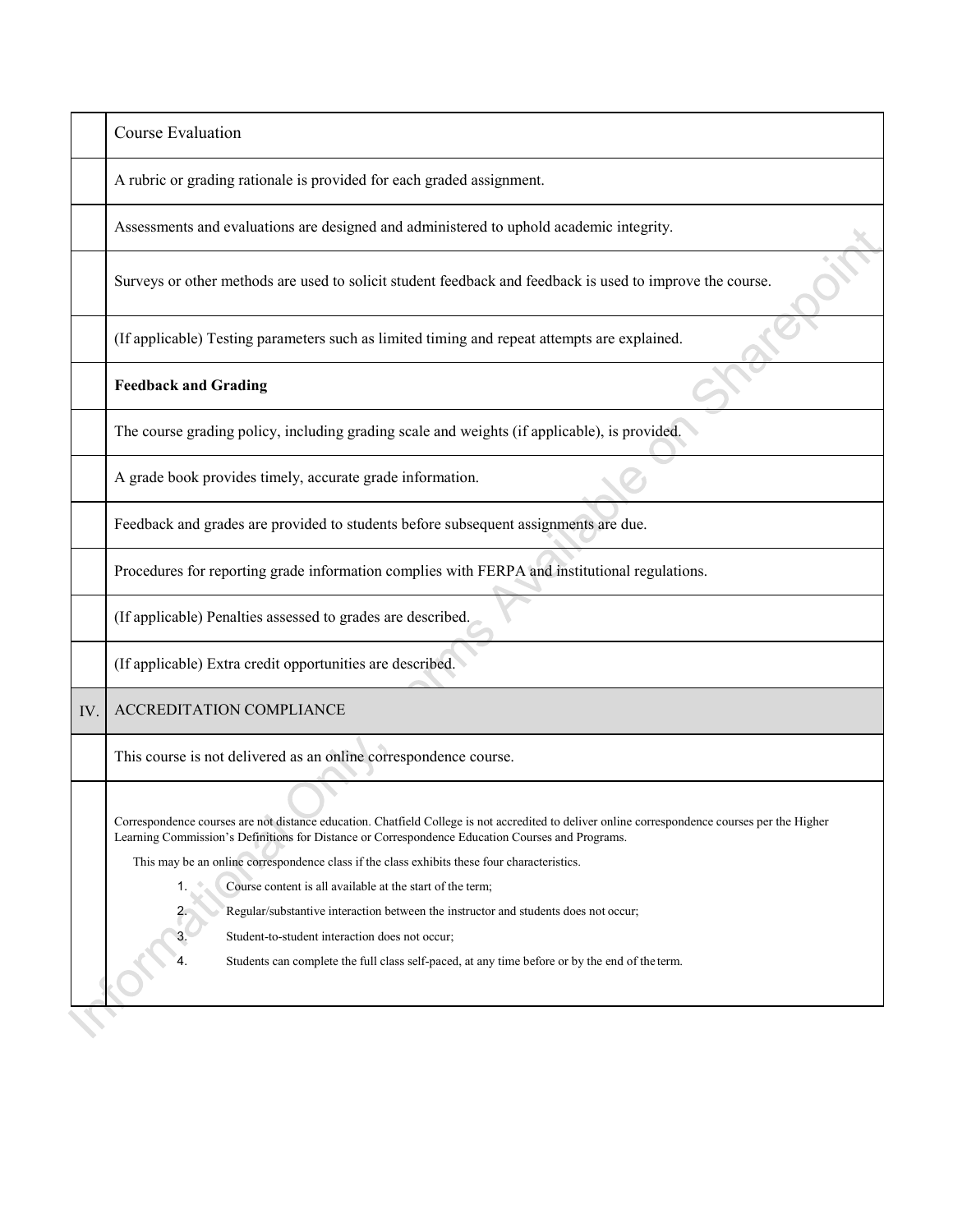|     | <b>Course Evaluation</b>                                                                                                                                                                                                                                                                                                                                                                                                                                                                                                                                                                                                                                                     |
|-----|------------------------------------------------------------------------------------------------------------------------------------------------------------------------------------------------------------------------------------------------------------------------------------------------------------------------------------------------------------------------------------------------------------------------------------------------------------------------------------------------------------------------------------------------------------------------------------------------------------------------------------------------------------------------------|
|     | A rubric or grading rationale is provided for each graded assignment.                                                                                                                                                                                                                                                                                                                                                                                                                                                                                                                                                                                                        |
|     | Assessments and evaluations are designed and administered to uphold academic integrity.                                                                                                                                                                                                                                                                                                                                                                                                                                                                                                                                                                                      |
|     | Surveys or other methods are used to solicit student feedback and feedback is used to improve the course.                                                                                                                                                                                                                                                                                                                                                                                                                                                                                                                                                                    |
|     | (If applicable) Testing parameters such as limited timing and repeat attempts are explained.                                                                                                                                                                                                                                                                                                                                                                                                                                                                                                                                                                                 |
|     | <b>Feedback and Grading</b>                                                                                                                                                                                                                                                                                                                                                                                                                                                                                                                                                                                                                                                  |
|     | The course grading policy, including grading scale and weights (if applicable), is provided.                                                                                                                                                                                                                                                                                                                                                                                                                                                                                                                                                                                 |
|     | A grade book provides timely, accurate grade information.                                                                                                                                                                                                                                                                                                                                                                                                                                                                                                                                                                                                                    |
|     | Feedback and grades are provided to students before subsequent assignments are due.                                                                                                                                                                                                                                                                                                                                                                                                                                                                                                                                                                                          |
|     | Procedures for reporting grade information complies with FERPA and institutional regulations.                                                                                                                                                                                                                                                                                                                                                                                                                                                                                                                                                                                |
|     | (If applicable) Penalties assessed to grades are described.                                                                                                                                                                                                                                                                                                                                                                                                                                                                                                                                                                                                                  |
|     | (If applicable) Extra credit opportunities are described.                                                                                                                                                                                                                                                                                                                                                                                                                                                                                                                                                                                                                    |
| IV. | ACCREDITATION COMPLIANCE                                                                                                                                                                                                                                                                                                                                                                                                                                                                                                                                                                                                                                                     |
|     | This course is not delivered as an online correspondence course.                                                                                                                                                                                                                                                                                                                                                                                                                                                                                                                                                                                                             |
|     | Correspondence courses are not distance education. Chatfield College is not accredited to deliver online correspondence courses per the Higher<br>Learning Commission's Definitions for Distance or Correspondence Education Courses and Programs.<br>This may be an online correspondence class if the class exhibits these four characteristics.<br>Course content is all available at the start of the term;<br>1.<br>Regular/substantive interaction between the instructor and students does not occur;<br>2.<br>3.<br>Student-to-student interaction does not occur;<br>Students can complete the full class self-paced, at any time before or by the end of the term. |
|     |                                                                                                                                                                                                                                                                                                                                                                                                                                                                                                                                                                                                                                                                              |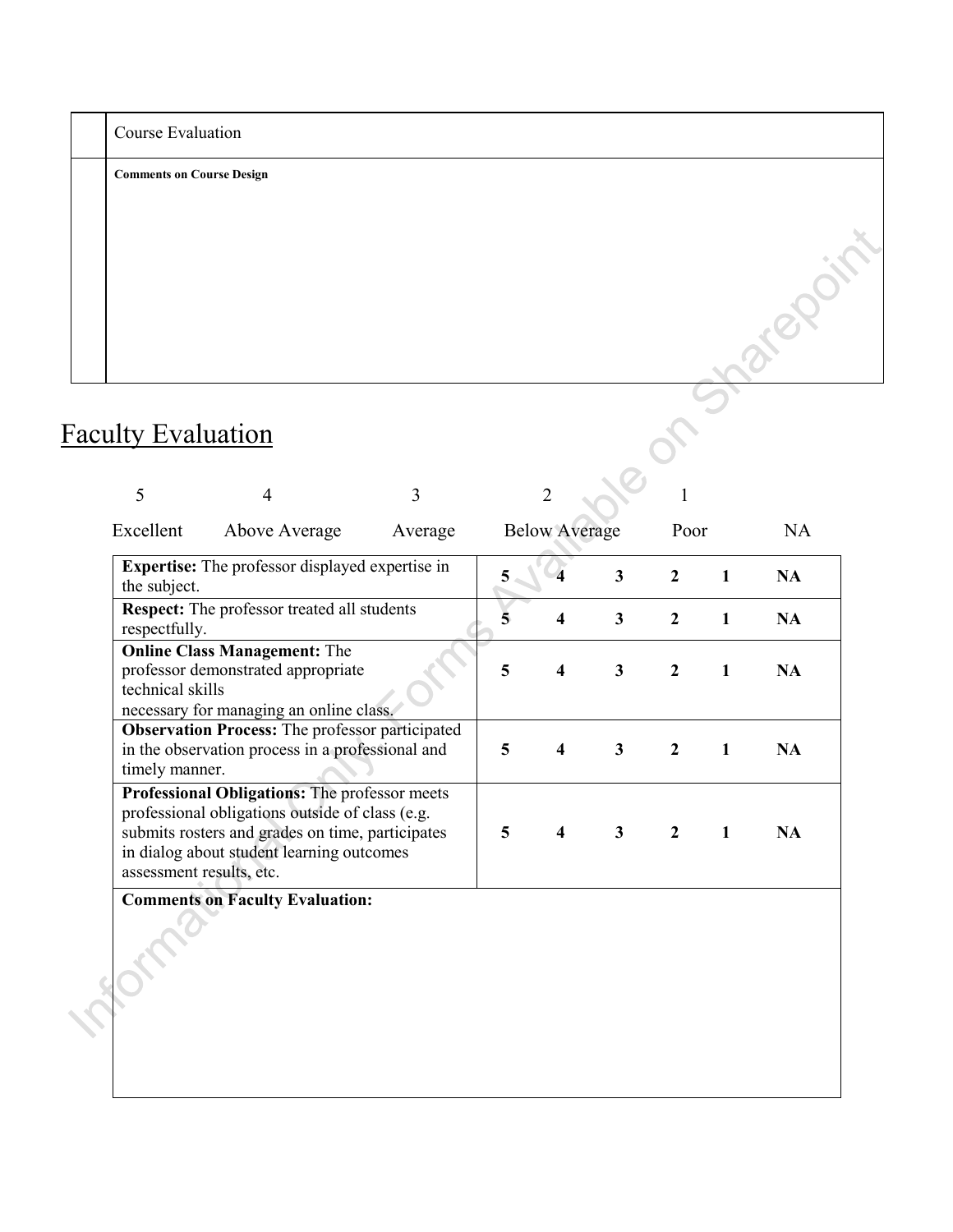| Course Evaluation                |   |   |   |
|----------------------------------|---|---|---|
| <b>Comments on Course Design</b> |   |   |   |
|                                  |   |   |   |
|                                  |   |   |   |
|                                  |   |   |   |
|                                  |   |   |   |
|                                  |   |   |   |
| Faculty Evaluation               |   |   |   |
| ∍                                | 4 | 3 | ∍ |

# Faculty Evaluation

| 5                | 4                                                                                                                                                                                                                             | 3       |   | $\overline{2}$          |                         | 1                |              |           |
|------------------|-------------------------------------------------------------------------------------------------------------------------------------------------------------------------------------------------------------------------------|---------|---|-------------------------|-------------------------|------------------|--------------|-----------|
| Excellent        | Above Average                                                                                                                                                                                                                 | Average |   | <b>Below Average</b>    |                         | Poor             |              | <b>NA</b> |
| the subject.     | <b>Expertise:</b> The professor displayed expertise in                                                                                                                                                                        |         | 5 |                         | $\overline{\mathbf{3}}$ | $\overline{2}$   | $\mathbf{1}$ | <b>NA</b> |
| respectfully.    | <b>Respect:</b> The professor treated all students                                                                                                                                                                            |         | 5 | $\overline{\mathbf{4}}$ | $\overline{\mathbf{3}}$ | $\overline{2}$   | $\mathbf{1}$ | <b>NA</b> |
| technical skills | <b>Online Class Management: The</b><br>professor demonstrated appropriate<br>necessary for managing an online class.                                                                                                          |         | 5 | $\overline{\mathbf{4}}$ | $\mathbf{3}$            | $\boldsymbol{2}$ | $\mathbf{1}$ | <b>NA</b> |
| timely manner.   | <b>Observation Process:</b> The professor participated<br>in the observation process in a professional and                                                                                                                    |         | 5 | $\overline{\mathbf{4}}$ | $\mathbf{3}$            | $\boldsymbol{2}$ | $\mathbf{1}$ | <b>NA</b> |
|                  | Professional Obligations: The professor meets<br>professional obligations outside of class (e.g.<br>submits rosters and grades on time, participates<br>in dialog about student learning outcomes<br>assessment results, etc. |         | 5 | $\overline{\mathbf{4}}$ | $\mathbf{3}$            | $\overline{2}$   | $\mathbf{1}$ | <b>NA</b> |
|                  | <b>Comments on Faculty Evaluation:</b>                                                                                                                                                                                        |         |   |                         |                         |                  |              |           |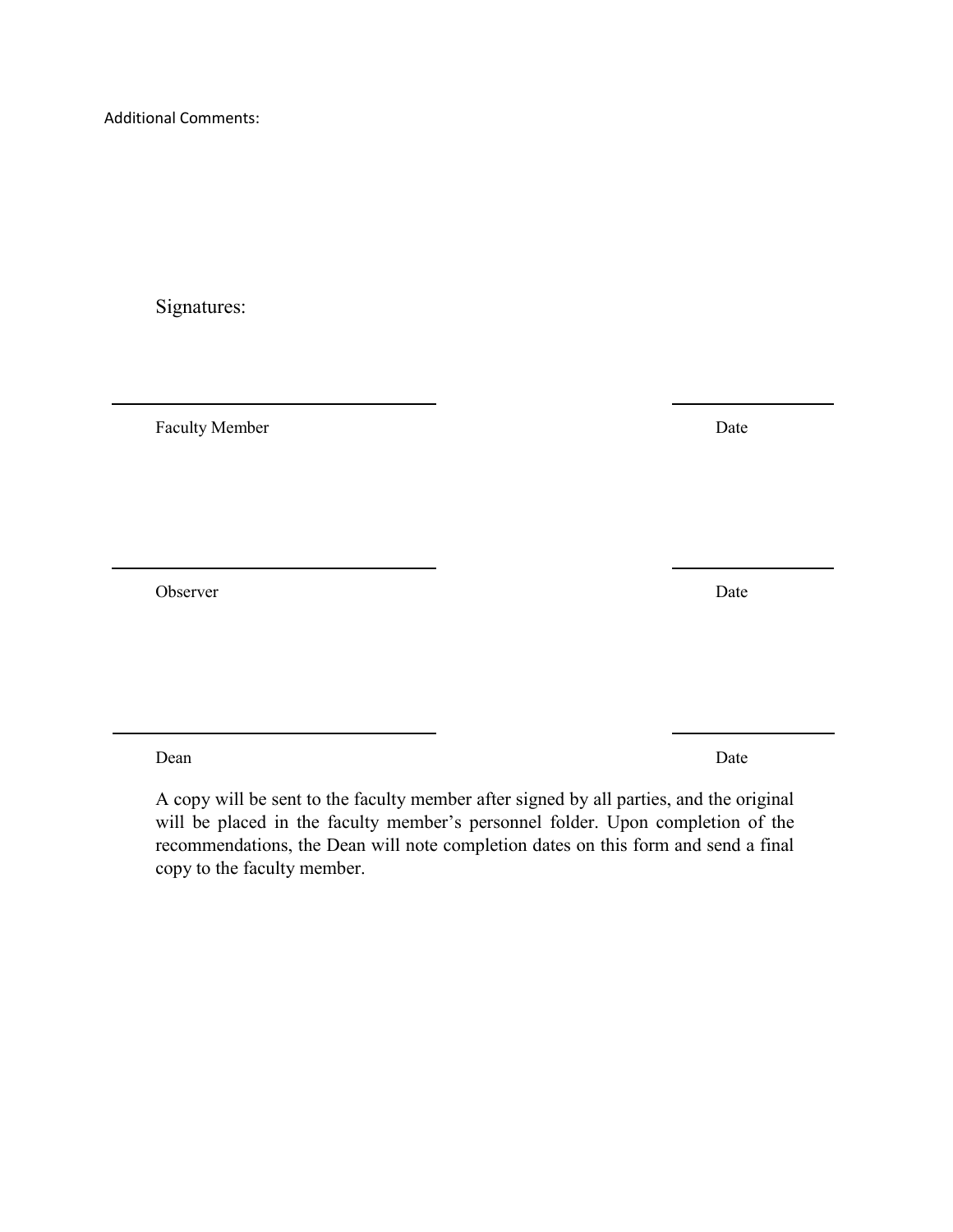Additional Comments:

Signatures:

Faculty Member Date

Observer Date

Dean Date

A copy will be sent to the faculty member after signed by all parties, and the original will be placed in the faculty member's personnel folder. Upon completion of the recommendations, the Dean will note completion dates on this form and send a final copy to the faculty member.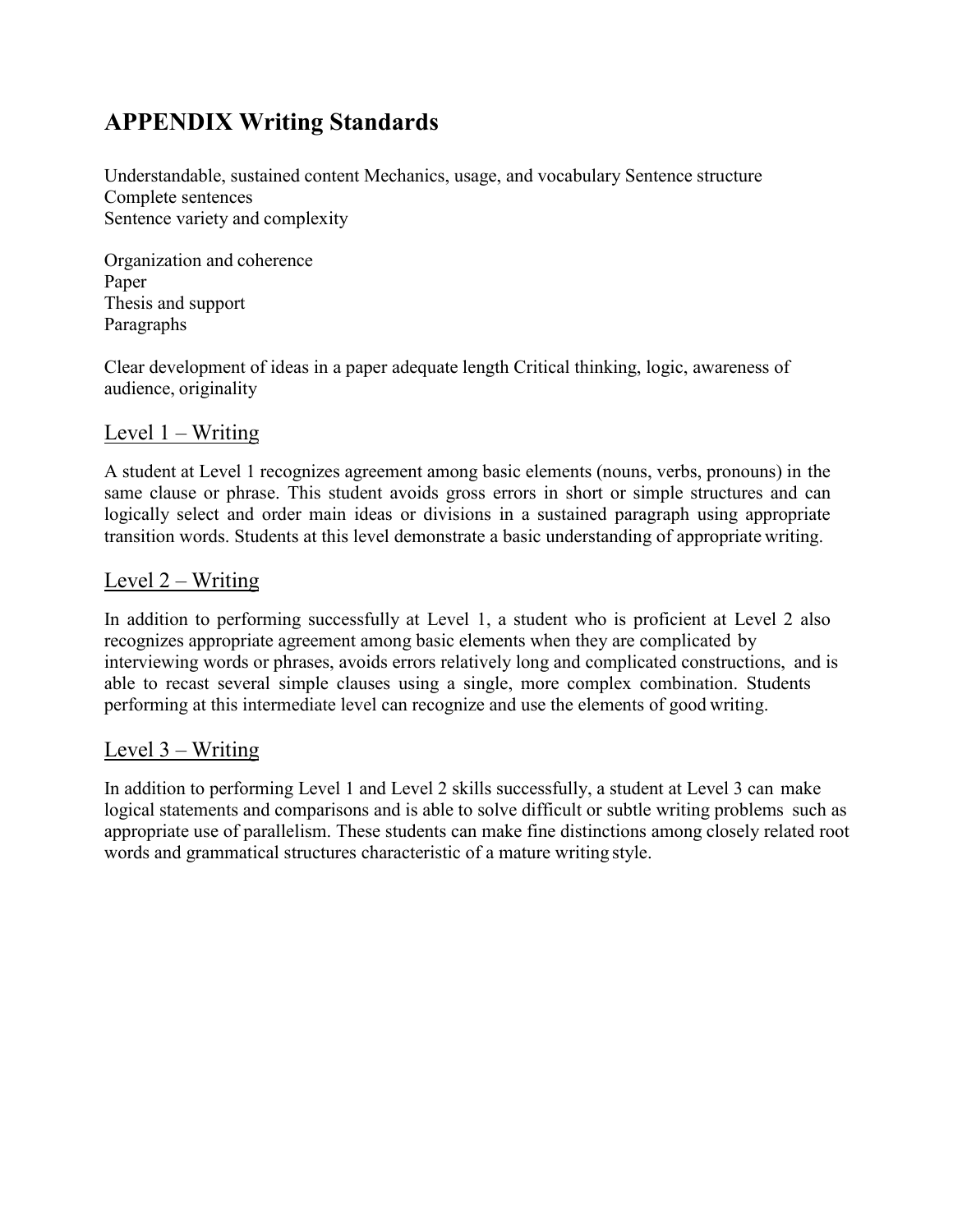### **APPENDIX Writing Standards**

Understandable, sustained content Mechanics, usage, and vocabulary Sentence structure Complete sentences Sentence variety and complexity

Organization and coherence Paper Thesis and support Paragraphs

Clear development of ideas in a paper adequate length Critical thinking, logic, awareness of audience, originality

#### Level 1 – Writing

A student at Level 1 recognizes agreement among basic elements (nouns, verbs, pronouns) in the same clause or phrase. This student avoids gross errors in short or simple structures and can logically select and order main ideas or divisions in a sustained paragraph using appropriate transition words. Students at this level demonstrate a basic understanding of appropriate writing.

#### Level 2 – Writing

In addition to performing successfully at Level 1, a student who is proficient at Level 2 also recognizes appropriate agreement among basic elements when they are complicated by interviewing words or phrases, avoids errors relatively long and complicated constructions, and is able to recast several simple clauses using a single, more complex combination. Students performing at this intermediate level can recognize and use the elements of good writing.

#### Level 3 – Writing

In addition to performing Level 1 and Level 2 skills successfully, a student at Level 3 can make logical statements and comparisons and is able to solve difficult or subtle writing problems such as appropriate use of parallelism. These students can make fine distinctions among closely related root words and grammatical structures characteristic of a mature writing style.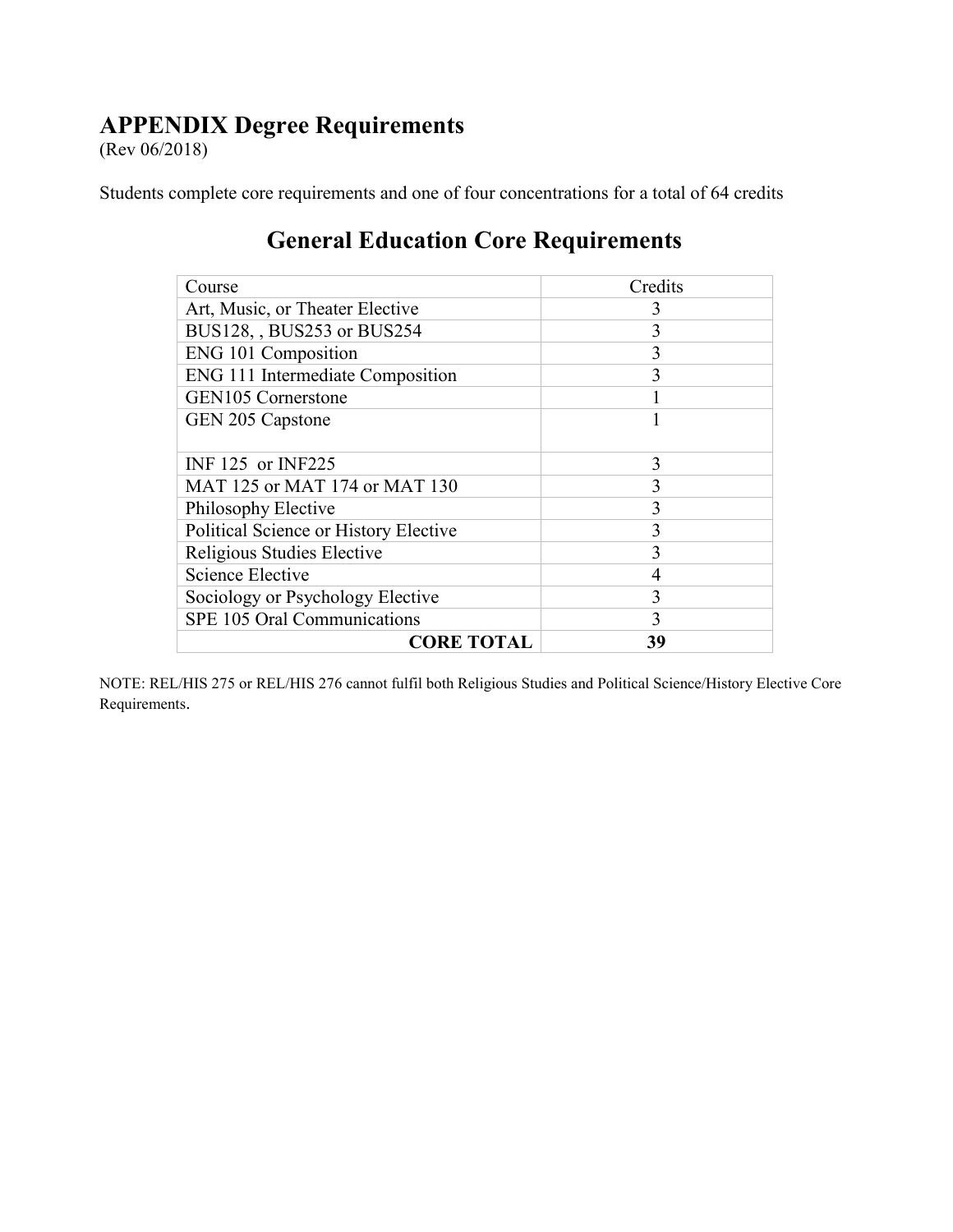### **APPENDIX Degree Requirements**

(Rev 06/2018)

Students complete core requirements and one of four concentrations for a total of 64 credits

| Course                                | Credits |
|---------------------------------------|---------|
| Art, Music, or Theater Elective       | 3       |
| BUS128, BUS253 or BUS254              | 3       |
| ENG 101 Composition                   | 3       |
| ENG 111 Intermediate Composition      | 3       |
| GEN105 Cornerstone                    |         |
| GEN 205 Capstone                      |         |
|                                       |         |
| INF 125 or INF225                     | 3       |
| MAT 125 or MAT 174 or MAT 130         | 3       |
| Philosophy Elective                   | 3       |
| Political Science or History Elective | 3       |
| Religious Studies Elective            | 3       |
| <b>Science Elective</b>               | 4       |
| Sociology or Psychology Elective      | 3       |
| SPE 105 Oral Communications           | 3       |
| <b>CORE TOTAL</b>                     | 39      |

### **General Education Core Requirements**

NOTE: REL/HIS 275 or REL/HIS 276 cannot fulfil both Religious Studies and Political Science/History Elective Core Requirements.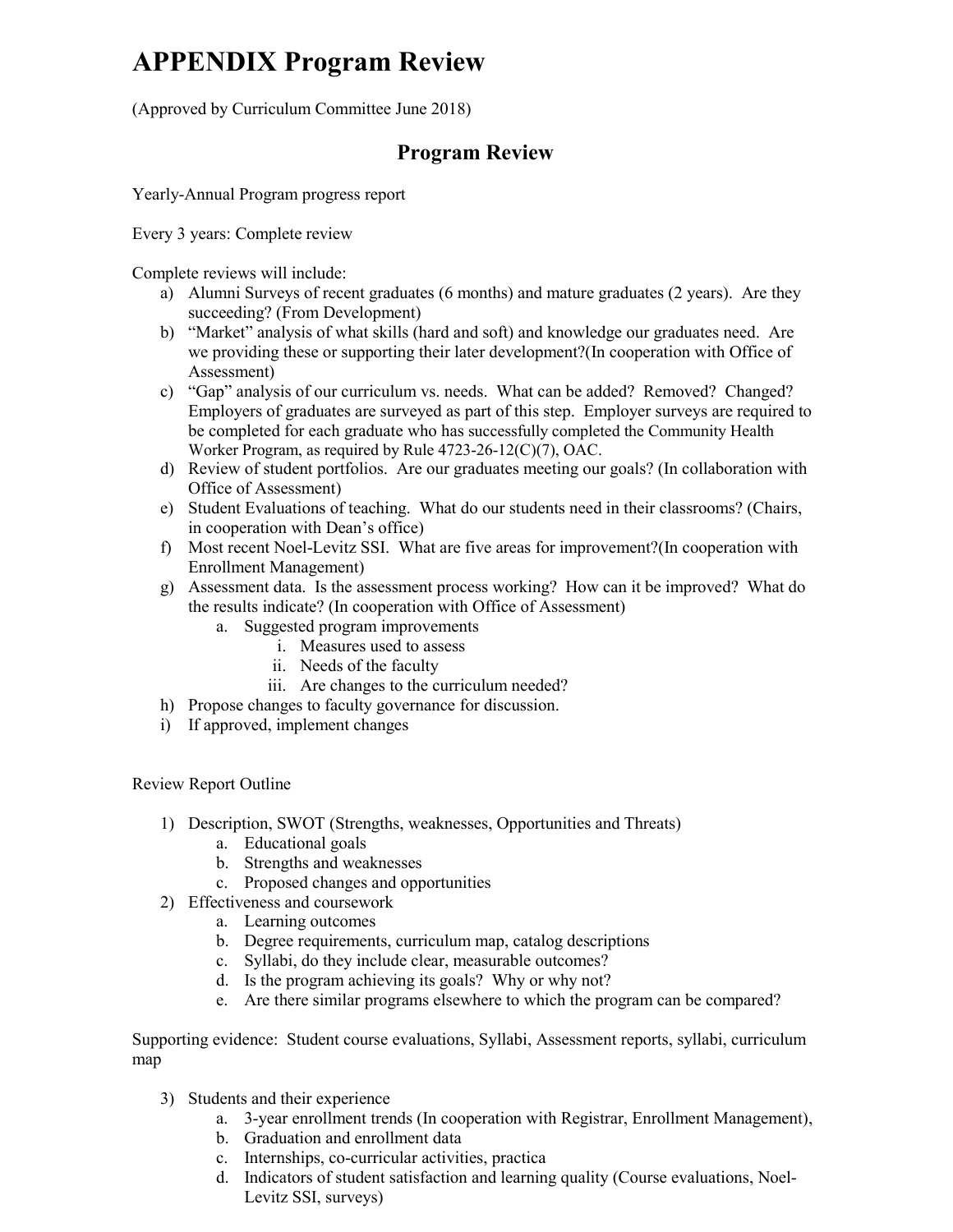# **APPENDIX Program Review**

(Approved by Curriculum Committee June 2018)

#### **Program Review**

Yearly-Annual Program progress report

Every 3 years: Complete review

Complete reviews will include:

- a) Alumni Surveys of recent graduates (6 months) and mature graduates (2 years). Are they succeeding? (From Development)
- b) "Market" analysis of what skills (hard and soft) and knowledge our graduates need. Are we providing these or supporting their later development?(In cooperation with Office of Assessment)
- c) "Gap" analysis of our curriculum vs. needs. What can be added? Removed? Changed? Employers of graduates are surveyed as part of this step. Employer surveys are required to be completed for each graduate who has successfully completed the Community Health Worker Program, as required by Rule 4723-26-12(C)(7), OAC.
- d) Review of student portfolios. Are our graduates meeting our goals? (In collaboration with Office of Assessment)
- e) Student Evaluations of teaching. What do our students need in their classrooms? (Chairs, in cooperation with Dean's office)
- f) Most recent Noel-Levitz SSI. What are five areas for improvement?(In cooperation with Enrollment Management)
- g) Assessment data. Is the assessment process working? How can it be improved? What do the results indicate? (In cooperation with Office of Assessment)
	- a. Suggested program improvements
		- i. Measures used to assess
		- ii. Needs of the faculty
		- iii. Are changes to the curriculum needed?
- h) Propose changes to faculty governance for discussion.
- i) If approved, implement changes

Review Report Outline

- 1) Description, SWOT (Strengths, weaknesses, Opportunities and Threats)
	- a. Educational goals
	- b. Strengths and weaknesses
	- c. Proposed changes and opportunities
- 2) Effectiveness and coursework
	- a. Learning outcomes
	- b. Degree requirements, curriculum map, catalog descriptions
	- c. Syllabi, do they include clear, measurable outcomes?
	- d. Is the program achieving its goals? Why or why not?
	- e. Are there similar programs elsewhere to which the program can be compared?

Supporting evidence: Student course evaluations, Syllabi, Assessment reports, syllabi, curriculum map

- 3) Students and their experience
	- a. 3-year enrollment trends (In cooperation with Registrar, Enrollment Management),
	- b. Graduation and enrollment data
	- c. Internships, co-curricular activities, practica
	- d. Indicators of student satisfaction and learning quality (Course evaluations, Noel-Levitz SSI, surveys)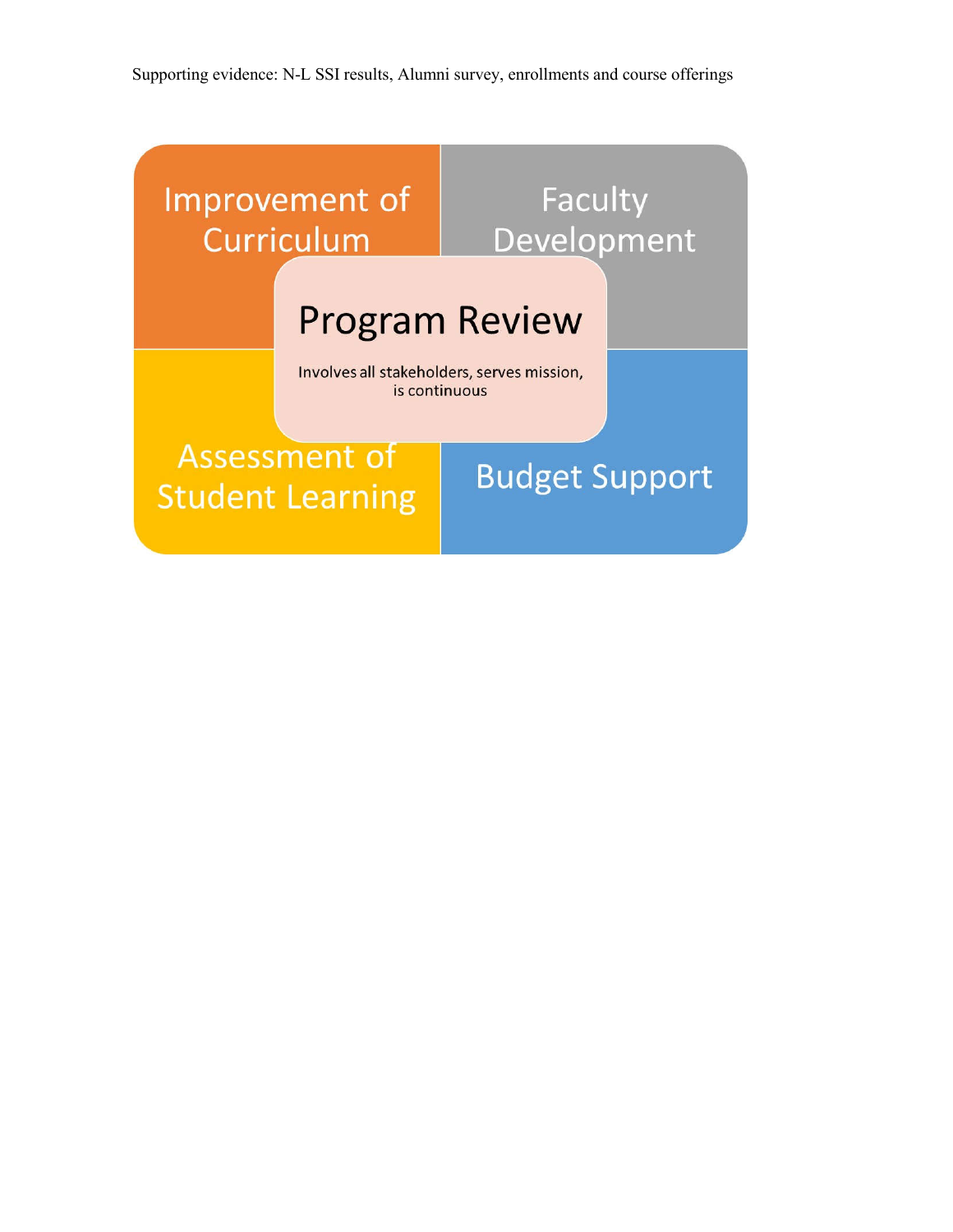Supporting evidence: N-L SSI results, Alumni survey, enrollments and course offerings

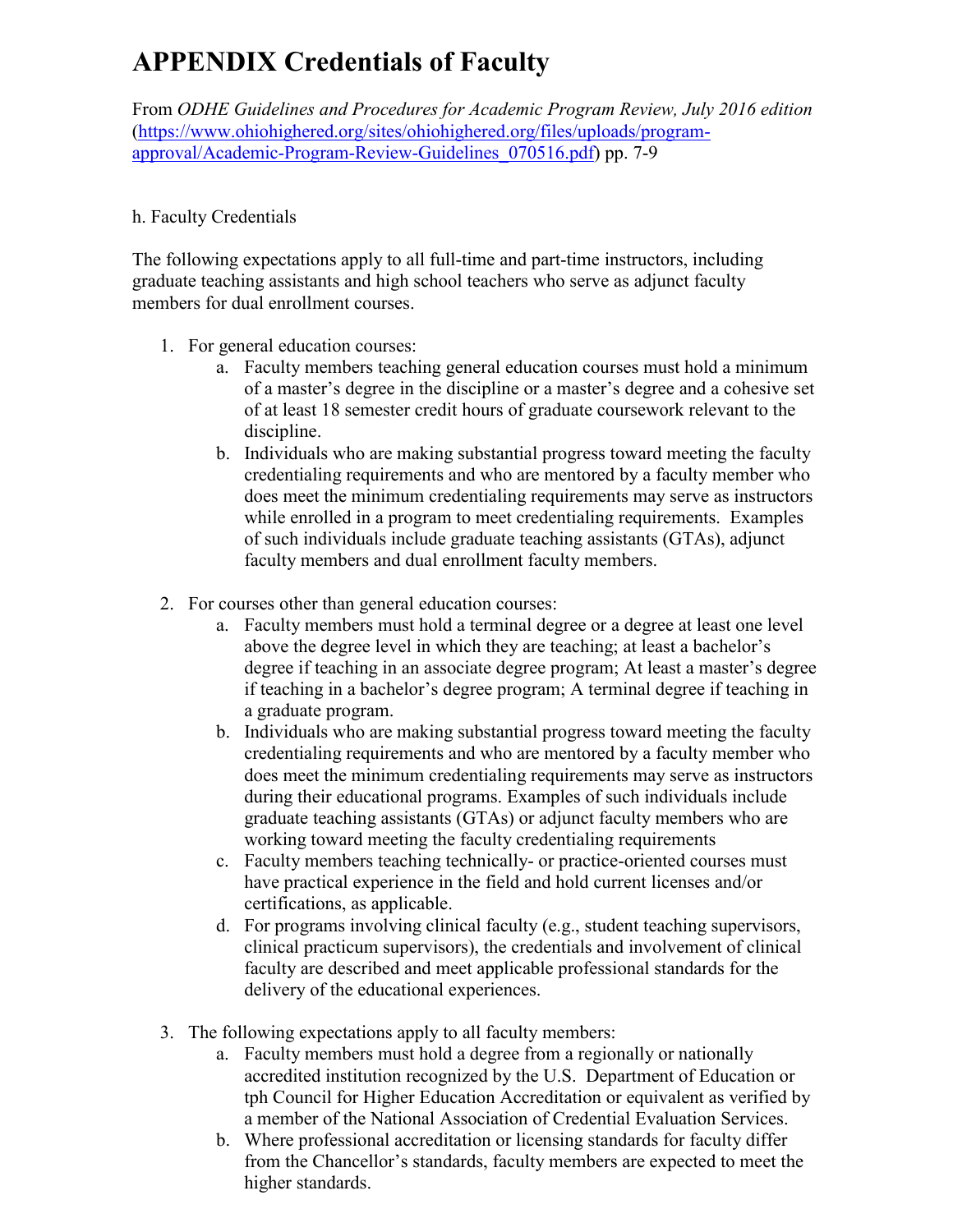# **APPENDIX Credentials of Faculty**

From *ODHE Guidelines and Procedures for Academic Program Review, July 2016 edition* (https://www.ohiohighered.org/sites/ohiohighered.org/files/uploads/programapproval/Academic-Program-Review-Guidelines\_070516.pdf) pp. 7-9

#### h. Faculty Credentials

The following expectations apply to all full-time and part-time instructors, including graduate teaching assistants and high school teachers who serve as adjunct faculty members for dual enrollment courses.

- 1. For general education courses:
	- a. Faculty members teaching general education courses must hold a minimum of a master's degree in the discipline or a master's degree and a cohesive set of at least 18 semester credit hours of graduate coursework relevant to the discipline.
	- b. Individuals who are making substantial progress toward meeting the faculty credentialing requirements and who are mentored by a faculty member who does meet the minimum credentialing requirements may serve as instructors while enrolled in a program to meet credentialing requirements. Examples of such individuals include graduate teaching assistants (GTAs), adjunct faculty members and dual enrollment faculty members.
- 2. For courses other than general education courses:
	- a. Faculty members must hold a terminal degree or a degree at least one level above the degree level in which they are teaching; at least a bachelor's degree if teaching in an associate degree program; At least a master's degree if teaching in a bachelor's degree program; A terminal degree if teaching in a graduate program.
	- b. Individuals who are making substantial progress toward meeting the faculty credentialing requirements and who are mentored by a faculty member who does meet the minimum credentialing requirements may serve as instructors during their educational programs. Examples of such individuals include graduate teaching assistants (GTAs) or adjunct faculty members who are working toward meeting the faculty credentialing requirements
	- c. Faculty members teaching technically- or practice-oriented courses must have practical experience in the field and hold current licenses and/or certifications, as applicable.
	- d. For programs involving clinical faculty (e.g., student teaching supervisors, clinical practicum supervisors), the credentials and involvement of clinical faculty are described and meet applicable professional standards for the delivery of the educational experiences.
- 3. The following expectations apply to all faculty members:
	- a. Faculty members must hold a degree from a regionally or nationally accredited institution recognized by the U.S. Department of Education or tph Council for Higher Education Accreditation or equivalent as verified by a member of the National Association of Credential Evaluation Services.
	- b. Where professional accreditation or licensing standards for faculty differ from the Chancellor's standards, faculty members are expected to meet the higher standards.